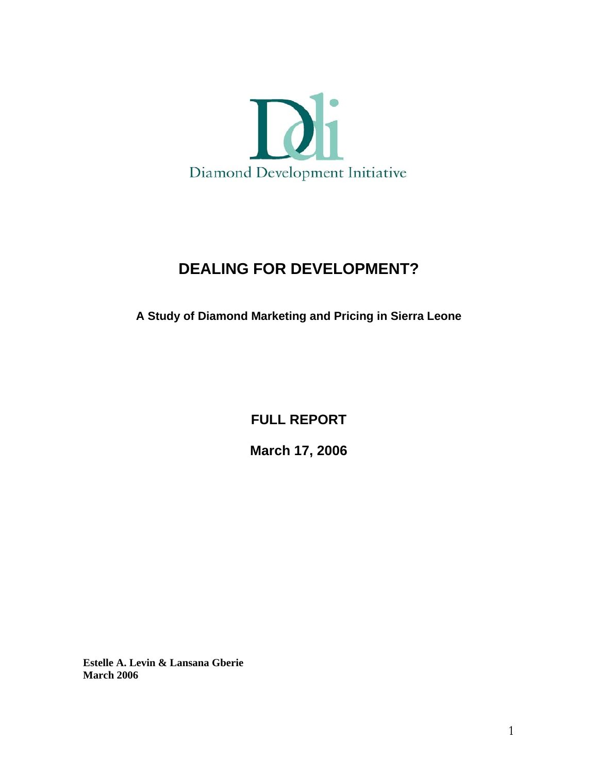

# **DEALING FOR DEVELOPMENT?**

**A Study of Diamond Marketing and Pricing in Sierra Leone** 

**FULL REPORT** 

**March 17, 2006**

**Estelle A. Levin & Lansana Gberie March 2006**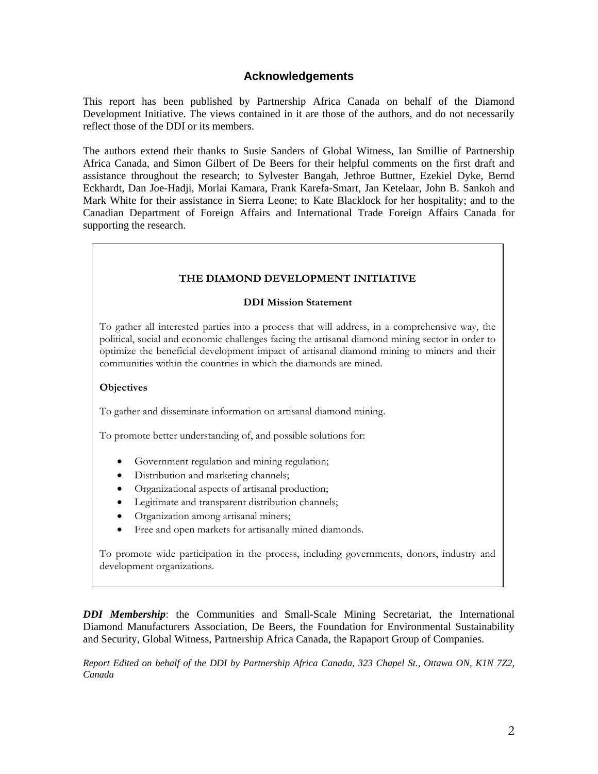#### **Acknowledgements**

This report has been published by Partnership Africa Canada on behalf of the Diamond Development Initiative. The views contained in it are those of the authors, and do not necessarily reflect those of the DDI or its members.

The authors extend their thanks to Susie Sanders of Global Witness, Ian Smillie of Partnership Africa Canada, and Simon Gilbert of De Beers for their helpful comments on the first draft and assistance throughout the research; to Sylvester Bangah, Jethroe Buttner, Ezekiel Dyke, Bernd Eckhardt, Dan Joe-Hadji, Morlai Kamara, Frank Karefa-Smart, Jan Ketelaar, John B. Sankoh and Mark White for their assistance in Sierra Leone; to Kate Blacklock for her hospitality; and to the Canadian Department of Foreign Affairs and International Trade Foreign Affairs Canada for supporting the research.

#### **THE DIAMOND DEVELOPMENT INITIATIVE**

#### **DDI Mission Statement**

To gather all interested parties into a process that will address, in a comprehensive way, the political, social and economic challenges facing the artisanal diamond mining sector in order to optimize the beneficial development impact of artisanal diamond mining to miners and their communities within the countries in which the diamonds are mined.

#### **Objectives**

To gather and disseminate information on artisanal diamond mining.

To promote better understanding of, and possible solutions for:

- Government regulation and mining regulation;
- Distribution and marketing channels;
- Organizational aspects of artisanal production;
- Legitimate and transparent distribution channels;
- Organization among artisanal miners;
- Free and open markets for artisanally mined diamonds.

To promote wide participation in the process, including governments, donors, industry and development organizations.

*DDI Membership*: the Communities and Small-Scale Mining Secretariat, the International Diamond Manufacturers Association, De Beers, the Foundation for Environmental Sustainability and Security, Global Witness, Partnership Africa Canada, the Rapaport Group of Companies.

*Report Edited on behalf of the DDI by Partnership Africa Canada, 323 Chapel St., Ottawa ON, K1N 7Z2, Canada*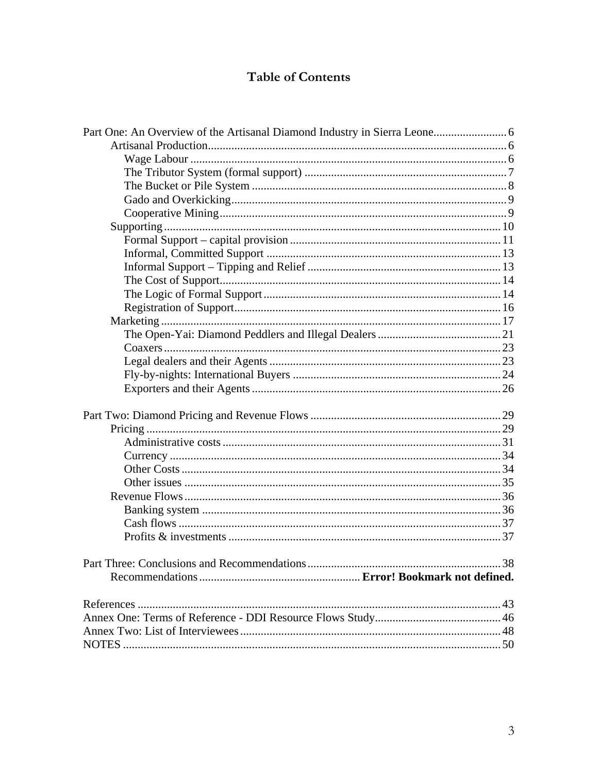# Table of Contents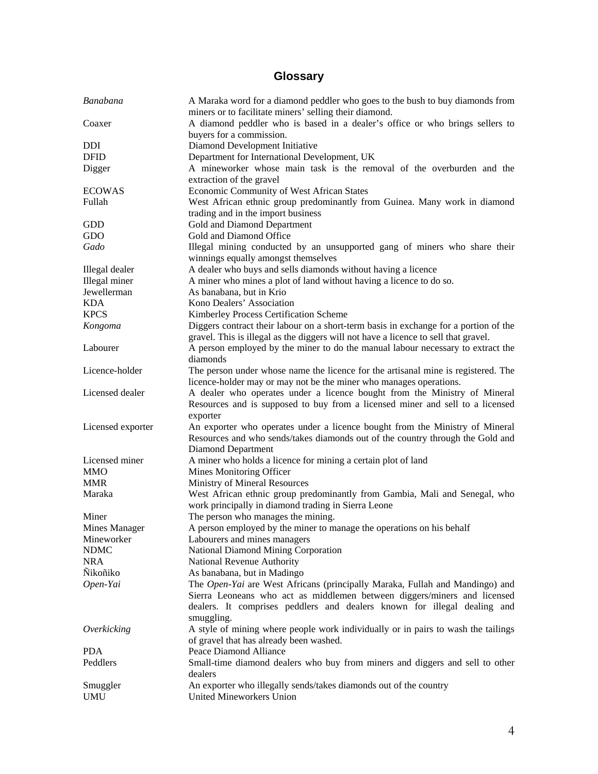# **Glossary**

| Banabana          | A Maraka word for a diamond peddler who goes to the bush to buy diamonds from<br>miners or to facilitate miners' selling their diamond. |
|-------------------|-----------------------------------------------------------------------------------------------------------------------------------------|
| Coaxer            | A diamond peddler who is based in a dealer's office or who brings sellers to                                                            |
|                   | buyers for a commission.                                                                                                                |
|                   |                                                                                                                                         |
| DDI               | Diamond Development Initiative                                                                                                          |
| <b>DFID</b>       | Department for International Development, UK                                                                                            |
| Digger            | A mineworker whose main task is the removal of the overburden and the                                                                   |
|                   | extraction of the gravel                                                                                                                |
| <b>ECOWAS</b>     | Economic Community of West African States                                                                                               |
| Fullah            | West African ethnic group predominantly from Guinea. Many work in diamond<br>trading and in the import business                         |
| GDD               | Gold and Diamond Department                                                                                                             |
| GDO               | Gold and Diamond Office                                                                                                                 |
| Gado              | Illegal mining conducted by an unsupported gang of miners who share their                                                               |
|                   | winnings equally amongst themselves                                                                                                     |
| Illegal dealer    | A dealer who buys and sells diamonds without having a licence                                                                           |
| Illegal miner     | A miner who mines a plot of land without having a licence to do so.                                                                     |
| Jewellerman       | As banabana, but in Krio                                                                                                                |
| <b>KDA</b>        | Kono Dealers' Association                                                                                                               |
| <b>KPCS</b>       | Kimberley Process Certification Scheme                                                                                                  |
| Kongoma           | Diggers contract their labour on a short-term basis in exchange for a portion of the                                                    |
|                   | gravel. This is illegal as the diggers will not have a licence to sell that gravel.                                                     |
| Labourer          | A person employed by the miner to do the manual labour necessary to extract the                                                         |
|                   | diamonds                                                                                                                                |
| Licence-holder    | The person under whose name the licence for the artisanal mine is registered. The                                                       |
|                   | licence-holder may or may not be the miner who manages operations.                                                                      |
| Licensed dealer   | A dealer who operates under a licence bought from the Ministry of Mineral                                                               |
|                   | Resources and is supposed to buy from a licensed miner and sell to a licensed                                                           |
|                   |                                                                                                                                         |
| Licensed exporter | exporter                                                                                                                                |
|                   | An exporter who operates under a licence bought from the Ministry of Mineral                                                            |
|                   | Resources and who sends/takes diamonds out of the country through the Gold and                                                          |
|                   | Diamond Department                                                                                                                      |
| Licensed miner    | A miner who holds a licence for mining a certain plot of land                                                                           |
| <b>MMO</b>        | Mines Monitoring Officer                                                                                                                |
| <b>MMR</b>        | Ministry of Mineral Resources                                                                                                           |
| Maraka            | West African ethnic group predominantly from Gambia, Mali and Senegal, who                                                              |
|                   | work principally in diamond trading in Sierra Leone                                                                                     |
| Miner             | The person who manages the mining.                                                                                                      |
| Mines Manager     | A person employed by the miner to manage the operations on his behalf                                                                   |
| Mineworker        | Labourers and mines managers                                                                                                            |
| <b>NDMC</b>       | National Diamond Mining Corporation                                                                                                     |
| <b>NRA</b>        | National Revenue Authority                                                                                                              |
| <b>Ñikoñiko</b>   | As banabana, but in Madingo                                                                                                             |
| Open-Yai          | The Open-Yai are West Africans (principally Maraka, Fullah and Mandingo) and                                                            |
|                   | Sierra Leoneans who act as middlemen between diggers/miners and licensed                                                                |
|                   | dealers. It comprises peddlers and dealers known for illegal dealing and                                                                |
|                   | smuggling.                                                                                                                              |
| Overkicking       | A style of mining where people work individually or in pairs to wash the tailings                                                       |
|                   | of gravel that has already been washed.                                                                                                 |
| <b>PDA</b>        | Peace Diamond Alliance                                                                                                                  |
| Peddlers          | Small-time diamond dealers who buy from miners and diggers and sell to other                                                            |
|                   | dealers                                                                                                                                 |
| Smuggler          | An exporter who illegally sends/takes diamonds out of the country                                                                       |
| <b>UMU</b>        | United Mineworkers Union                                                                                                                |
|                   |                                                                                                                                         |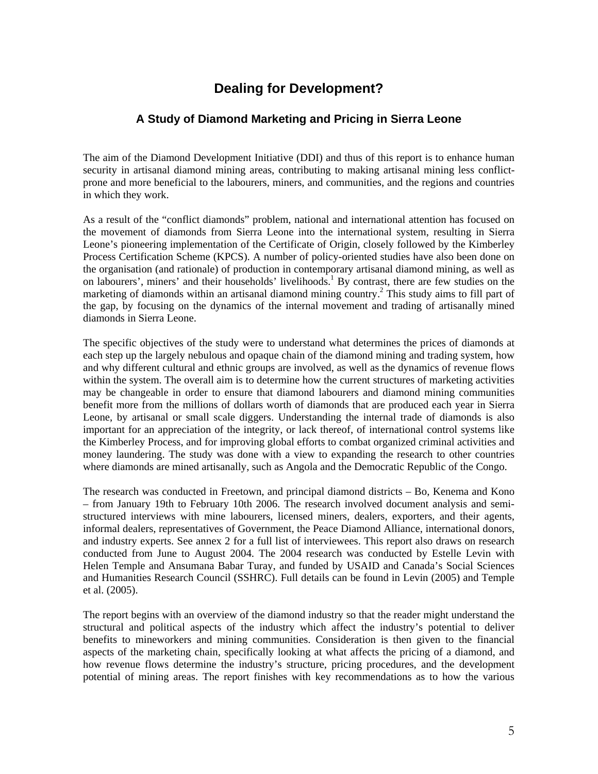## **Dealing for Development?**

### **A Study of Diamond Marketing and Pricing in Sierra Leone**

The aim of the Diamond Development Initiative (DDI) and thus of this report is to enhance human security in artisanal diamond mining areas, contributing to making artisanal mining less conflictprone and more beneficial to the labourers, miners, and communities, and the regions and countries in which they work.

As a result of the "conflict diamonds" problem, national and international attention has focused on the movement of diamonds from Sierra Leone into the international system, resulting in Sierra Leone's pioneering implementation of the Certificate of Origin, closely followed by the Kimberley Process Certification Scheme (KPCS). A number of policy-oriented studies have also been done on the organisation (and rationale) of production in contemporary artisanal diamond mining, as well as on labourers', miners' and their households' livelihoods.<sup>1</sup> By contrast, there are few studies on the marketing of diamonds within an artisanal diamond mining country. 2 This study aims to fill part of the gap, by focusing on the dynamics of the internal movement and trading of artisanally mined diamonds in Sierra Leone.

The specific objectives of the study were to understand what determines the prices of diamonds at each step up the largely nebulous and opaque chain of the diamond mining and trading system, how and why different cultural and ethnic groups are involved, as well as the dynamics of revenue flows within the system. The overall aim is to determine how the current structures of marketing activities may be changeable in order to ensure that diamond labourers and diamond mining communities benefit more from the millions of dollars worth of diamonds that are produced each year in Sierra Leone, by artisanal or small scale diggers. Understanding the internal trade of diamonds is also important for an appreciation of the integrity, or lack thereof, of international control systems like the Kimberley Process, and for improving global efforts to combat organized criminal activities and money laundering. The study was done with a view to expanding the research to other countries where diamonds are mined artisanally, such as Angola and the Democratic Republic of the Congo.

The research was conducted in Freetown, and principal diamond districts – Bo, Kenema and Kono – from January 19th to February 10th 2006. The research involved document analysis and semistructured interviews with mine labourers, licensed miners, dealers, exporters, and their agents, informal dealers, representatives of Government, the Peace Diamond Alliance, international donors, and industry experts. See annex 2 for a full list of interviewees. This report also draws on research conducted from June to August 2004. The 2004 research was conducted by Estelle Levin with Helen Temple and Ansumana Babar Turay, and funded by USAID and Canada's Social Sciences and Humanities Research Council (SSHRC). Full details can be found in Levin (2005) and Temple et al. (2005).

The report begins with an overview of the diamond industry so that the reader might understand the structural and political aspects of the industry which affect the industry's potential to deliver benefits to mineworkers and mining communities. Consideration is then given to the financial aspects of the marketing chain, specifically looking at what affects the pricing of a diamond, and how revenue flows determine the industry's structure, pricing procedures, and the development potential of mining areas. The report finishes with key recommendations as to how the various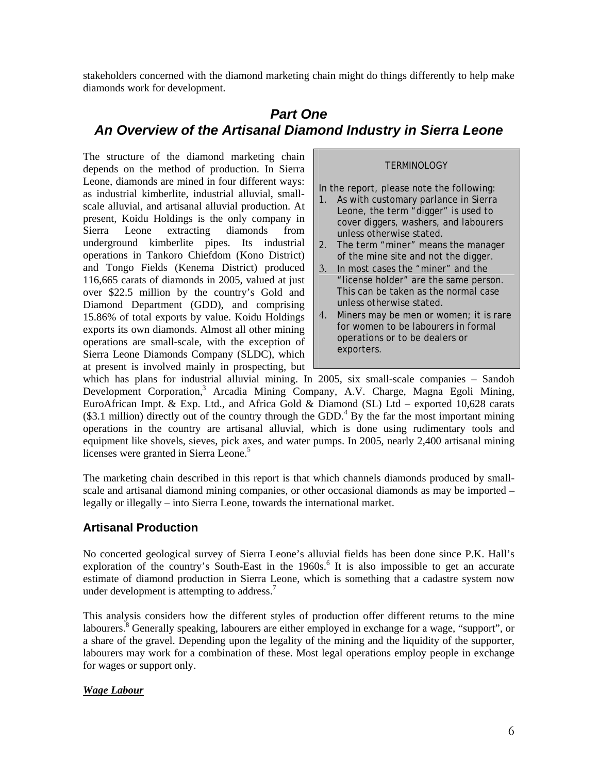stakeholders concerned with the diamond marketing chain might do things differently to help make diamonds work for development.

## *Part One An Overview of the Artisanal Diamond Industry in Sierra Leone*

The structure of the diamond marketing chain depends on the method of production. In Sierra Leone, diamonds are mined in four different ways: as industrial kimberlite, industrial alluvial, smallscale alluvial, and artisanal alluvial production. At present, Koidu Holdings is the only company in Sierra Leone extracting diamonds from underground kimberlite pipes. Its industrial operations in Tankoro Chiefdom (Kono District) and Tongo Fields (Kenema District) produced 116,665 carats of diamonds in 2005, valued at just over \$22.5 million by the country's Gold and Diamond Department (GDD), and comprising 15.86% of total exports by value. Koidu Holdings exports its own diamonds. Almost all other mining operations are small-scale, with the exception of Sierra Leone Diamonds Company (SLDC), which at present is involved mainly in prospecting, but

#### **TERMINOLOGY**

In the report, please note the following:

- 1. As with customary parlance in Sierra Leone, the term "digger" is used to cover diggers, washers, and labourers unless otherwise stated.
- 2. The term "miner" means the manager of the mine site and not the digger.
- 3. In most cases the "miner" and the "license holder" are the same person. This can be taken as the normal case unless otherwise stated.
- 4. Miners may be men or women; it is rare for women to be labourers in formal operations or to be dealers or exporters.

which has plans for industrial alluvial mining. In 2005, six small-scale companies – Sandoh Development Corporation,<sup>3</sup> Arcadia Mining Company, A.V. Charge, Magna Egoli Mining, EuroAfrican Impt. & Exp. Ltd., and Africa Gold & Diamond (SL) Ltd – exported 10,628 carats  $(\$3.1$  million) directly out of the country through the GDD.<sup>4</sup> By the far the most important mining operations in the country are artisanal alluvial, which is done using rudimentary tools and equipment like shovels, sieves, pick axes, and water pumps. In 2005, nearly 2,400 artisanal mining licenses were granted in Sierra Leone.<sup>5</sup>

The marketing chain described in this report is that which channels diamonds produced by smallscale and artisanal diamond mining companies, or other occasional diamonds as may be imported – legally or illegally – into Sierra Leone, towards the international market.

## **Artisanal Production**

No concerted geological survey of Sierra Leone's alluvial fields has been done since P.K. Hall's exploration of the country's South-East in the 1960s.<sup>6</sup> It is also impossible to get an accurate estimate of diamond production in Sierra Leone, which is something that a cadastre system now under development is attempting to address. $<sup>7</sup>$ </sup>

This analysis considers how the different styles of production offer different returns to the mine labourers.<sup>8</sup> Generally speaking, labourers are either employed in exchange for a wage, "support", or a share of the gravel. Depending upon the legality of the mining and the liquidity of the supporter, labourers may work for a combination of these. Most legal operations employ people in exchange for wages or support only.

#### *Wage Labour*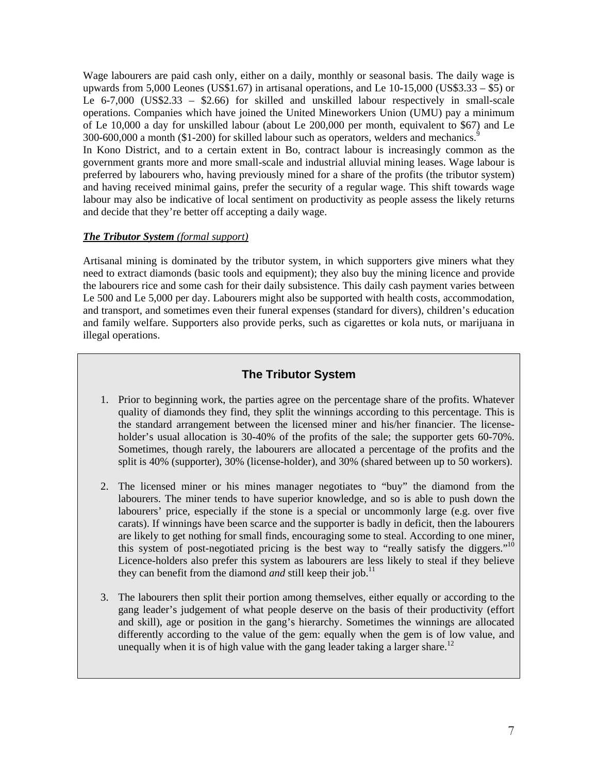Wage labourers are paid cash only, either on a daily, monthly or seasonal basis. The daily wage is upwards from 5,000 Leones (US\$1.67) in artisanal operations, and Le 10-15,000 (US\$3.33 – \$5) or Le 6-7,000 (US\$2.33 – \$2.66) for skilled and unskilled labour respectively in small-scale operations. Companies which have joined the United Mineworkers Union (UMU) pay a minimum of Le 10,000 a day for unskilled labour (about Le 200,000 per month, equivalent to \$67) and Le 300-600,000 a month (\$1-200) for skilled labour such as operators, welders and mechanics.<sup>9</sup>

In Kono District, and to a certain extent in Bo, contract labour is increasingly common as the government grants more and more small-scale and industrial alluvial mining leases. Wage labour is preferred by labourers who, having previously mined for a share of the profits (the tributor system) and having received minimal gains, prefer the security of a regular wage. This shift towards wage labour may also be indicative of local sentiment on productivity as people assess the likely returns and decide that they're better off accepting a daily wage.

#### *The Tributor System (formal support)*

Artisanal mining is dominated by the tributor system, in which supporters give miners what they need to extract diamonds (basic tools and equipment); they also buy the mining licence and provide the labourers rice and some cash for their daily subsistence. This daily cash payment varies between Le 500 and Le 5,000 per day. Labourers might also be supported with health costs, accommodation, and transport, and sometimes even their funeral expenses (standard for divers), children's education and family welfare. Supporters also provide perks, such as cigarettes or kola nuts, or marijuana in illegal operations.

## **The Tributor System**

- 1. Prior to beginning work, the parties agree on the percentage share of the profits. Whatever quality of diamonds they find, they split the winnings according to this percentage. This is the standard arrangement between the licensed miner and his/her financier. The licenseholder's usual allocation is 30-40% of the profits of the sale; the supporter gets 60-70%. Sometimes, though rarely, the labourers are allocated a percentage of the profits and the split is 40% (supporter), 30% (license-holder), and 30% (shared between up to 50 workers).
- 2. The licensed miner or his mines manager negotiates to "buy" the diamond from the labourers. The miner tends to have superior knowledge, and so is able to push down the labourers' price, especially if the stone is a special or uncommonly large (e.g. over five carats). If winnings have been scarce and the supporter is badly in deficit, then the labourers are likely to get nothing for small finds, encouraging some to steal. According to one miner, this system of post-negotiated pricing is the best way to "really satisfy the diggers."<sup>10</sup> Licence-holders also prefer this system as labourers are less likely to steal if they believe they can benefit from the diamond *and* still keep their job.<sup>11</sup>
- 3. The labourers then split their portion among themselves, either equally or according to the gang leader's judgement of what people deserve on the basis of their productivity (effort and skill), age or position in the gang's hierarchy. Sometimes the winnings are allocated differently according to the value of the gem: equally when the gem is of low value, and unequally when it is of high value with the gang leader taking a larger share.<sup>12</sup>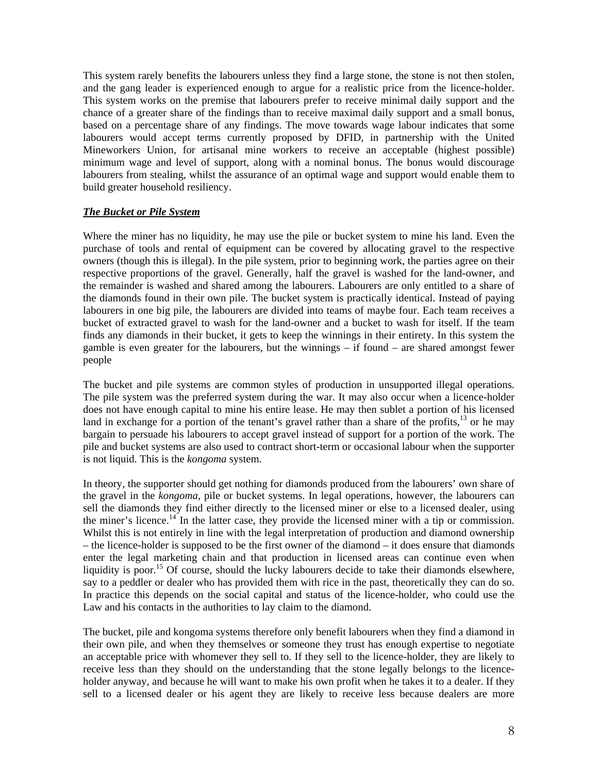This system rarely benefits the labourers unless they find a large stone, the stone is not then stolen, and the gang leader is experienced enough to argue for a realistic price from the licence-holder. This system works on the premise that labourers prefer to receive minimal daily support and the chance of a greater share of the findings than to receive maximal daily support and a small bonus, based on a percentage share of any findings. The move towards wage labour indicates that some labourers would accept terms currently proposed by DFID, in partnership with the United Mineworkers Union, for artisanal mine workers to receive an acceptable (highest possible) minimum wage and level of support, along with a nominal bonus. The bonus would discourage labourers from stealing, whilst the assurance of an optimal wage and support would enable them to build greater household resiliency.

#### *The Bucket or Pile System*

Where the miner has no liquidity, he may use the pile or bucket system to mine his land. Even the purchase of tools and rental of equipment can be covered by allocating gravel to the respective owners (though this is illegal). In the pile system, prior to beginning work, the parties agree on their respective proportions of the gravel. Generally, half the gravel is washed for the land-owner, and the remainder is washed and shared among the labourers. Labourers are only entitled to a share of the diamonds found in their own pile. The bucket system is practically identical. Instead of paying labourers in one big pile, the labourers are divided into teams of maybe four. Each team receives a bucket of extracted gravel to wash for the land-owner and a bucket to wash for itself. If the team finds any diamonds in their bucket, it gets to keep the winnings in their entirety. In this system the gamble is even greater for the labourers, but the winnings – if found – are shared amongst fewer people

The bucket and pile systems are common styles of production in unsupported illegal operations. The pile system was the preferred system during the war. It may also occur when a licence-holder does not have enough capital to mine his entire lease. He may then sublet a portion of his licensed land in exchange for a portion of the tenant's gravel rather than a share of the profits, $13$  or he may bargain to persuade his labourers to accept gravel instead of support for a portion of the work. The pile and bucket systems are also used to contract short-term or occasional labour when the supporter is not liquid. This is the *kongoma* system.

In theory, the supporter should get nothing for diamonds produced from the labourers' own share of the gravel in the *kongoma*, pile or bucket systems. In legal operations, however, the labourers can sell the diamonds they find either directly to the licensed miner or else to a licensed dealer, using the miner's licence.<sup>14</sup> In the latter case, they provide the licensed miner with a tip or commission. Whilst this is not entirely in line with the legal interpretation of production and diamond ownership – the licence-holder is supposed to be the first owner of the diamond – it does ensure that diamonds enter the legal marketing chain and that production in licensed areas can continue even when liquidity is poor.<sup>15</sup> Of course, should the lucky labourers decide to take their diamonds elsewhere, say to a peddler or dealer who has provided them with rice in the past, theoretically they can do so. In practice this depends on the social capital and status of the licence-holder, who could use the Law and his contacts in the authorities to lay claim to the diamond.

The bucket, pile and kongoma systems therefore only benefit labourers when they find a diamond in their own pile, and when they themselves or someone they trust has enough expertise to negotiate an acceptable price with whomever they sell to. If they sell to the licence-holder, they are likely to receive less than they should on the understanding that the stone legally belongs to the licenceholder anyway, and because he will want to make his own profit when he takes it to a dealer. If they sell to a licensed dealer or his agent they are likely to receive less because dealers are more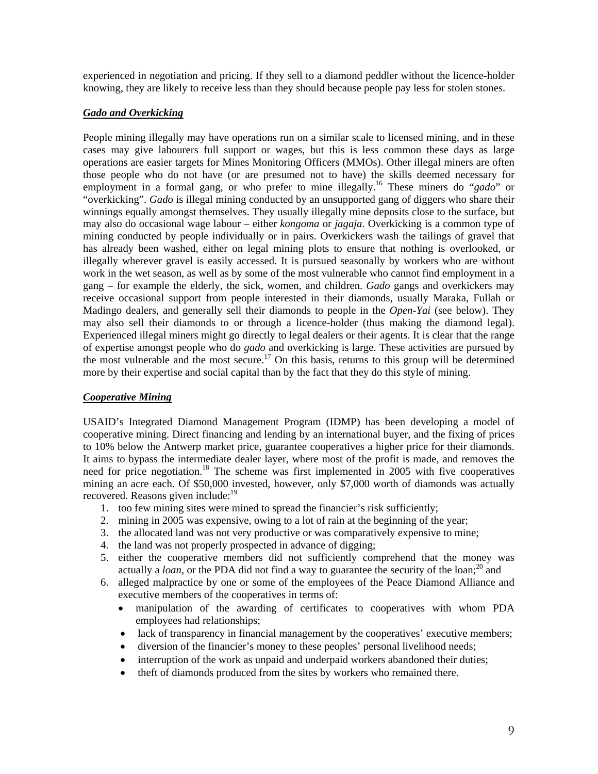experienced in negotiation and pricing. If they sell to a diamond peddler without the licence-holder knowing, they are likely to receive less than they should because people pay less for stolen stones.

#### *Gado and Overkicking*

People mining illegally may have operations run on a similar scale to licensed mining, and in these cases may give labourers full support or wages, but this is less common these days as large operations are easier targets for Mines Monitoring Officers (MMOs). Other illegal miners are often those people who do not have (or are presumed not to have) the skills deemed necessary for employment in a formal gang, or who prefer to mine illegally.<sup>16</sup> These miners do "*gado*" or "overkicking". *Gado* is illegal mining conducted by an unsupported gang of diggers who share their winnings equally amongst themselves. They usually illegally mine deposits close to the surface, but may also do occasional wage labour – either *kongoma* or *jagaja*. Overkicking is a common type of mining conducted by people individually or in pairs. Overkickers wash the tailings of gravel that has already been washed, either on legal mining plots to ensure that nothing is overlooked, or illegally wherever gravel is easily accessed. It is pursued seasonally by workers who are without work in the wet season, as well as by some of the most vulnerable who cannot find employment in a gang – for example the elderly, the sick, women, and children. *Gado* gangs and overkickers may receive occasional support from people interested in their diamonds, usually Maraka, Fullah or Madingo dealers, and generally sell their diamonds to people in the *Open-Yai* (see below). They may also sell their diamonds to or through a licence-holder (thus making the diamond legal). Experienced illegal miners might go directly to legal dealers or their agents. It is clear that the range of expertise amongst people who do *gado* and overkicking is large. These activities are pursued by the most vulnerable and the most secure.<sup>17</sup> On this basis, returns to this group will be determined more by their expertise and social capital than by the fact that they do this style of mining.

#### *Cooperative Mining*

USAID's Integrated Diamond Management Program (IDMP) has been developing a model of cooperative mining. Direct financing and lending by an international buyer, and the fixing of prices to 10% below the Antwerp market price, guarantee cooperatives a higher price for their diamonds. It aims to bypass the intermediate dealer layer, where most of the profit is made, and removes the need for price negotiation.<sup>18</sup> The scheme was first implemented in 2005 with five cooperatives mining an acre each. Of \$50,000 invested, however, only \$7,000 worth of diamonds was actually recovered. Reasons given include:<sup>19</sup>

- 1. too few mining sites were mined to spread the financier's risk sufficiently;
- 2. mining in 2005 was expensive, owing to a lot of rain at the beginning of the year;
- 3. the allocated land was not very productive or was comparatively expensive to mine;
- 4. the land was not properly prospected in advance of digging;
- 5. either the cooperative members did not sufficiently comprehend that the money was actually a *loan*, or the PDA did not find a way to guarantee the security of the loan;<sup>20</sup> and
- 6. alleged malpractice by one or some of the employees of the Peace Diamond Alliance and executive members of the cooperatives in terms of:
	- manipulation of the awarding of certificates to cooperatives with whom PDA employees had relationships;
	- lack of transparency in financial management by the cooperatives' executive members;
	- diversion of the financier's money to these peoples' personal livelihood needs;
	- interruption of the work as unpaid and underpaid workers abandoned their duties;
	- theft of diamonds produced from the sites by workers who remained there.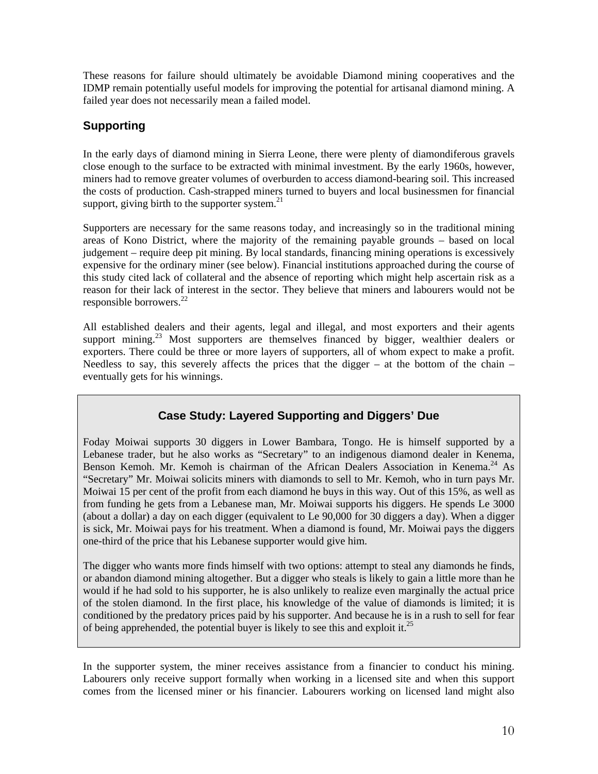These reasons for failure should ultimately be avoidable Diamond mining cooperatives and the IDMP remain potentially useful models for improving the potential for artisanal diamond mining. A failed year does not necessarily mean a failed model.

## **Supporting**

In the early days of diamond mining in Sierra Leone, there were plenty of diamondiferous gravels close enough to the surface to be extracted with minimal investment. By the early 1960s, however, miners had to remove greater volumes of overburden to access diamond-bearing soil. This increased the costs of production. Cash-strapped miners turned to buyers and local businessmen for financial support, giving birth to the supporter system.<sup>21</sup>

Supporters are necessary for the same reasons today, and increasingly so in the traditional mining areas of Kono District, where the majority of the remaining payable grounds – based on local judgement – require deep pit mining. By local standards, financing mining operations is excessively expensive for the ordinary miner (see below). Financial institutions approached during the course of this study cited lack of collateral and the absence of reporting which might help ascertain risk as a reason for their lack of interest in the sector. They believe that miners and labourers would not be responsible borrowers. $^{22}$ 

All established dealers and their agents, legal and illegal, and most exporters and their agents support mining.<sup>23</sup> Most supporters are themselves financed by bigger, wealthier dealers or exporters. There could be three or more layers of supporters, all of whom expect to make a profit. Needless to say, this severely affects the prices that the digger – at the bottom of the chain – eventually gets for his winnings.

## **Case Study: Layered Supporting and Diggers' Due**

Foday Moiwai supports 30 diggers in Lower Bambara, Tongo. He is himself supported by a Lebanese trader, but he also works as "Secretary" to an indigenous diamond dealer in Kenema, Benson Kemoh. Mr. Kemoh is chairman of the African Dealers Association in Kenema.<sup>24</sup> As "Secretary" Mr. Moiwai solicits miners with diamonds to sell to Mr. Kemoh, who in turn pays Mr. Moiwai 15 per cent of the profit from each diamond he buys in this way. Out of this 15%, as well as from funding he gets from a Lebanese man, Mr. Moiwai supports his diggers. He spends Le 3000 (about a dollar) a day on each digger (equivalent to Le 90,000 for 30 diggers a day). When a digger is sick, Mr. Moiwai pays for his treatment. When a diamond is found, Mr. Moiwai pays the diggers one-third of the price that his Lebanese supporter would give him.

The digger who wants more finds himself with two options: attempt to steal any diamonds he finds, or abandon diamond mining altogether. But a digger who steals is likely to gain a little more than he would if he had sold to his supporter, he is also unlikely to realize even marginally the actual price of the stolen diamond. In the first place, his knowledge of the value of diamonds is limited; it is conditioned by the predatory prices paid by his supporter. And because he is in a rush to sell for fear of being apprehended, the potential buyer is likely to see this and exploit it.<sup>25</sup>

In the supporter system, the miner receives assistance from a financier to conduct his mining. Labourers only receive support formally when working in a licensed site and when this support comes from the licensed miner or his financier. Labourers working on licensed land might also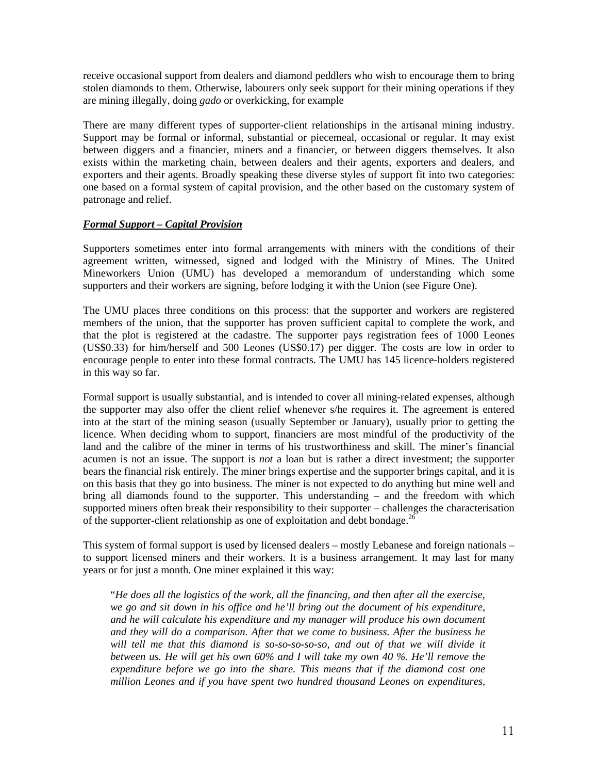receive occasional support from dealers and diamond peddlers who wish to encourage them to bring stolen diamonds to them. Otherwise, labourers only seek support for their mining operations if they are mining illegally, doing *gado* or overkicking, for example

There are many different types of supporter-client relationships in the artisanal mining industry. Support may be formal or informal, substantial or piecemeal, occasional or regular. It may exist between diggers and a financier, miners and a financier, or between diggers themselves. It also exists within the marketing chain, between dealers and their agents, exporters and dealers, and exporters and their agents. Broadly speaking these diverse styles of support fit into two categories: one based on a formal system of capital provision, and the other based on the customary system of patronage and relief.

#### *Formal Support – Capital Provision*

Supporters sometimes enter into formal arrangements with miners with the conditions of their agreement written, witnessed, signed and lodged with the Ministry of Mines. The United Mineworkers Union (UMU) has developed a memorandum of understanding which some supporters and their workers are signing, before lodging it with the Union (see Figure One).

The UMU places three conditions on this process: that the supporter and workers are registered members of the union, that the supporter has proven sufficient capital to complete the work, and that the plot is registered at the cadastre. The supporter pays registration fees of 1000 Leones (US\$0.33) for him/herself and 500 Leones (US\$0.17) per digger. The costs are low in order to encourage people to enter into these formal contracts. The UMU has 145 licence-holders registered in this way so far.

Formal support is usually substantial, and is intended to cover all mining-related expenses, although the supporter may also offer the client relief whenever s/he requires it. The agreement is entered into at the start of the mining season (usually September or January), usually prior to getting the licence. When deciding whom to support, financiers are most mindful of the productivity of the land and the calibre of the miner in terms of his trustworthiness and skill. The miner's financial acumen is not an issue. The support is *not* a loan but is rather a direct investment; the supporter bears the financial risk entirely. The miner brings expertise and the supporter brings capital, and it is on this basis that they go into business. The miner is not expected to do anything but mine well and bring all diamonds found to the supporter. This understanding – and the freedom with which supported miners often break their responsibility to their supporter – challenges the characterisation of the supporter-client relationship as one of exploitation and debt bondage.<sup>26</sup>

This system of formal support is used by licensed dealers – mostly Lebanese and foreign nationals – to support licensed miners and their workers. It is a business arrangement. It may last for many years or for just a month. One miner explained it this way:

"*He does all the logistics of the work, all the financing, and then after all the exercise, we go and sit down in his office and he'll bring out the document of his expenditure, and he will calculate his expenditure and my manager will produce his own document and they will do a comparison. After that we come to business. After the business he* will tell me that this diamond is so-so-so-so-so, and out of that we will divide it *between us. He will get his own 60% and I will take my own 40 %. He'll remove the expenditure before we go into the share. This means that if the diamond cost one million Leones and if you have spent two hundred thousand Leones on expenditures,*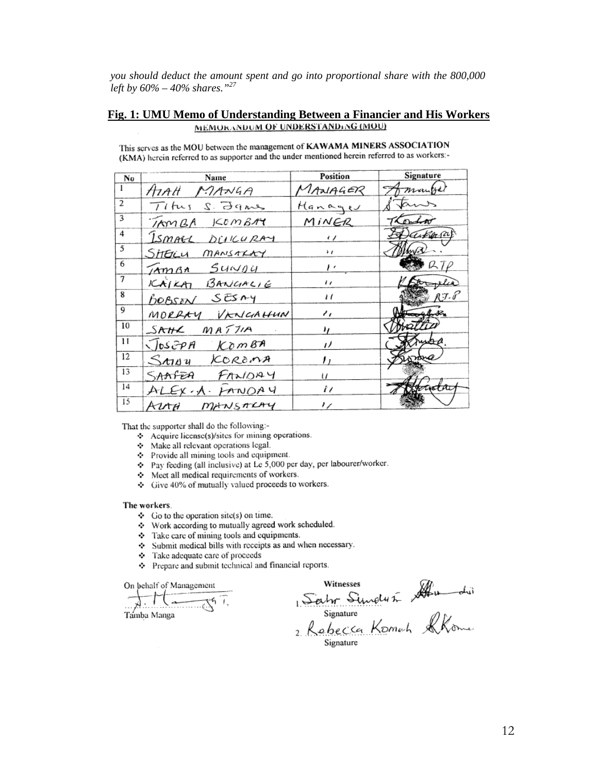*you should deduct the amount spent and go into proportional share with the 800,000 left by 60% – 40% shares."27*

#### **Fig. 1: UMU Memo of Understanding Between a Financier and His Workers** MEMORANDOM OF UNDERSTANDING (MOU)

| Nο             | Name                        | Position                 | Signature  |
|----------------|-----------------------------|--------------------------|------------|
|                | ATAH MANGA                  | MANAGER                  | mangel     |
| $\overline{2}$ | Titus S. James              | Hanages                  | tans       |
| 3              | TAMBA KOMBAY                | MINER                    | Thombor    |
| 4              | ISMALL DUICURAY             | $\prime$ / $\phantom{0}$ | Darkaraf   |
| 5              | Sheru<br>MANSALAY           | $\ddot{\phantom{1}}$     |            |
| 6              | $Mm$ $g_n$ $S$ uw $g$ u     | , ,                      | $R_{\ell}$ |
| $\overline{7}$ | BANGALIE<br>$K$ $N$ $K$ $n$ | $^{\prime}$              | ιà         |
| 8              | BOBSON SESMY                | $\iota$                  | $RT - P$   |
| 9              | MORRAY VENIGAHUN            | ı.                       | ahoth      |
| 10             | SAHR MATIA                  | ,,                       |            |
| Н              | JOSEPH KOMBA                | "                        | yДA.       |
| 12             | SMAY KOROMA                 | ,,                       |            |
| 13             | SAAFEA FANDAY               | u                        |            |
| 14             | ALEX.A. FANDAY              | t i                      | बाग्र      |
| 15             | Avra<br>MANSALAY            | 17                       |            |

This serves as the MOU between the management of KAWAMA MINERS ASSOCIATION (KMA) herein referred to as supporter and the under mentioned herein referred to as workers:-

That the supporter shall do the following:-

- Acquire license(s)/sites for mining operations.
- Make all relevant operations legal.
- Provide all mining tools and equipment.
- $\div$  Pay feeding (all inclusive) at Le 5,000 per day, per labourer/worker.
- Meet all medical requirements of workers.
- Give 40% of mutually valued proceeds to workers.

#### The workers

- $\div$  Go to the operation site(s) on time.
- Work according to mutually agreed work scheduled.
- Take care of mining tools and equipments.
- Submit medical bills with receipts as and when necessary.
- Take adequate care of proceeds
- ❖ Prepare and submit technical and financial reports.

On behalf of Management

 $\sqrt{1-\frac{1}{\sqrt{2}}\sqrt{1-\frac{1}{2}}\sqrt{1-\frac{1}{2}}\sqrt{1-\frac{1}{2}}\sqrt{1-\frac{1}{2}}\sqrt{1-\frac{1}{2}}\sqrt{1-\frac{1}{2}}\sqrt{1-\frac{1}{2}}\sqrt{1-\frac{1}{2}}\sqrt{1-\frac{1}{2}}\sqrt{1-\frac{1}{2}}\sqrt{1-\frac{1}{2}}\sqrt{1-\frac{1}{2}}\sqrt{1-\frac{1}{2}}\sqrt{1-\frac{1}{2}}\sqrt{1-\frac{1}{2}}\sqrt{1-\frac{1}{2}}\sqrt{1-\frac{1}{2}}\sqrt{1-\frac{1}{2}}\sqrt{1-\frac{1$ Tamba Manga

Witnesses<br>Salm Simply & Audit<br>Signature<br>2 Robecca Komch RKome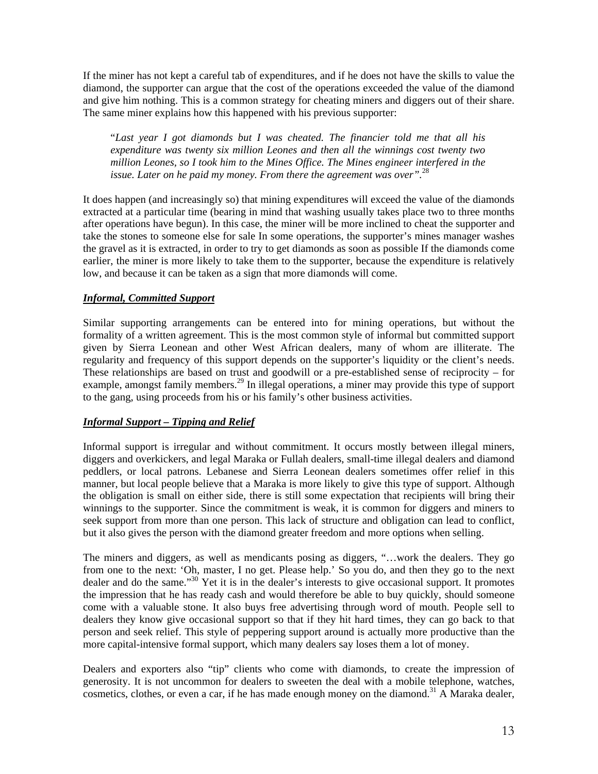If the miner has not kept a careful tab of expenditures, and if he does not have the skills to value the diamond, the supporter can argue that the cost of the operations exceeded the value of the diamond and give him nothing. This is a common strategy for cheating miners and diggers out of their share. The same miner explains how this happened with his previous supporter:

"*Last year I got diamonds but I was cheated. The financier told me that all his expenditure was twenty six million Leones and then all the winnings cost twenty two million Leones, so I took him to the Mines Office. The Mines engineer interfered in the issue. Later on he paid my money. From there the agreement was over".*<sup>28</sup>

It does happen (and increasingly so) that mining expenditures will exceed the value of the diamonds extracted at a particular time (bearing in mind that washing usually takes place two to three months after operations have begun). In this case, the miner will be more inclined to cheat the supporter and take the stones to someone else for sale In some operations, the supporter's mines manager washes the gravel as it is extracted, in order to try to get diamonds as soon as possible If the diamonds come earlier, the miner is more likely to take them to the supporter, because the expenditure is relatively low, and because it can be taken as a sign that more diamonds will come.

#### *Informal, Committed Support*

Similar supporting arrangements can be entered into for mining operations, but without the formality of a written agreement. This is the most common style of informal but committed support given by Sierra Leonean and other West African dealers, many of whom are illiterate. The regularity and frequency of this support depends on the supporter's liquidity or the client's needs. These relationships are based on trust and goodwill or a pre-established sense of reciprocity – for example, amongst family members.<sup>29</sup> In illegal operations, a miner may provide this type of support to the gang, using proceeds from his or his family's other business activities.

#### *Informal Support – Tipping and Relief*

Informal support is irregular and without commitment. It occurs mostly between illegal miners, diggers and overkickers, and legal Maraka or Fullah dealers, small-time illegal dealers and diamond peddlers, or local patrons. Lebanese and Sierra Leonean dealers sometimes offer relief in this manner, but local people believe that a Maraka is more likely to give this type of support. Although the obligation is small on either side, there is still some expectation that recipients will bring their winnings to the supporter. Since the commitment is weak, it is common for diggers and miners to seek support from more than one person. This lack of structure and obligation can lead to conflict, but it also gives the person with the diamond greater freedom and more options when selling.

The miners and diggers, as well as mendicants posing as diggers, "…work the dealers. They go from one to the next: 'Oh, master, I no get. Please help.' So you do, and then they go to the next dealer and do the same."<sup>30</sup> Yet it is in the dealer's interests to give occasional support. It promotes the impression that he has ready cash and would therefore be able to buy quickly, should someone come with a valuable stone. It also buys free advertising through word of mouth. People sell to dealers they know give occasional support so that if they hit hard times, they can go back to that person and seek relief. This style of peppering support around is actually more productive than the more capital-intensive formal support, which many dealers say loses them a lot of money.

Dealers and exporters also "tip" clients who come with diamonds, to create the impression of generosity. It is not uncommon for dealers to sweeten the deal with a mobile telephone, watches, cosmetics, clothes, or even a car, if he has made enough money on the diamond.<sup>31</sup> A Maraka dealer,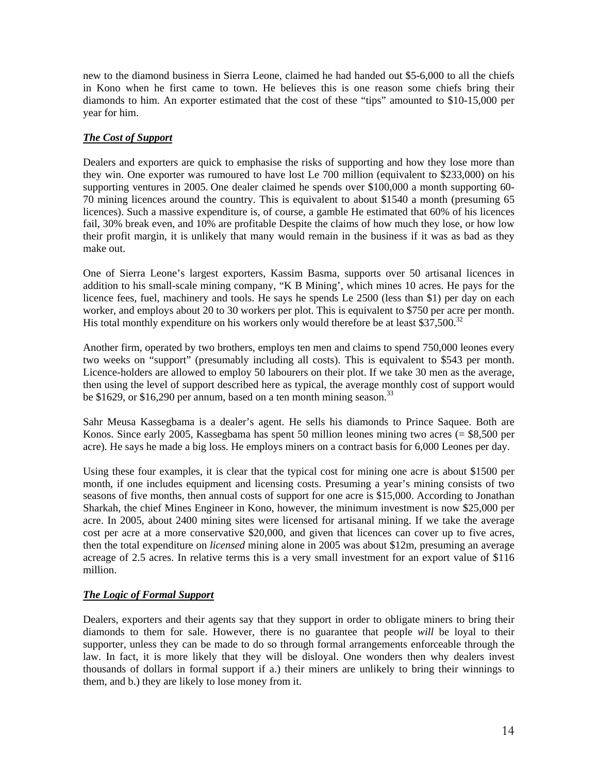new to the diamond business in Sierra Leone, claimed he had handed out \$5-6,000 to all the chiefs in Kono when he first came to town. He believes this is one reason some chiefs bring their diamonds to him. An exporter estimated that the cost of these "tips" amounted to \$10-15,000 per year for him.

### *The Cost of Support*

Dealers and exporters are quick to emphasise the risks of supporting and how they lose more than they win. One exporter was rumoured to have lost Le 700 million (equivalent to \$233,000) on his supporting ventures in 2005. One dealer claimed he spends over \$100,000 a month supporting 60- 70 mining licences around the country. This is equivalent to about \$1540 a month (presuming 65 licences). Such a massive expenditure is, of course, a gamble He estimated that 60% of his licences fail, 30% break even, and 10% are profitable Despite the claims of how much they lose, or how low their profit margin, it is unlikely that many would remain in the business if it was as bad as they make out.

One of Sierra Leone's largest exporters, Kassim Basma, supports over 50 artisanal licences in addition to his small-scale mining company, "K B Mining', which mines 10 acres. He pays for the licence fees, fuel, machinery and tools. He says he spends Le 2500 (less than \$1) per day on each worker, and employs about 20 to 30 workers per plot. This is equivalent to \$750 per acre per month. His total monthly expenditure on his workers only would therefore be at least  $$37,500.<sup>32</sup>$ 

Another firm, operated by two brothers, employs ten men and claims to spend 750,000 leones every two weeks on "support" (presumably including all costs). This is equivalent to \$543 per month. Licence-holders are allowed to employ 50 labourers on their plot. If we take 30 men as the average, then using the level of support described here as typical, the average monthly cost of support would be \$1629, or \$16,290 per annum, based on a ten month mining season.<sup>33</sup>

Sahr Meusa Kassegbama is a dealer's agent. He sells his diamonds to Prince Saquee. Both are Konos. Since early 2005, Kassegbama has spent 50 million leones mining two acres (= \$8,500 per acre). He says he made a big loss. He employs miners on a contract basis for 6,000 Leones per day.

Using these four examples, it is clear that the typical cost for mining one acre is about \$1500 per month, if one includes equipment and licensing costs. Presuming a year's mining consists of two seasons of five months, then annual costs of support for one acre is \$15,000. According to Jonathan Sharkah, the chief Mines Engineer in Kono, however, the minimum investment is now \$25,000 per acre. In 2005, about 2400 mining sites were licensed for artisanal mining. If we take the average cost per acre at a more conservative \$20,000, and given that licences can cover up to five acres, then the total expenditure on *licensed* mining alone in 2005 was about \$12m, presuming an average acreage of 2.5 acres. In relative terms this is a very small investment for an export value of \$116 million.

#### *The Logic of Formal Support*

Dealers, exporters and their agents say that they support in order to obligate miners to bring their diamonds to them for sale. However, there is no guarantee that people *will* be loyal to their supporter, unless they can be made to do so through formal arrangements enforceable through the law. In fact, it is more likely that they will be disloyal. One wonders then why dealers invest thousands of dollars in formal support if a.) their miners are unlikely to bring their winnings to them, and b.) they are likely to lose money from it.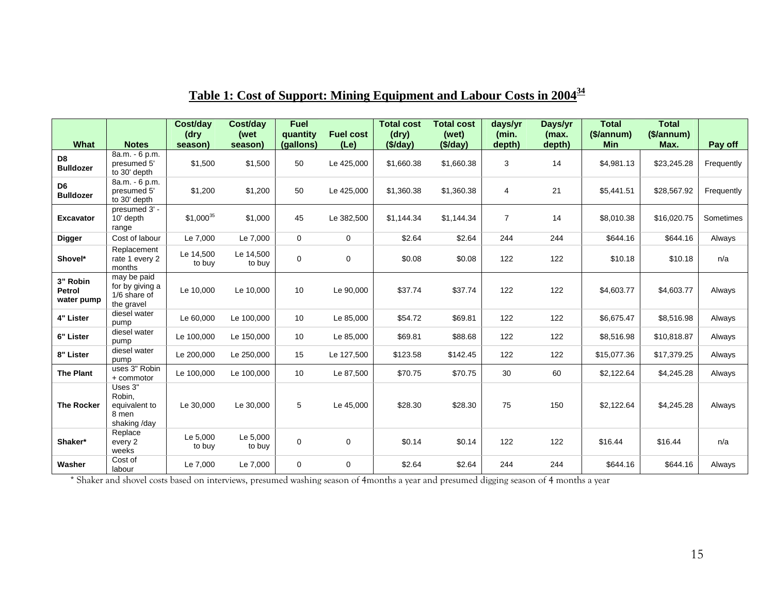|                                    |                                                              | Cost/day<br>(dry    | Cost/day<br>(wet    | <b>Fuel</b><br>quantity | <b>Fuel cost</b> | <b>Total cost</b><br>(dry) | <b>Total cost</b><br>(wet) | days/yr<br>(min. | Days/yr<br>(max. | <b>Total</b><br>$(S/\text{annum})$ | <b>Total</b><br>$(S/\text{annum})$ |            |
|------------------------------------|--------------------------------------------------------------|---------------------|---------------------|-------------------------|------------------|----------------------------|----------------------------|------------------|------------------|------------------------------------|------------------------------------|------------|
| What                               | <b>Notes</b>                                                 | season)             | season)             | (gallons)               | (Le)             | (\$/day)                   | (\$/day)                   | depth)           | depth)           | <b>Min</b>                         | Max.                               | Pay off    |
| D <sub>8</sub><br><b>Bulldozer</b> | 8a.m. - 6 p.m.<br>presumed 5'<br>to 30' depth                | \$1,500             | \$1,500             | 50                      | Le 425,000       | \$1,660.38                 | \$1,660.38                 | 3                | 14               | \$4,981.13                         | \$23,245.28                        | Frequently |
| D <sub>6</sub><br><b>Bulldozer</b> | 8a.m. - 6 p.m.<br>presumed 5'<br>to 30' depth                | \$1,200             | \$1,200             | 50                      | Le 425,000       | \$1,360.38                 | \$1,360.38                 | 4                | 21               | \$5,441.51                         | \$28,567.92                        | Frequently |
| <b>Excavator</b>                   | presumed 3' -<br>10' depth<br>range                          | $$1,000^{35}$       | \$1,000             | 45                      | Le 382,500       | \$1,144.34                 | \$1,144.34                 | $\overline{7}$   | 14               | \$8,010.38                         | \$16,020.75                        | Sometimes  |
| <b>Digger</b>                      | Cost of labour                                               | Le 7,000            | Le 7,000            | $\Omega$                | $\Omega$         | \$2.64                     | \$2.64                     | 244              | 244              | \$644.16                           | \$644.16                           | Always     |
| Shovel*                            | Replacement<br>rate 1 every 2<br>months                      | Le 14,500<br>to buy | Le 14,500<br>to buy | $\mathbf 0$             | $\mathbf 0$      | \$0.08                     | \$0.08                     | 122              | 122              | \$10.18                            | \$10.18                            | n/a        |
| 3" Robin<br>Petrol<br>water pump   | may be paid<br>for by giving a<br>1/6 share of<br>the gravel | Le 10,000           | Le 10,000           | 10                      | Le 90,000        | \$37.74                    | \$37.74                    | 122              | 122              | \$4,603.77                         | \$4,603.77                         | Always     |
| 4" Lister                          | diesel water<br>pump                                         | Le 60,000           | Le 100,000          | 10                      | Le 85,000        | \$54.72                    | \$69.81                    | 122              | 122              | \$6,675.47                         | \$8,516.98                         | Always     |
| 6" Lister                          | diesel water<br>pump                                         | Le 100,000          | Le 150,000          | 10                      | Le 85,000        | \$69.81                    | \$88.68                    | 122              | 122              | \$8,516.98                         | \$10,818.87                        | Always     |
| 8" Lister                          | diesel water<br>pump                                         | Le 200,000          | Le 250,000          | 15                      | Le 127,500       | \$123.58                   | \$142.45                   | 122              | 122              | \$15,077.36                        | \$17,379.25                        | Always     |
| <b>The Plant</b>                   | uses 3" Robin<br>+ commotor                                  | Le 100,000          | Le 100,000          | 10                      | Le 87,500        | \$70.75                    | \$70.75                    | 30               | 60               | \$2,122.64                         | \$4,245.28                         | Always     |
| <b>The Rocker</b>                  | Uses 3"<br>Robin,<br>equivalent to<br>8 men<br>shaking/day   | Le 30,000           | Le 30,000           | 5                       | Le 45,000        | \$28.30                    | \$28.30                    | 75               | 150              | \$2,122.64                         | \$4,245.28                         | Always     |
| Shaker*                            | Replace<br>every 2<br>weeks                                  | Le 5,000<br>to buy  | Le 5,000<br>to buy  | $\mathbf 0$             | $\mathbf 0$      | \$0.14                     | \$0.14                     | 122              | 122              | \$16.44                            | \$16.44                            | n/a        |
| Washer                             | Cost of<br>labour                                            | Le 7,000            | Le 7,000            | $\mathbf 0$             | $\mathbf 0$      | \$2.64                     | \$2.64                     | 244              | 244              | \$644.16                           | \$644.16                           | Always     |

# **Table 1: Cost of Support: Mining Equipment and Labour Costs in 2004<sup>34</sup>**

\* Shaker and s hovel costs based on interviews, presumed washing season of 4months a year and presumed digging seaso n of 4 months a year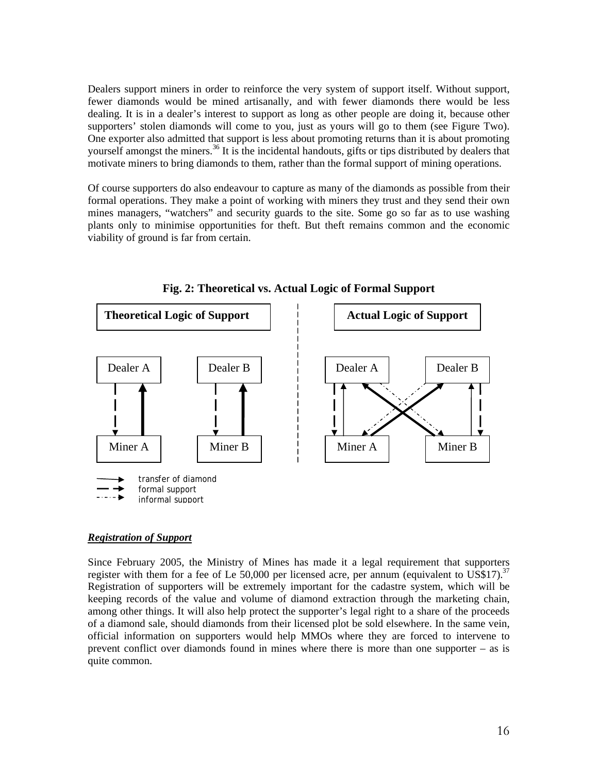Dealers support miners in order to reinforce the very system of support itself. Without support, fewer diamonds would be mined artisanally, and with fewer diamonds there would be less dealing. It is in a dealer's interest to support as long as other people are doing it, because other supporters' stolen diamonds will come to you, just as yours will go to them (see Figure Two). One exporter also admitted that support is less about promoting returns than it is about promoting yourself amongst the miners.<sup>36</sup> It is the incidental handouts, gifts or tips distributed by dealers that motivate miners to bring diamonds to them, rather than the formal support of mining operations.

Of course supporters do also endeavour to capture as many of the diamonds as possible from their formal operations. They make a point of working with miners they trust and they send their own mines managers, "watchers" and security guards to the site. Some go so far as to use washing plants only to minimise opportunities for theft. But theft remains common and the economic viability of ground is far from certain.



**Fig. 2: Theoretical vs. Actual Logic of Formal Support** 

#### *Registration of Support*

Since February 2005, the Ministry of Mines has made it a legal requirement that supporters register with them for a fee of Le  $50,000$  per licensed acre, per annum (equivalent to US\$17).<sup>37</sup> Registration of supporters will be extremely important for the cadastre system, which will be keeping records of the value and volume of diamond extraction through the marketing chain, among other things. It will also help protect the supporter's legal right to a share of the proceeds of a diamond sale, should diamonds from their licensed plot be sold elsewhere. In the same vein, official information on supporters would help MMOs where they are forced to intervene to prevent conflict over diamonds found in mines where there is more than one supporter – as is quite common.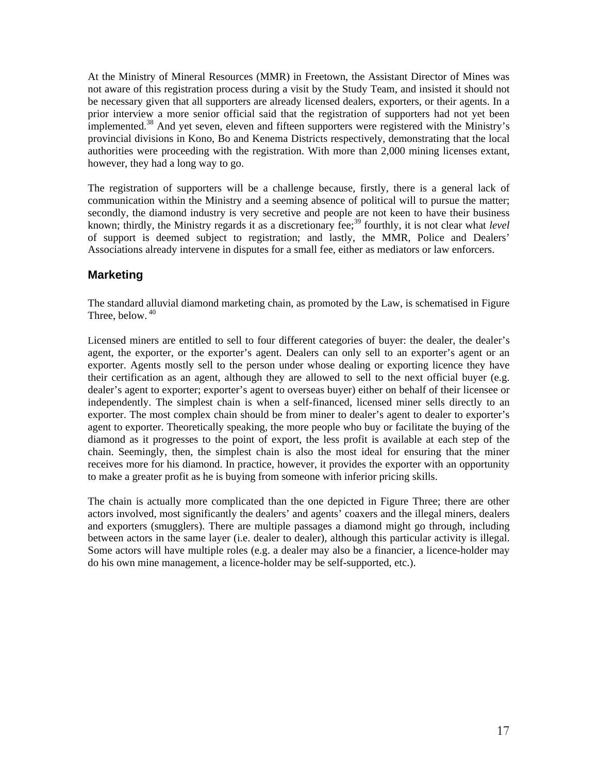At the Ministry of Mineral Resources (MMR) in Freetown, the Assistant Director of Mines was not aware of this registration process during a visit by the Study Team, and insisted it should not be necessary given that all supporters are already licensed dealers, exporters, or their agents. In a prior interview a more senior official said that the registration of supporters had not yet been implemented.<sup>38</sup> And yet seven, eleven and fifteen supporters were registered with the Ministry's provincial divisions in Kono, Bo and Kenema Districts respectively, demonstrating that the local authorities were proceeding with the registration. With more than 2,000 mining licenses extant, however, they had a long way to go.

The registration of supporters will be a challenge because, firstly, there is a general lack of communication within the Ministry and a seeming absence of political will to pursue the matter; secondly, the diamond industry is very secretive and people are not keen to have their business known; thirdly, the Ministry regards it as a discretionary fee;<sup>39</sup> fourthly, it is not clear what *level* of support is deemed subject to registration; and lastly, the MMR, Police and Dealers' Associations already intervene in disputes for a small fee, either as mediators or law enforcers.

### **Marketing**

The standard alluvial diamond marketing chain, as promoted by the Law, is schematised in Figure Three, below.  $40$ 

Licensed miners are entitled to sell to four different categories of buyer: the dealer, the dealer's agent, the exporter, or the exporter's agent. Dealers can only sell to an exporter's agent or an exporter. Agents mostly sell to the person under whose dealing or exporting licence they have their certification as an agent, although they are allowed to sell to the next official buyer (e.g. dealer's agent to exporter; exporter's agent to overseas buyer) either on behalf of their licensee or independently. The simplest chain is when a self-financed, licensed miner sells directly to an exporter. The most complex chain should be from miner to dealer's agent to dealer to exporter's agent to exporter. Theoretically speaking, the more people who buy or facilitate the buying of the diamond as it progresses to the point of export, the less profit is available at each step of the chain. Seemingly, then, the simplest chain is also the most ideal for ensuring that the miner receives more for his diamond. In practice, however, it provides the exporter with an opportunity to make a greater profit as he is buying from someone with inferior pricing skills.

The chain is actually more complicated than the one depicted in Figure Three; there are other actors involved, most significantly the dealers' and agents' coaxers and the illegal miners, dealers and exporters (smugglers). There are multiple passages a diamond might go through, including between actors in the same layer (i.e. dealer to dealer), although this particular activity is illegal. Some actors will have multiple roles (e.g. a dealer may also be a financier, a licence-holder may do his own mine management, a licence-holder may be self-supported, etc.).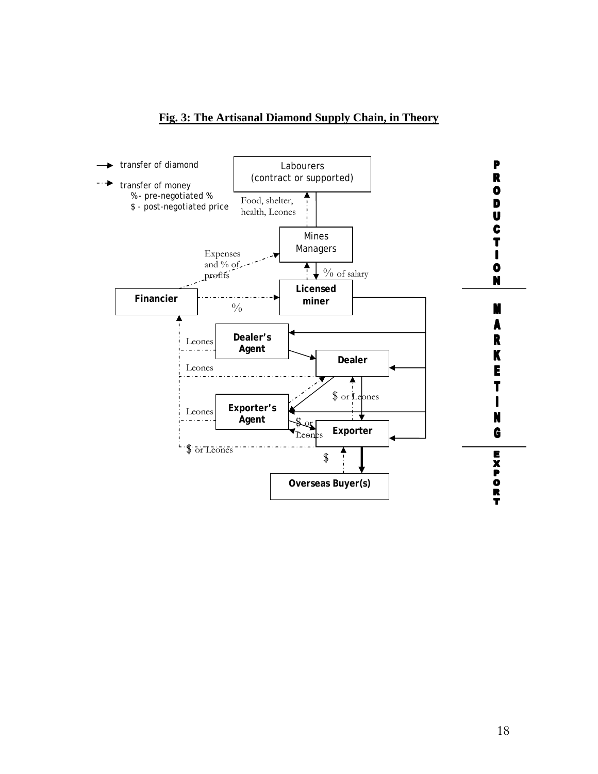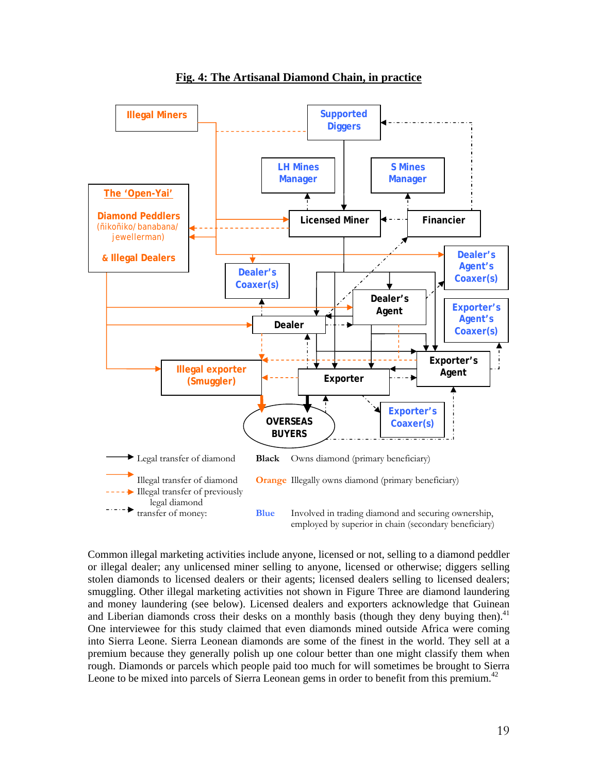

Common illegal marketing activities include anyone, licensed or not, selling to a diamond peddler or illegal dealer; any unlicensed miner selling to anyone, licensed or otherwise; diggers selling stolen diamonds to licensed dealers or their agents; licensed dealers selling to licensed dealers; smuggling. Other illegal marketing activities not shown in Figure Three are diamond laundering and money laundering (see below). Licensed dealers and exporters acknowledge that Guinean and Liberian diamonds cross their desks on a monthly basis (though they deny buying then).<sup>41</sup> One interviewee for this study claimed that even diamonds mined outside Africa were coming into Sierra Leone. Sierra Leonean diamonds are some of the finest in the world. They sell at a premium because they generally polish up one colour better than one might classify them when rough. Diamonds or parcels which people paid too much for will sometimes be brought to Sierra Leone to be mixed into parcels of Sierra Leonean gems in order to benefit from this premium.<sup>42</sup>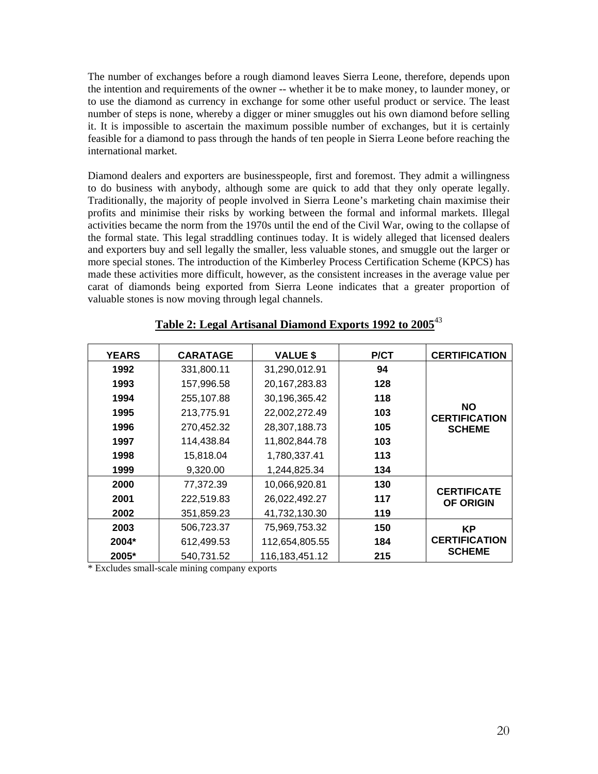The number of exchanges before a rough diamond leaves Sierra Leone, therefore, depends upon the intention and requirements of the owner -- whether it be to make money, to launder money, or to use the diamond as currency in exchange for some other useful product or service. The least number of steps is none, whereby a digger or miner smuggles out his own diamond before selling it. It is impossible to ascertain the maximum possible number of exchanges, but it is certainly feasible for a diamond to pass through the hands of ten people in Sierra Leone before reaching the international market.

Diamond dealers and exporters are businesspeople, first and foremost. They admit a willingness to do business with anybody, although some are quick to add that they only operate legally. Traditionally, the majority of people involved in Sierra Leone's marketing chain maximise their profits and minimise their risks by working between the formal and informal markets. Illegal activities became the norm from the 1970s until the end of the Civil War, owing to the collapse of the formal state. This legal straddling continues today. It is widely alleged that licensed dealers and exporters buy and sell legally the smaller, less valuable stones, and smuggle out the larger or more special stones. The introduction of the Kimberley Process Certification Scheme (KPCS) has made these activities more difficult, however, as the consistent increases in the average value per carat of diamonds being exported from Sierra Leone indicates that a greater proportion of valuable stones is now moving through legal channels.

| <b>CERTIFICATION</b>              | <b>P/CT</b> | <b>VALUE \$</b>   | <b>CARATAGE</b> | <b>YEARS</b> |
|-----------------------------------|-------------|-------------------|-----------------|--------------|
|                                   | 94          | 31,290,012.91     | 331,800.11      | 1992         |
|                                   | 128         | 20, 167, 283. 83  | 157,996.58      | 1993         |
|                                   | 118         | 30,196,365.42     | 255,107.88      | 1994         |
| <b>NO</b><br><b>CERTIFICATION</b> | 103         | 22,002,272.49     | 213,775.91      | 1995         |
| <b>SCHEME</b>                     | 105         | 28,307,188.73     | 270,452.32      | 1996         |
|                                   | 103         | 11,802,844.78     | 114,438.84      | 1997         |
|                                   | 113         | 1,780,337.41      | 15,818.04       | 1998         |
|                                   | 134         | 1,244,825.34      | 9,320.00        | 1999         |
| <b>CERTIFICATE</b>                | 130         | 10,066,920.81     | 77,372.39       | 2000         |
| <b>OF ORIGIN</b>                  | 117         | 26,022,492.27     | 222,519.83      | 2001         |
|                                   | 119         | 41,732,130.30     | 351,859.23      | 2002         |
| <b>KP</b>                         | 150         | 75,969,753.32     | 506,723.37      | 2003         |
| <b>CERTIFICATION</b>              | 184         | 112,654,805.55    | 612,499.53      | 2004*        |
| <b>SCHEME</b>                     | 215         | 116, 183, 451. 12 | 540,731.52      | 2005*        |

## **Table 2: Legal Artisanal Diamond Exports 1992 to 2005**<sup>43</sup>

\* Excludes small-scale mining company exports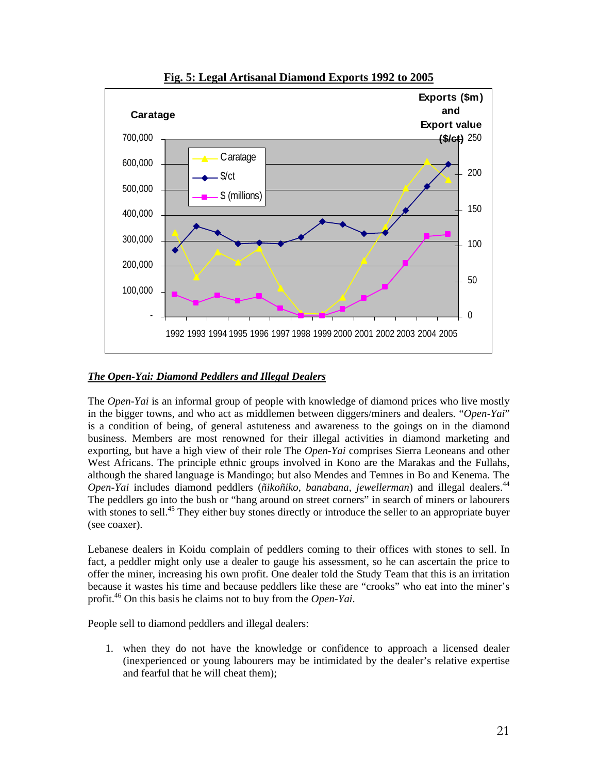

#### **Fig. 5: Legal Artisanal Diamond Exports 1992 to 2005**

#### *The Open-Yai: Diamond Peddlers and Illegal Dealers*

The *Open-Yai* is an informal group of people with knowledge of diamond prices who live mostly in the bigger towns, and who act as middlemen between diggers/miners and dealers. "*Open-Yai*" is a condition of being, of general astuteness and awareness to the goings on in the diamond business. Members are most renowned for their illegal activities in diamond marketing and exporting, but have a high view of their role The *Open-Yai* comprises Sierra Leoneans and other West Africans. The principle ethnic groups involved in Kono are the Marakas and the Fullahs, although the shared language is Mandingo; but also Mendes and Temnes in Bo and Kenema. The *Open-Yai* includes diamond peddlers ( $\tilde{n}$ *ikoñiko*, *banabana*, *jewellerman*) and illegal dealers.<sup>44</sup> The peddlers go into the bush or "hang around on street corners" in search of miners or labourers with stones to sell.<sup>45</sup> They either buy stones directly or introduce the seller to an appropriate buyer (see coaxer).

Lebanese dealers in Koidu complain of peddlers coming to their offices with stones to sell. In fact, a peddler might only use a dealer to gauge his assessment, so he can ascertain the price to offer the miner, increasing his own profit. One dealer told the Study Team that this is an irritation because it wastes his time and because peddlers like these are "crooks" who eat into the miner's profit.46 On this basis he claims not to buy from the *Open-Yai*.

People sell to diamond peddlers and illegal dealers:

1. when they do not have the knowledge or confidence to approach a licensed dealer (inexperienced or young labourers may be intimidated by the dealer's relative expertise and fearful that he will cheat them);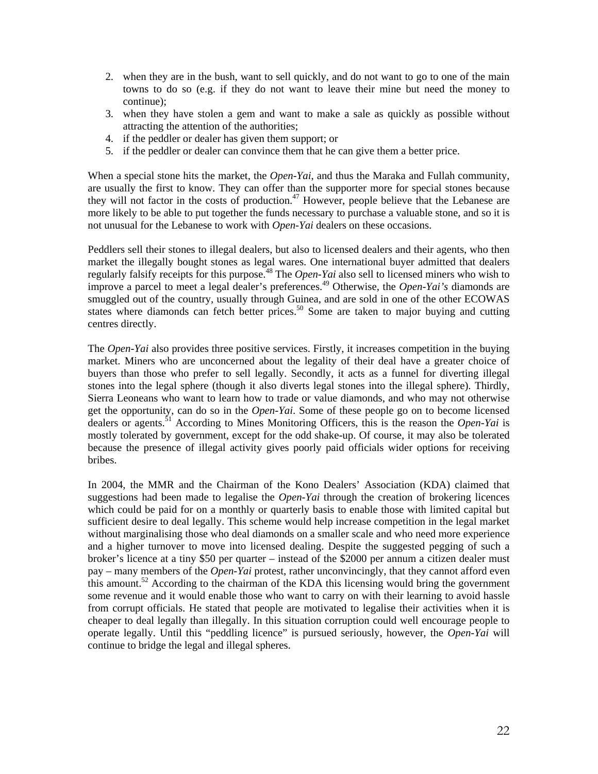- 2. when they are in the bush, want to sell quickly, and do not want to go to one of the main towns to do so (e.g. if they do not want to leave their mine but need the money to continue);
- 3. when they have stolen a gem and want to make a sale as quickly as possible without attracting the attention of the authorities;
- 4. if the peddler or dealer has given them support; or
- 5. if the peddler or dealer can convince them that he can give them a better price.

When a special stone hits the market, the *Open-Yai*, and thus the Maraka and Fullah community, are usually the first to know. They can offer than the supporter more for special stones because they will not factor in the costs of production.<sup>47</sup> However, people believe that the Lebanese are more likely to be able to put together the funds necessary to purchase a valuable stone, and so it is not unusual for the Lebanese to work with *Open-Yai* dealers on these occasions.

Peddlers sell their stones to illegal dealers, but also to licensed dealers and their agents, who then market the illegally bought stones as legal wares. One international buyer admitted that dealers regularly falsify receipts for this purpose.<sup>48</sup> The *Open-Yai* also sell to licensed miners who wish to improve a parcel to meet a legal dealer's preferences.<sup>49</sup> Otherwise, the *Open-Yai's* diamonds are smuggled out of the country, usually through Guinea, and are sold in one of the other ECOWAS states where diamonds can fetch better prices.<sup>50</sup> Some are taken to major buying and cutting centres directly.

The *Open-Yai* also provides three positive services. Firstly, it increases competition in the buying market. Miners who are unconcerned about the legality of their deal have a greater choice of buyers than those who prefer to sell legally. Secondly, it acts as a funnel for diverting illegal stones into the legal sphere (though it also diverts legal stones into the illegal sphere). Thirdly, Sierra Leoneans who want to learn how to trade or value diamonds, and who may not otherwise get the opportunity, can do so in the *Open-Yai*. Some of these people go on to become licensed dealers or agents.51 According to Mines Monitoring Officers, this is the reason the *Open-Yai* is mostly tolerated by government, except for the odd shake-up. Of course, it may also be tolerated because the presence of illegal activity gives poorly paid officials wider options for receiving bribes.

In 2004, the MMR and the Chairman of the Kono Dealers' Association (KDA) claimed that suggestions had been made to legalise the *Open-Yai* through the creation of brokering licences which could be paid for on a monthly or quarterly basis to enable those with limited capital but sufficient desire to deal legally. This scheme would help increase competition in the legal market without marginalising those who deal diamonds on a smaller scale and who need more experience and a higher turnover to move into licensed dealing. Despite the suggested pegging of such a broker's licence at a tiny \$50 per quarter – instead of the \$2000 per annum a citizen dealer must pay – many members of the *Open-Yai* protest, rather unconvincingly, that they cannot afford even this amount.<sup>52</sup> According to the chairman of the KDA this licensing would bring the government some revenue and it would enable those who want to carry on with their learning to avoid hassle from corrupt officials. He stated that people are motivated to legalise their activities when it is cheaper to deal legally than illegally. In this situation corruption could well encourage people to operate legally. Until this "peddling licence" is pursued seriously, however, the *Open-Yai* will continue to bridge the legal and illegal spheres.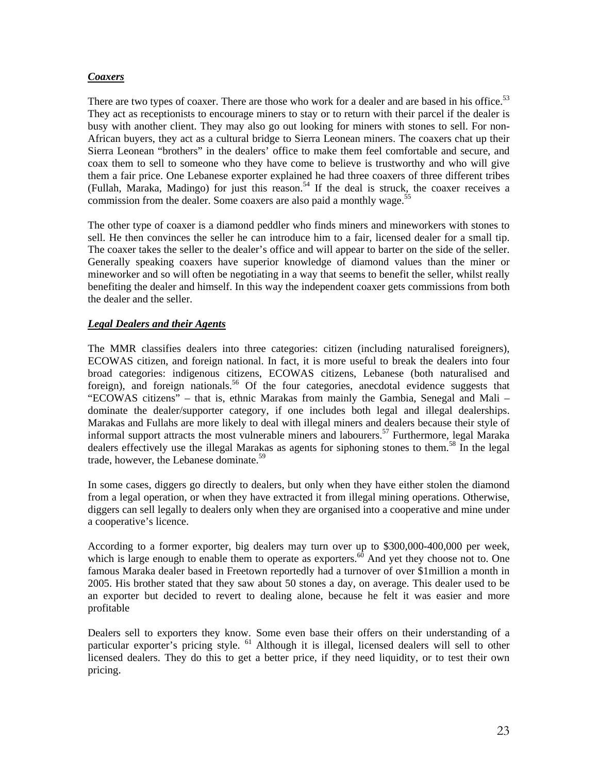#### *Coaxers*

There are two types of coaxer. There are those who work for a dealer and are based in his office.<sup>53</sup> They act as receptionists to encourage miners to stay or to return with their parcel if the dealer is busy with another client. They may also go out looking for miners with stones to sell. For non-African buyers, they act as a cultural bridge to Sierra Leonean miners. The coaxers chat up their Sierra Leonean "brothers" in the dealers' office to make them feel comfortable and secure, and coax them to sell to someone who they have come to believe is trustworthy and who will give them a fair price. One Lebanese exporter explained he had three coaxers of three different tribes (Fullah, Maraka, Madingo) for just this reason.<sup>54</sup> If the deal is struck, the coaxer receives a commission from the dealer. Some coaxers are also paid a monthly wage.<sup>55</sup>

The other type of coaxer is a diamond peddler who finds miners and mineworkers with stones to sell. He then convinces the seller he can introduce him to a fair, licensed dealer for a small tip. The coaxer takes the seller to the dealer's office and will appear to barter on the side of the seller. Generally speaking coaxers have superior knowledge of diamond values than the miner or mineworker and so will often be negotiating in a way that seems to benefit the seller, whilst really benefiting the dealer and himself. In this way the independent coaxer gets commissions from both the dealer and the seller.

#### *Legal Dealers and their Agents*

The MMR classifies dealers into three categories: citizen (including naturalised foreigners), ECOWAS citizen, and foreign national. In fact, it is more useful to break the dealers into four broad categories: indigenous citizens, ECOWAS citizens, Lebanese (both naturalised and foreign), and foreign nationals.<sup>56</sup> Of the four categories, anecdotal evidence suggests that "ECOWAS citizens" – that is, ethnic Marakas from mainly the Gambia, Senegal and Mali – dominate the dealer/supporter category, if one includes both legal and illegal dealerships. Marakas and Fullahs are more likely to deal with illegal miners and dealers because their style of informal support attracts the most vulnerable miners and labourers.<sup>57</sup> Furthermore, legal Maraka dealers effectively use the illegal Marakas as agents for siphoning stones to them.<sup>58</sup> In the legal trade, however, the Lebanese dominate.<sup>59</sup>

In some cases, diggers go directly to dealers, but only when they have either stolen the diamond from a legal operation, or when they have extracted it from illegal mining operations. Otherwise, diggers can sell legally to dealers only when they are organised into a cooperative and mine under a cooperative's licence.

According to a former exporter, big dealers may turn over up to \$300,000-400,000 per week, which is large enough to enable them to operate as exporters.<sup> $60$ </sup> And yet they choose not to. One famous Maraka dealer based in Freetown reportedly had a turnover of over \$1million a month in 2005. His brother stated that they saw about 50 stones a day, on average. This dealer used to be an exporter but decided to revert to dealing alone, because he felt it was easier and more profitable

Dealers sell to exporters they know. Some even base their offers on their understanding of a particular exporter's pricing style. <sup>61</sup> Although it is illegal, licensed dealers will sell to other licensed dealers. They do this to get a better price, if they need liquidity, or to test their own pricing.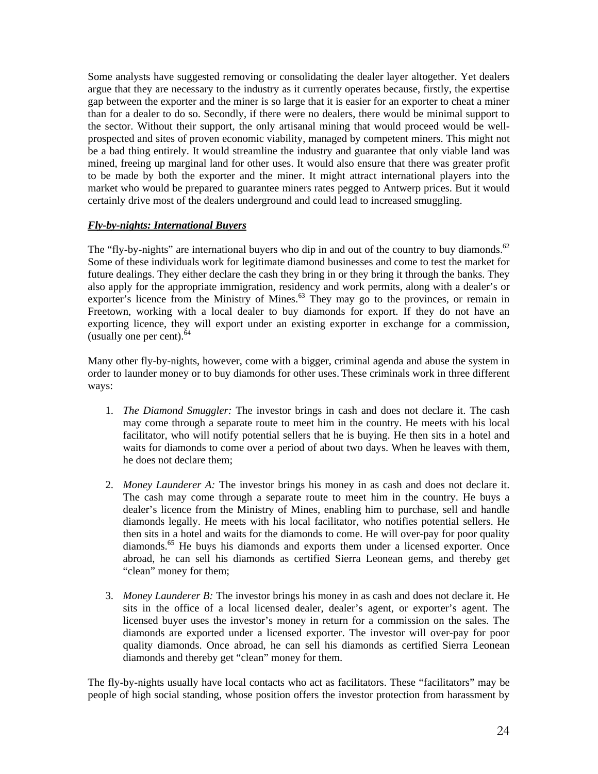Some analysts have suggested removing or consolidating the dealer layer altogether. Yet dealers argue that they are necessary to the industry as it currently operates because, firstly, the expertise gap between the exporter and the miner is so large that it is easier for an exporter to cheat a miner than for a dealer to do so. Secondly, if there were no dealers, there would be minimal support to the sector. Without their support, the only artisanal mining that would proceed would be wellprospected and sites of proven economic viability, managed by competent miners. This might not be a bad thing entirely. It would streamline the industry and guarantee that only viable land was mined, freeing up marginal land for other uses. It would also ensure that there was greater profit to be made by both the exporter and the miner. It might attract international players into the market who would be prepared to guarantee miners rates pegged to Antwerp prices. But it would certainly drive most of the dealers underground and could lead to increased smuggling.

#### *Fly-by-nights: International Buyers*

The "fly-by-nights" are international buyers who dip in and out of the country to buy diamonds.<sup>62</sup> Some of these individuals work for legitimate diamond businesses and come to test the market for future dealings. They either declare the cash they bring in or they bring it through the banks. They also apply for the appropriate immigration, residency and work permits, along with a dealer's or exporter's licence from the Ministry of Mines.<sup>63</sup> They may go to the provinces, or remain in Freetown, working with a local dealer to buy diamonds for export. If they do not have an exporting licence, they will export under an existing exporter in exchange for a commission, (usually one per cent). $64$ 

Many other fly-by-nights, however, come with a bigger, criminal agenda and abuse the system in order to launder money or to buy diamonds for other uses. These criminals work in three different ways:

- 1. *The Diamond Smuggler:* The investor brings in cash and does not declare it. The cash may come through a separate route to meet him in the country. He meets with his local facilitator, who will notify potential sellers that he is buying. He then sits in a hotel and waits for diamonds to come over a period of about two days. When he leaves with them, he does not declare them;
- 2. *Money Launderer A:* The investor brings his money in as cash and does not declare it. The cash may come through a separate route to meet him in the country. He buys a dealer's licence from the Ministry of Mines, enabling him to purchase, sell and handle diamonds legally. He meets with his local facilitator, who notifies potential sellers. He then sits in a hotel and waits for the diamonds to come. He will over-pay for poor quality diamonds.65 He buys his diamonds and exports them under a licensed exporter. Once abroad, he can sell his diamonds as certified Sierra Leonean gems, and thereby get "clean" money for them;
- 3. *Money Launderer B:* The investor brings his money in as cash and does not declare it. He sits in the office of a local licensed dealer, dealer's agent, or exporter's agent. The licensed buyer uses the investor's money in return for a commission on the sales. The diamonds are exported under a licensed exporter. The investor will over-pay for poor quality diamonds. Once abroad, he can sell his diamonds as certified Sierra Leonean diamonds and thereby get "clean" money for them.

The fly-by-nights usually have local contacts who act as facilitators. These "facilitators" may be people of high social standing, whose position offers the investor protection from harassment by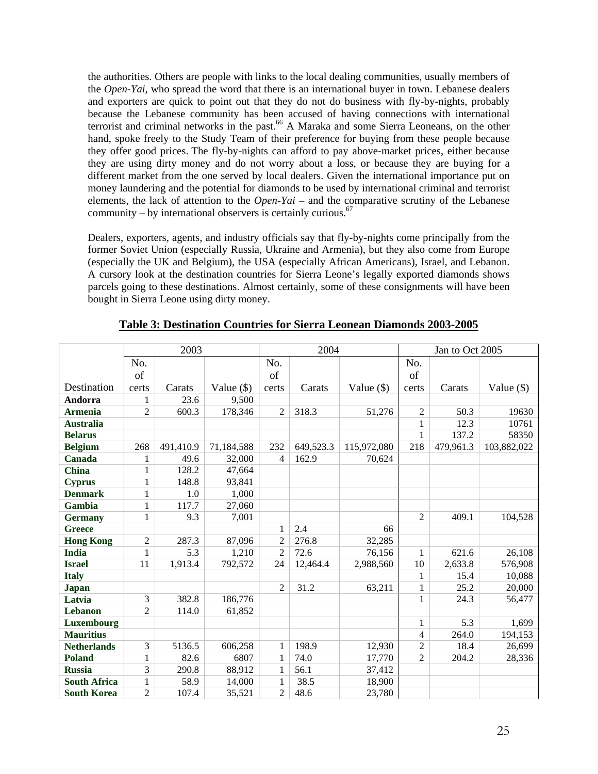the authorities. Others are people with links to the local dealing communities, usually members of the *Open-Yai*, who spread the word that there is an international buyer in town. Lebanese dealers and exporters are quick to point out that they do not do business with fly-by-nights, probably because the Lebanese community has been accused of having connections with international terrorist and criminal networks in the past.<sup>66</sup> A Maraka and some Sierra Leoneans, on the other hand, spoke freely to the Study Team of their preference for buying from these people because they offer good prices. The fly-by-nights can afford to pay above-market prices, either because they are using dirty money and do not worry about a loss, or because they are buying for a different market from the one served by local dealers. Given the international importance put on money laundering and the potential for diamonds to be used by international criminal and terrorist elements, the lack of attention to the *Open-Yai* – and the comparative scrutiny of the Lebanese community – by international observers is certainly curious.  $67$ 

Dealers, exporters, agents, and industry officials say that fly-by-nights come principally from the former Soviet Union (especially Russia, Ukraine and Armenia), but they also come from Europe (especially the UK and Belgium), the USA (especially African Americans), Israel, and Lebanon. A cursory look at the destination countries for Sierra Leone's legally exported diamonds shows parcels going to these destinations. Almost certainly, some of these consignments will have been bought in Sierra Leone using dirty money.

|                     | 2003           |           | 2004         |                |           | Jan to Oct 2005 |                |           |              |
|---------------------|----------------|-----------|--------------|----------------|-----------|-----------------|----------------|-----------|--------------|
|                     | No.            |           |              | No.            |           |                 | No.            |           |              |
|                     | of             |           |              | of             |           |                 | of             |           |              |
| Destination         | certs          | Carats    | Value $(\$)$ | certs          | Carats    | Value $(\$)$    | certs          | Carats    | Value $(\$)$ |
| Andorra             | 1              | 23.6      | 9,500        |                |           |                 |                |           |              |
| <b>Armenia</b>      | 2              | 600.3     | 178,346      | $\overline{2}$ | 318.3     | 51,276          | $\mathfrak{2}$ | 50.3      | 19630        |
| <b>Australia</b>    |                |           |              |                |           |                 | $\mathbf{1}$   | 12.3      | 10761        |
| <b>Belarus</b>      |                |           |              |                |           |                 | $\mathbf{1}$   | 137.2     | 58350        |
| <b>Belgium</b>      | 268            | 491,410.9 | 71,184,588   | 232            | 649,523.3 | 115,972,080     | 218            | 479,961.3 | 103,882,022  |
| Canada              | 1              | 49.6      | 32,000       | $\overline{4}$ | 162.9     | 70,624          |                |           |              |
| <b>China</b>        | 1              | 128.2     | 47,664       |                |           |                 |                |           |              |
| <b>Cyprus</b>       | 1              | 148.8     | 93,841       |                |           |                 |                |           |              |
| <b>Denmark</b>      | 1              | 1.0       | 1,000        |                |           |                 |                |           |              |
| Gambia              | 1              | 117.7     | 27,060       |                |           |                 |                |           |              |
| <b>Germany</b>      | $\mathbf{1}$   | 9.3       | 7,001        |                |           |                 | $\overline{c}$ | 409.1     | 104,528      |
| <b>Greece</b>       |                |           |              | 1              | 2.4       | 66              |                |           |              |
| <b>Hong Kong</b>    | 2              | 287.3     | 87,096       | $\overline{2}$ | 276.8     | 32,285          |                |           |              |
| <b>India</b>        | $\mathbf{1}$   | 5.3       | 1,210        | $\overline{2}$ | 72.6      | 76,156          | 1              | 621.6     | 26,108       |
| <b>Israel</b>       | 11             | 1,913.4   | 792,572      | 24             | 12,464.4  | 2,988,560       | 10             | 2,633.8   | 576,908      |
| <b>Italy</b>        |                |           |              |                |           |                 | $\mathbf{1}$   | 15.4      | 10,088       |
| <b>Japan</b>        |                |           |              | $\overline{2}$ | 31.2      | 63,211          | 1              | 25.2      | 20,000       |
| Latvia              | 3              | 382.8     | 186,776      |                |           |                 | 1              | 24.3      | 56,477       |
| Lebanon             | $\overline{2}$ | 114.0     | 61,852       |                |           |                 |                |           |              |
| Luxembourg          |                |           |              |                |           |                 | 1              | 5.3       | 1,699        |
| <b>Mauritius</b>    |                |           |              |                |           |                 | $\overline{4}$ | 264.0     | 194,153      |
| <b>Netherlands</b>  | 3              | 5136.5    | 606,258      | 1              | 198.9     | 12,930          | 2              | 18.4      | 26,699       |
| <b>Poland</b>       | $\mathbf{1}$   | 82.6      | 6807         | 1              | 74.0      | 17,770          | $\overline{2}$ | 204.2     | 28,336       |
| <b>Russia</b>       | 3              | 290.8     | 88,912       | 1              | 56.1      | 37,412          |                |           |              |
| <b>South Africa</b> | $\mathbf{1}$   | 58.9      | 14,000       | 1              | 38.5      | 18,900          |                |           |              |
| <b>South Korea</b>  | $\overline{2}$ | 107.4     | 35,521       | $\overline{2}$ | 48.6      | 23,780          |                |           |              |

#### **Table 3: Destination Countries for Sierra Leonean Diamonds 2003-2005**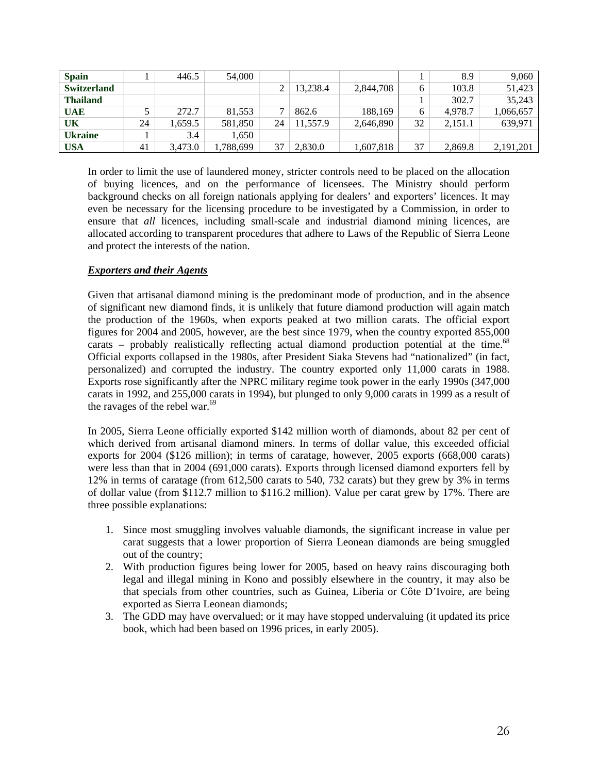| <b>Spain</b>       |    | 446.5   | 54,000    |    |          |           |    | 8.9     | 9.060     |
|--------------------|----|---------|-----------|----|----------|-----------|----|---------|-----------|
| <b>Switzerland</b> |    |         |           |    | 13.238.4 | 2,844,708 | 6  | 103.8   | 51,423    |
| <b>Thailand</b>    |    |         |           |    |          |           |    | 302.7   | 35.243    |
| <b>UAE</b>         |    | 272.7   | 81,553    |    | 862.6    | 188.169   | 6  | 4.978.7 | 1,066,657 |
| UK                 | 24 | .659.5  | 581,850   | 24 | 11,557.9 | 2,646,890 | 32 | 2,151.1 | 639.971   |
| <b>Ukraine</b>     |    | 3.4     | 1.650     |    |          |           |    |         |           |
| <b>USA</b>         | 41 | 3.473.0 | 1,788,699 | 37 | 2,830.0  | 1,607,818 | 37 | 2,869.8 | 2,191,201 |

In order to limit the use of laundered money, stricter controls need to be placed on the allocation of buying licences, and on the performance of licensees. The Ministry should perform background checks on all foreign nationals applying for dealers' and exporters' licences. It may even be necessary for the licensing procedure to be investigated by a Commission, in order to ensure that *all* licences, including small-scale and industrial diamond mining licences, are allocated according to transparent procedures that adhere to Laws of the Republic of Sierra Leone and protect the interests of the nation.

#### *Exporters and their Agents*

Given that artisanal diamond mining is the predominant mode of production, and in the absence of significant new diamond finds, it is unlikely that future diamond production will again match the production of the 1960s, when exports peaked at two million carats. The official export figures for 2004 and 2005, however, are the best since 1979, when the country exported 855,000 carats – probably realistically reflecting actual diamond production potential at the time.<sup>68</sup> Official exports collapsed in the 1980s, after President Siaka Stevens had "nationalized" (in fact, personalized) and corrupted the industry. The country exported only 11,000 carats in 1988. Exports rose significantly after the NPRC military regime took power in the early 1990s (347,000 carats in 1992, and 255,000 carats in 1994), but plunged to only 9,000 carats in 1999 as a result of the ravages of the rebel war.<sup>69</sup>

In 2005, Sierra Leone officially exported \$142 million worth of diamonds, about 82 per cent of which derived from artisanal diamond miners. In terms of dollar value, this exceeded official exports for 2004 (\$126 million); in terms of caratage, however, 2005 exports (668,000 carats) were less than that in 2004 (691,000 carats). Exports through licensed diamond exporters fell by 12% in terms of caratage (from 612,500 carats to 540, 732 carats) but they grew by 3% in terms of dollar value (from \$112.7 million to \$116.2 million). Value per carat grew by 17%. There are three possible explanations:

- 1. Since most smuggling involves valuable diamonds, the significant increase in value per carat suggests that a lower proportion of Sierra Leonean diamonds are being smuggled out of the country;
- 2. With production figures being lower for 2005, based on heavy rains discouraging both legal and illegal mining in Kono and possibly elsewhere in the country, it may also be that specials from other countries, such as Guinea, Liberia or Côte D'Ivoire, are being exported as Sierra Leonean diamonds;
- 3. The GDD may have overvalued; or it may have stopped undervaluing (it updated its price book, which had been based on 1996 prices, in early 2005).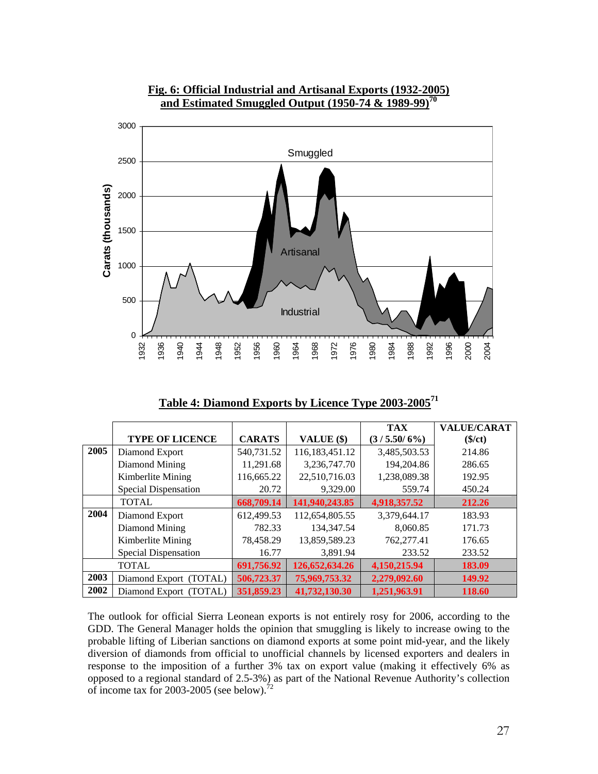

**Fig. 6: Official Industrial and Artisanal Exports (1932-2005) and Estimated Smuggled Output (1950-74 & 1989-99)70**

| Table 4: Diamond Exports by Licence Type 2003-2005 <sup>71</sup> |  |  |
|------------------------------------------------------------------|--|--|
|                                                                  |  |  |

|      |                             |               |                   | <b>TAX</b>   | <b>VALUE/CARAT</b> |
|------|-----------------------------|---------------|-------------------|--------------|--------------------|
|      | <b>TYPE OF LICENCE</b>      | <b>CARATS</b> | VALUE (\$)        | (3/5.50/6%)  | $(\$/ct)$          |
| 2005 | Diamond Export              | 540,731.52    | 116,183,451.12    | 3,485,503.53 | 214.86             |
|      | Diamond Mining              | 11,291.68     | 3,236,747.70      | 194,204.86   | 286.65             |
|      | Kimberlite Mining           | 116,665.22    | 22,510,716.03     | 1,238,089.38 | 192.95             |
|      | Special Dispensation        | 20.72         | 9,329.00          | 559.74       | 450.24             |
|      | <b>TOTAL</b>                | 668,709.14    | 141,940,243.85    | 4,918,357.52 | 212.26             |
| 2004 | Diamond Export              | 612,499.53    | 112,654,805.55    | 3,379,644.17 | 183.93             |
|      | Diamond Mining              | 782.33        | 134, 347. 54      | 8.060.85     | 171.73             |
|      | Kimberlite Mining           | 78,458.29     | 13,859,589.23     | 762,277.41   | 176.65             |
|      | <b>Special Dispensation</b> | 16.77         | 3,891.94          | 233.52       | 233.52             |
|      | <b>TOTAL</b>                | 691,756.92    | 126, 652, 634. 26 | 4,150,215.94 | 183.09             |
| 2003 | Diamond Export (TOTAL)      | 506,723.37    | 75,969,753.32     | 2,279,092.60 | 149.92             |
| 2002 | Diamond Export (TOTAL)      | 351,859.23    | 41,732,130.30     | 1,251,963.91 | 118.60             |

The outlook for official Sierra Leonean exports is not entirely rosy for 2006, according to the GDD. The General Manager holds the opinion that smuggling is likely to increase owing to the probable lifting of Liberian sanctions on diamond exports at some point mid-year, and the likely diversion of diamonds from official to unofficial channels by licensed exporters and dealers in response to the imposition of a further 3% tax on export value (making it effectively 6% as opposed to a regional standard of 2.5-3%) as part of the National Revenue Authority's collection of income tax for 2003-2005 (see below).<sup>72</sup>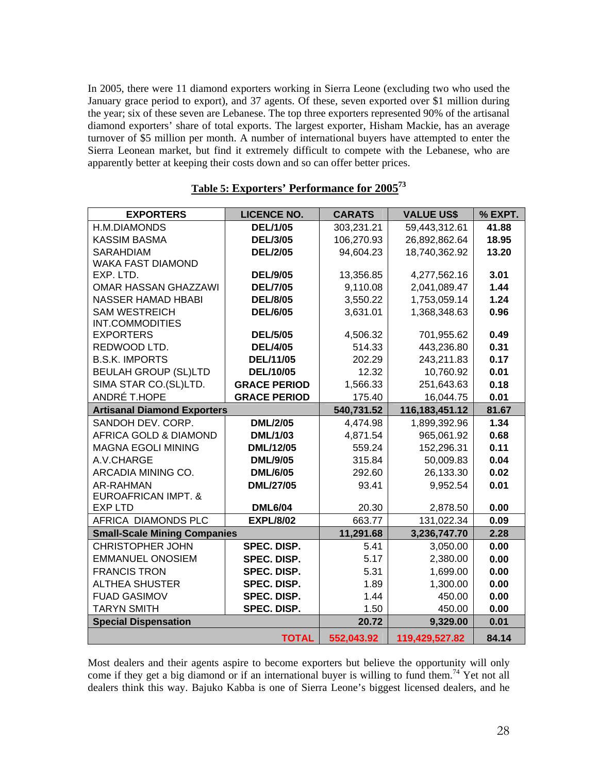In 2005, there were 11 diamond exporters working in Sierra Leone (excluding two who used the January grace period to export), and 37 agents. Of these, seven exported over \$1 million during the year; six of these seven are Lebanese. The top three exporters represented 90% of the artisanal diamond exporters' share of total exports. The largest exporter, Hisham Mackie, has an average turnover of \$5 million per month. A number of international buyers have attempted to enter the Sierra Leonean market, but find it extremely difficult to compete with the Lebanese, who are apparently better at keeping their costs down and so can offer better prices.

| <b>EXPORTERS</b>                    | <b>LICENCE NO.</b>  | <b>CARATS</b> | <b>VALUE US\$</b> | % EXPT. |
|-------------------------------------|---------------------|---------------|-------------------|---------|
| H.M.DIAMONDS                        | <b>DEL/1/05</b>     | 303,231.21    | 59,443,312.61     | 41.88   |
| <b>KASSIM BASMA</b>                 | <b>DEL/3/05</b>     | 106,270.93    | 26,892,862.64     | 18.95   |
| <b>SARAHDIAM</b>                    | <b>DEL/2/05</b>     | 94,604.23     | 18,740,362.92     | 13.20   |
| <b>WAKA FAST DIAMOND</b>            |                     |               |                   |         |
| EXP. LTD.                           | <b>DEL/9/05</b>     | 13,356.85     | 4,277,562.16      | 3.01    |
| OMAR HASSAN GHAZZAWI                | <b>DEL/7/05</b>     | 9,110.08      | 2,041,089.47      | 1.44    |
| <b>NASSER HAMAD HBABI</b>           | <b>DEL/8/05</b>     | 3,550.22      | 1,753,059.14      | 1.24    |
| <b>SAM WESTREICH</b>                | <b>DEL/6/05</b>     | 3,631.01      | 1,368,348.63      | 0.96    |
| INT.COMMODITIES                     |                     |               |                   |         |
| <b>EXPORTERS</b>                    | <b>DEL/5/05</b>     | 4,506.32      | 701,955.62        | 0.49    |
| REDWOOD LTD.                        | <b>DEL/4/05</b>     | 514.33        | 443,236.80        | 0.31    |
| <b>B.S.K. IMPORTS</b>               | <b>DEL/11/05</b>    | 202.29        | 243,211.83        | 0.17    |
| <b>BEULAH GROUP (SL)LTD</b>         | <b>DEL/10/05</b>    | 12.32         | 10,760.92         | 0.01    |
| SIMA STAR CO.(SL)LTD.               | <b>GRACE PERIOD</b> | 1,566.33      | 251,643.63        | 0.18    |
| ANDRÉ T.HOPE                        | <b>GRACE PERIOD</b> | 175.40        | 16,044.75         | 0.01    |
| <b>Artisanal Diamond Exporters</b>  |                     | 540,731.52    | 116, 183, 451. 12 | 81.67   |
| SANDOH DEV. CORP.                   | <b>DML/2/05</b>     | 4,474.98      | 1,899,392.96      | 1.34    |
| AFRICA GOLD & DIAMOND               | <b>DML/1/03</b>     | 4,871.54      | 965,061.92        | 0.68    |
| <b>MAGNA EGOLI MINING</b>           | DML/12/05           | 559.24        | 152,296.31        | 0.11    |
| A.V.CHARGE                          | <b>DML/9/05</b>     | 315.84        | 50,009.83         | 0.04    |
| ARCADIA MINING CO.                  | <b>DML/6/05</b>     | 292.60        | 26,133.30         | 0.02    |
| AR-RAHMAN                           | <b>DML/27/05</b>    | 93.41         | 9,952.54          | 0.01    |
| <b>EUROAFRICAN IMPT. &amp;</b>      |                     |               |                   |         |
| <b>EXPLTD</b>                       | <b>DML6/04</b>      | 20.30         | 2,878.50          | 0.00    |
| AFRICA DIAMONDS PLC                 | <b>EXPL/8/02</b>    | 663.77        | 131,022.34        | 0.09    |
| <b>Small-Scale Mining Companies</b> |                     | 11,291.68     | 3,236,747.70      | 2.28    |
| <b>CHRISTOPHER JOHN</b>             | <b>SPEC. DISP.</b>  | 5.41          | 3,050.00          | 0.00    |
| <b>EMMANUEL ONOSIEM</b>             | <b>SPEC. DISP.</b>  | 5.17          | 2,380.00          | 0.00    |
| <b>FRANCIS TRON</b>                 | SPEC. DISP.         | 5.31          | 1,699.00          | 0.00    |
| <b>ALTHEA SHUSTER</b>               | SPEC. DISP.         | 1.89          | 1,300.00          | 0.00    |
| <b>FUAD GASIMOV</b>                 | SPEC. DISP.         | 1.44          | 450.00            | 0.00    |
| <b>TARYN SMITH</b>                  | SPEC. DISP.         | 1.50          | 450.00            | 0.00    |
| <b>Special Dispensation</b>         |                     | 20.72         | 9,329.00          | 0.01    |
|                                     | <b>TOTAL</b>        | 552,043.92    | 119,429,527.82    | 84.14   |

#### **Table 5: Exporters' Performance for 200573**

Most dealers and their agents aspire to become exporters but believe the opportunity will only come if they get a big diamond or if an international buyer is willing to fund them.<sup>74</sup> Yet not all dealers think this way. Bajuko Kabba is one of Sierra Leone's biggest licensed dealers, and he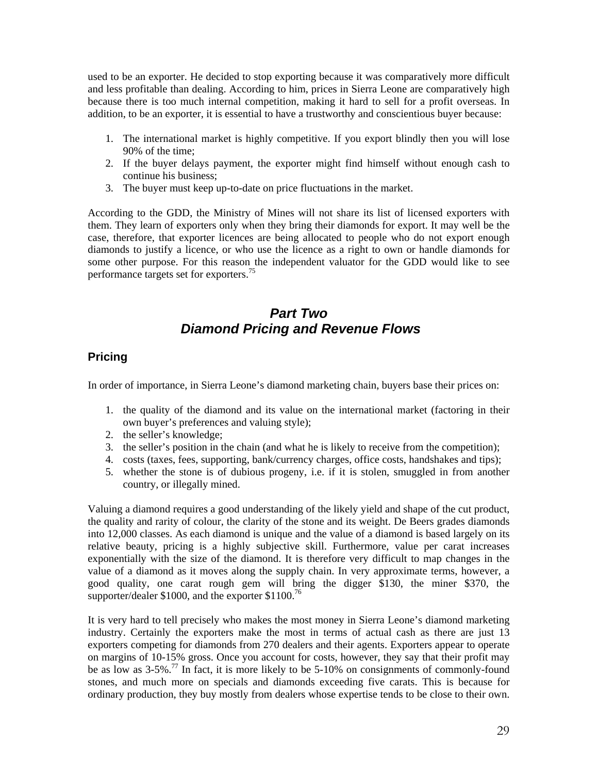used to be an exporter. He decided to stop exporting because it was comparatively more difficult and less profitable than dealing. According to him, prices in Sierra Leone are comparatively high because there is too much internal competition, making it hard to sell for a profit overseas. In addition, to be an exporter, it is essential to have a trustworthy and conscientious buyer because:

- 1. The international market is highly competitive. If you export blindly then you will lose 90% of the time;
- 2. If the buyer delays payment, the exporter might find himself without enough cash to continue his business;
- 3. The buyer must keep up-to-date on price fluctuations in the market.

According to the GDD, the Ministry of Mines will not share its list of licensed exporters with them. They learn of exporters only when they bring their diamonds for export. It may well be the case, therefore, that exporter licences are being allocated to people who do not export enough diamonds to justify a licence, or who use the licence as a right to own or handle diamonds for some other purpose. For this reason the independent valuator for the GDD would like to see performance targets set for exporters.<sup>75</sup>

## *Part Two Diamond Pricing and Revenue Flows*

## **Pricing**

In order of importance, in Sierra Leone's diamond marketing chain, buyers base their prices on:

- 1. the quality of the diamond and its value on the international market (factoring in their own buyer's preferences and valuing style);
- 2. the seller's knowledge;
- 3. the seller's position in the chain (and what he is likely to receive from the competition);
- 4. costs (taxes, fees, supporting, bank/currency charges, office costs, handshakes and tips);
- 5. whether the stone is of dubious progeny, i.e. if it is stolen, smuggled in from another country, or illegally mined.

Valuing a diamond requires a good understanding of the likely yield and shape of the cut product, the quality and rarity of colour, the clarity of the stone and its weight. De Beers grades diamonds into 12,000 classes. As each diamond is unique and the value of a diamond is based largely on its relative beauty, pricing is a highly subjective skill. Furthermore, value per carat increases exponentially with the size of the diamond. It is therefore very difficult to map changes in the value of a diamond as it moves along the supply chain. In very approximate terms, however, a good quality, one carat rough gem will bring the digger \$130, the miner \$370, the supporter/dealer \$1000, and the exporter  $$1100$ .<sup>76</sup>

It is very hard to tell precisely who makes the most money in Sierra Leone's diamond marketing industry. Certainly the exporters make the most in terms of actual cash as there are just 13 exporters competing for diamonds from 270 dealers and their agents. Exporters appear to operate on margins of 10-15% gross. Once you account for costs, however, they say that their profit may be as low as 3-5%.<sup>77</sup> In fact, it is more likely to be 5-10% on consignments of commonly-found stones, and much more on specials and diamonds exceeding five carats. This is because for ordinary production, they buy mostly from dealers whose expertise tends to be close to their own.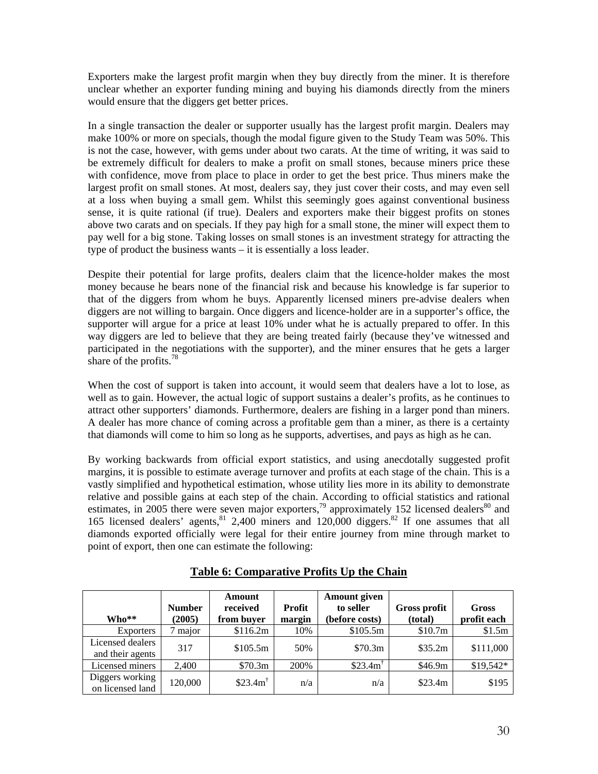Exporters make the largest profit margin when they buy directly from the miner. It is therefore unclear whether an exporter funding mining and buying his diamonds directly from the miners would ensure that the diggers get better prices.

In a single transaction the dealer or supporter usually has the largest profit margin. Dealers may make 100% or more on specials, though the modal figure given to the Study Team was 50%. This is not the case, however, with gems under about two carats. At the time of writing, it was said to be extremely difficult for dealers to make a profit on small stones, because miners price these with confidence, move from place to place in order to get the best price. Thus miners make the largest profit on small stones. At most, dealers say, they just cover their costs, and may even sell at a loss when buying a small gem. Whilst this seemingly goes against conventional business sense, it is quite rational (if true). Dealers and exporters make their biggest profits on stones above two carats and on specials. If they pay high for a small stone, the miner will expect them to pay well for a big stone. Taking losses on small stones is an investment strategy for attracting the type of product the business wants – it is essentially a loss leader.

Despite their potential for large profits, dealers claim that the licence-holder makes the most money because he bears none of the financial risk and because his knowledge is far superior to that of the diggers from whom he buys. Apparently licensed miners pre-advise dealers when diggers are not willing to bargain. Once diggers and licence-holder are in a supporter's office, the supporter will argue for a price at least 10% under what he is actually prepared to offer. In this way diggers are led to believe that they are being treated fairly (because they've witnessed and participated in the negotiations with the supporter), and the miner ensures that he gets a larger share of the profits.<sup>78</sup>

When the cost of support is taken into account, it would seem that dealers have a lot to lose, as well as to gain. However, the actual logic of support sustains a dealer's profits, as he continues to attract other supporters' diamonds. Furthermore, dealers are fishing in a larger pond than miners. A dealer has more chance of coming across a profitable gem than a miner, as there is a certainty that diamonds will come to him so long as he supports, advertises, and pays as high as he can.

By working backwards from official export statistics, and using anecdotally suggested profit margins, it is possible to estimate average turnover and profits at each stage of the chain. This is a vastly simplified and hypothetical estimation, whose utility lies more in its ability to demonstrate relative and possible gains at each step of the chain. According to official statistics and rational estimates, in 2005 there were seven major exporters,  $\frac{79}{2}$  approximately 152 licensed dealers<sup>80</sup> and 165 licensed dealers' agents,  $81$  2,400 miners and 120,000 diggers.  $82$  If one assumes that all diamonds exported officially were legal for their entire journey from mine through market to point of export, then one can estimate the following:

| $Who**$                              | <b>Number</b><br>(2005) | Amount<br>received<br>from buyer | Profit<br>margin | Amount given<br>to seller<br>(before costs) | <b>Gross profit</b><br>(total) | <b>Gross</b><br>profit each |
|--------------------------------------|-------------------------|----------------------------------|------------------|---------------------------------------------|--------------------------------|-----------------------------|
| <b>Exporters</b>                     | major                   | \$116.2m                         | 10%              | \$105.5m                                    | \$10.7m                        | \$1.5m                      |
| Licensed dealers<br>and their agents | 317                     | \$105.5m                         | 50%              | \$70.3m                                     | \$35.2m                        | \$111,000                   |
| Licensed miners                      | 2.400                   | \$70.3m                          | 200%             | \$23.4m <sup>7</sup>                        | \$46.9m                        | \$19,542*                   |
| Diggers working<br>on licensed land  | 120,000                 | \$23.4m <sup>†</sup>             | n/a              | n/a                                         | \$23.4m                        | \$195                       |

**Table 6: Comparative Profits Up the Chain**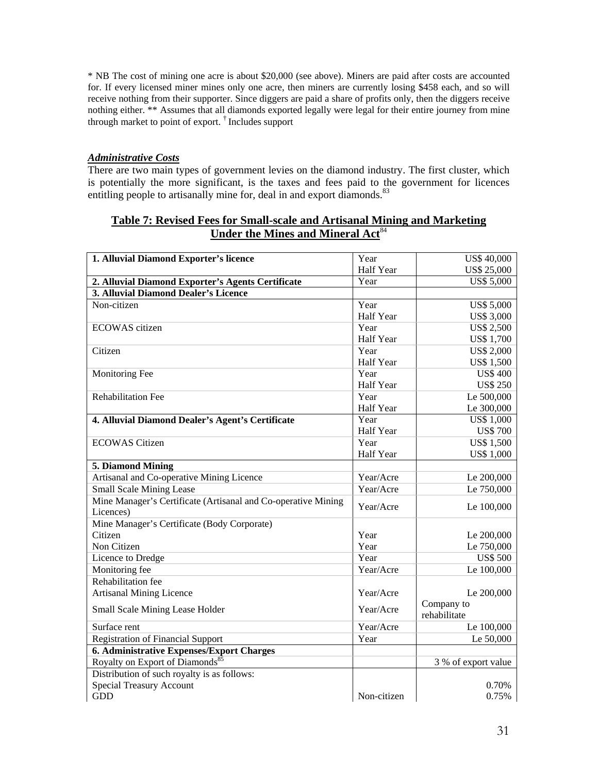\* NB The cost of mining one acre is about \$20,000 (see above). Miners are paid after costs are accounted for. If every licensed miner mines only one acre, then miners are currently losing \$458 each, and so will receive nothing from their supporter. Since diggers are paid a share of profits only, then the diggers receive nothing either. \*\* Assumes that all diamonds exported legally were legal for their entire journey from mine through market to point of export. † Includes support

#### *Administrative Costs*

There are two main types of government levies on the diamond industry. The first cluster, which is potentially the more significant, is the taxes and fees paid to the government for licences entitling people to artisanally mine for, deal in and export diamonds.<sup>83</sup>

#### **Table 7: Revised Fees for Small-scale and Artisanal Mining and Marketing Under the Mines and Mineral Act**<sup>84</sup>

| Half Year<br><b>US\$ 25,000</b><br>2. Alluvial Diamond Exporter's Agents Certificate<br>Year<br><b>US\$ 5,000</b><br>3. Alluvial Diamond Dealer's Licence<br>Non-citizen<br>Year<br><b>US\$ 5,000</b><br>Half Year<br><b>US\$ 3,000</b><br><b>ECOWAS</b> citizen<br>Year<br><b>US\$ 2,500</b><br>Half Year<br><b>US\$1,700</b><br>Citizen<br>Year<br><b>US\$ 2,000</b><br>Half Year<br><b>US\$ 1,500</b><br>Monitoring Fee<br>Year<br><b>US\$ 400</b><br>Half Year<br><b>US\$ 250</b><br><b>Rehabilitation Fee</b><br>Year<br>Le 500,000<br>Half Year<br>Le 300,000<br>Year<br>4. Alluvial Diamond Dealer's Agent's Certificate<br><b>US\$ 1,000</b><br>Half Year<br><b>US\$700</b><br><b>ECOWAS</b> Citizen<br>Year<br><b>US\$ 1,500</b><br><b>US\$ 1,000</b><br>Half Year<br>5. Diamond Mining<br>Artisanal and Co-operative Mining Licence<br>Year/Acre<br>Le 200,000<br>Year/Acre<br><b>Small Scale Mining Lease</b><br>Le 750,000<br>Mine Manager's Certificate (Artisanal and Co-operative Mining<br>Year/Acre<br>Le 100,000<br>Licences)<br>Mine Manager's Certificate (Body Corporate)<br>Citizen<br>Year<br>Le 200,000<br>Non Citizen<br>Year<br>Le 750,000<br>Year<br><b>US\$ 500</b><br>Licence to Dredge<br>Year/Acre<br>Monitoring fee<br>Le 100,000<br>Rehabilitation fee<br><b>Artisanal Mining Licence</b><br>Year/Acre<br>Le 200,000<br>Company to<br>Small Scale Mining Lease Holder<br>Year/Acre<br>rehabilitate<br>Year/Acre<br>Surface rent<br>Le 100,000<br><b>Registration of Financial Support</b><br>Year<br>Le 50,000<br><b>6. Administrative Expenses/Export Charges</b><br>Royalty on Export of Diamonds <sup>85</sup><br>3 % of export value<br>Distribution of such royalty is as follows:<br><b>Special Treasury Account</b><br>0.70% | 1. Alluvial Diamond Exporter's licence | Year        | <b>US\$ 40,000</b> |
|----------------------------------------------------------------------------------------------------------------------------------------------------------------------------------------------------------------------------------------------------------------------------------------------------------------------------------------------------------------------------------------------------------------------------------------------------------------------------------------------------------------------------------------------------------------------------------------------------------------------------------------------------------------------------------------------------------------------------------------------------------------------------------------------------------------------------------------------------------------------------------------------------------------------------------------------------------------------------------------------------------------------------------------------------------------------------------------------------------------------------------------------------------------------------------------------------------------------------------------------------------------------------------------------------------------------------------------------------------------------------------------------------------------------------------------------------------------------------------------------------------------------------------------------------------------------------------------------------------------------------------------------------------------------------------------------------------------------------------------------------------------------|----------------------------------------|-------------|--------------------|
|                                                                                                                                                                                                                                                                                                                                                                                                                                                                                                                                                                                                                                                                                                                                                                                                                                                                                                                                                                                                                                                                                                                                                                                                                                                                                                                                                                                                                                                                                                                                                                                                                                                                                                                                                                      |                                        |             |                    |
|                                                                                                                                                                                                                                                                                                                                                                                                                                                                                                                                                                                                                                                                                                                                                                                                                                                                                                                                                                                                                                                                                                                                                                                                                                                                                                                                                                                                                                                                                                                                                                                                                                                                                                                                                                      |                                        |             |                    |
|                                                                                                                                                                                                                                                                                                                                                                                                                                                                                                                                                                                                                                                                                                                                                                                                                                                                                                                                                                                                                                                                                                                                                                                                                                                                                                                                                                                                                                                                                                                                                                                                                                                                                                                                                                      |                                        |             |                    |
|                                                                                                                                                                                                                                                                                                                                                                                                                                                                                                                                                                                                                                                                                                                                                                                                                                                                                                                                                                                                                                                                                                                                                                                                                                                                                                                                                                                                                                                                                                                                                                                                                                                                                                                                                                      |                                        |             |                    |
|                                                                                                                                                                                                                                                                                                                                                                                                                                                                                                                                                                                                                                                                                                                                                                                                                                                                                                                                                                                                                                                                                                                                                                                                                                                                                                                                                                                                                                                                                                                                                                                                                                                                                                                                                                      |                                        |             |                    |
|                                                                                                                                                                                                                                                                                                                                                                                                                                                                                                                                                                                                                                                                                                                                                                                                                                                                                                                                                                                                                                                                                                                                                                                                                                                                                                                                                                                                                                                                                                                                                                                                                                                                                                                                                                      |                                        |             |                    |
|                                                                                                                                                                                                                                                                                                                                                                                                                                                                                                                                                                                                                                                                                                                                                                                                                                                                                                                                                                                                                                                                                                                                                                                                                                                                                                                                                                                                                                                                                                                                                                                                                                                                                                                                                                      |                                        |             |                    |
|                                                                                                                                                                                                                                                                                                                                                                                                                                                                                                                                                                                                                                                                                                                                                                                                                                                                                                                                                                                                                                                                                                                                                                                                                                                                                                                                                                                                                                                                                                                                                                                                                                                                                                                                                                      |                                        |             |                    |
|                                                                                                                                                                                                                                                                                                                                                                                                                                                                                                                                                                                                                                                                                                                                                                                                                                                                                                                                                                                                                                                                                                                                                                                                                                                                                                                                                                                                                                                                                                                                                                                                                                                                                                                                                                      |                                        |             |                    |
|                                                                                                                                                                                                                                                                                                                                                                                                                                                                                                                                                                                                                                                                                                                                                                                                                                                                                                                                                                                                                                                                                                                                                                                                                                                                                                                                                                                                                                                                                                                                                                                                                                                                                                                                                                      |                                        |             |                    |
|                                                                                                                                                                                                                                                                                                                                                                                                                                                                                                                                                                                                                                                                                                                                                                                                                                                                                                                                                                                                                                                                                                                                                                                                                                                                                                                                                                                                                                                                                                                                                                                                                                                                                                                                                                      |                                        |             |                    |
|                                                                                                                                                                                                                                                                                                                                                                                                                                                                                                                                                                                                                                                                                                                                                                                                                                                                                                                                                                                                                                                                                                                                                                                                                                                                                                                                                                                                                                                                                                                                                                                                                                                                                                                                                                      |                                        |             |                    |
|                                                                                                                                                                                                                                                                                                                                                                                                                                                                                                                                                                                                                                                                                                                                                                                                                                                                                                                                                                                                                                                                                                                                                                                                                                                                                                                                                                                                                                                                                                                                                                                                                                                                                                                                                                      |                                        |             |                    |
|                                                                                                                                                                                                                                                                                                                                                                                                                                                                                                                                                                                                                                                                                                                                                                                                                                                                                                                                                                                                                                                                                                                                                                                                                                                                                                                                                                                                                                                                                                                                                                                                                                                                                                                                                                      |                                        |             |                    |
|                                                                                                                                                                                                                                                                                                                                                                                                                                                                                                                                                                                                                                                                                                                                                                                                                                                                                                                                                                                                                                                                                                                                                                                                                                                                                                                                                                                                                                                                                                                                                                                                                                                                                                                                                                      |                                        |             |                    |
|                                                                                                                                                                                                                                                                                                                                                                                                                                                                                                                                                                                                                                                                                                                                                                                                                                                                                                                                                                                                                                                                                                                                                                                                                                                                                                                                                                                                                                                                                                                                                                                                                                                                                                                                                                      |                                        |             |                    |
|                                                                                                                                                                                                                                                                                                                                                                                                                                                                                                                                                                                                                                                                                                                                                                                                                                                                                                                                                                                                                                                                                                                                                                                                                                                                                                                                                                                                                                                                                                                                                                                                                                                                                                                                                                      |                                        |             |                    |
|                                                                                                                                                                                                                                                                                                                                                                                                                                                                                                                                                                                                                                                                                                                                                                                                                                                                                                                                                                                                                                                                                                                                                                                                                                                                                                                                                                                                                                                                                                                                                                                                                                                                                                                                                                      |                                        |             |                    |
|                                                                                                                                                                                                                                                                                                                                                                                                                                                                                                                                                                                                                                                                                                                                                                                                                                                                                                                                                                                                                                                                                                                                                                                                                                                                                                                                                                                                                                                                                                                                                                                                                                                                                                                                                                      |                                        |             |                    |
|                                                                                                                                                                                                                                                                                                                                                                                                                                                                                                                                                                                                                                                                                                                                                                                                                                                                                                                                                                                                                                                                                                                                                                                                                                                                                                                                                                                                                                                                                                                                                                                                                                                                                                                                                                      |                                        |             |                    |
|                                                                                                                                                                                                                                                                                                                                                                                                                                                                                                                                                                                                                                                                                                                                                                                                                                                                                                                                                                                                                                                                                                                                                                                                                                                                                                                                                                                                                                                                                                                                                                                                                                                                                                                                                                      |                                        |             |                    |
|                                                                                                                                                                                                                                                                                                                                                                                                                                                                                                                                                                                                                                                                                                                                                                                                                                                                                                                                                                                                                                                                                                                                                                                                                                                                                                                                                                                                                                                                                                                                                                                                                                                                                                                                                                      |                                        |             |                    |
|                                                                                                                                                                                                                                                                                                                                                                                                                                                                                                                                                                                                                                                                                                                                                                                                                                                                                                                                                                                                                                                                                                                                                                                                                                                                                                                                                                                                                                                                                                                                                                                                                                                                                                                                                                      |                                        |             |                    |
|                                                                                                                                                                                                                                                                                                                                                                                                                                                                                                                                                                                                                                                                                                                                                                                                                                                                                                                                                                                                                                                                                                                                                                                                                                                                                                                                                                                                                                                                                                                                                                                                                                                                                                                                                                      |                                        |             |                    |
|                                                                                                                                                                                                                                                                                                                                                                                                                                                                                                                                                                                                                                                                                                                                                                                                                                                                                                                                                                                                                                                                                                                                                                                                                                                                                                                                                                                                                                                                                                                                                                                                                                                                                                                                                                      |                                        |             |                    |
|                                                                                                                                                                                                                                                                                                                                                                                                                                                                                                                                                                                                                                                                                                                                                                                                                                                                                                                                                                                                                                                                                                                                                                                                                                                                                                                                                                                                                                                                                                                                                                                                                                                                                                                                                                      |                                        |             |                    |
|                                                                                                                                                                                                                                                                                                                                                                                                                                                                                                                                                                                                                                                                                                                                                                                                                                                                                                                                                                                                                                                                                                                                                                                                                                                                                                                                                                                                                                                                                                                                                                                                                                                                                                                                                                      |                                        |             |                    |
|                                                                                                                                                                                                                                                                                                                                                                                                                                                                                                                                                                                                                                                                                                                                                                                                                                                                                                                                                                                                                                                                                                                                                                                                                                                                                                                                                                                                                                                                                                                                                                                                                                                                                                                                                                      |                                        |             |                    |
|                                                                                                                                                                                                                                                                                                                                                                                                                                                                                                                                                                                                                                                                                                                                                                                                                                                                                                                                                                                                                                                                                                                                                                                                                                                                                                                                                                                                                                                                                                                                                                                                                                                                                                                                                                      |                                        |             |                    |
|                                                                                                                                                                                                                                                                                                                                                                                                                                                                                                                                                                                                                                                                                                                                                                                                                                                                                                                                                                                                                                                                                                                                                                                                                                                                                                                                                                                                                                                                                                                                                                                                                                                                                                                                                                      |                                        |             |                    |
|                                                                                                                                                                                                                                                                                                                                                                                                                                                                                                                                                                                                                                                                                                                                                                                                                                                                                                                                                                                                                                                                                                                                                                                                                                                                                                                                                                                                                                                                                                                                                                                                                                                                                                                                                                      |                                        |             |                    |
|                                                                                                                                                                                                                                                                                                                                                                                                                                                                                                                                                                                                                                                                                                                                                                                                                                                                                                                                                                                                                                                                                                                                                                                                                                                                                                                                                                                                                                                                                                                                                                                                                                                                                                                                                                      |                                        |             |                    |
|                                                                                                                                                                                                                                                                                                                                                                                                                                                                                                                                                                                                                                                                                                                                                                                                                                                                                                                                                                                                                                                                                                                                                                                                                                                                                                                                                                                                                                                                                                                                                                                                                                                                                                                                                                      |                                        |             |                    |
|                                                                                                                                                                                                                                                                                                                                                                                                                                                                                                                                                                                                                                                                                                                                                                                                                                                                                                                                                                                                                                                                                                                                                                                                                                                                                                                                                                                                                                                                                                                                                                                                                                                                                                                                                                      |                                        |             |                    |
|                                                                                                                                                                                                                                                                                                                                                                                                                                                                                                                                                                                                                                                                                                                                                                                                                                                                                                                                                                                                                                                                                                                                                                                                                                                                                                                                                                                                                                                                                                                                                                                                                                                                                                                                                                      |                                        |             |                    |
|                                                                                                                                                                                                                                                                                                                                                                                                                                                                                                                                                                                                                                                                                                                                                                                                                                                                                                                                                                                                                                                                                                                                                                                                                                                                                                                                                                                                                                                                                                                                                                                                                                                                                                                                                                      |                                        |             |                    |
|                                                                                                                                                                                                                                                                                                                                                                                                                                                                                                                                                                                                                                                                                                                                                                                                                                                                                                                                                                                                                                                                                                                                                                                                                                                                                                                                                                                                                                                                                                                                                                                                                                                                                                                                                                      |                                        |             |                    |
|                                                                                                                                                                                                                                                                                                                                                                                                                                                                                                                                                                                                                                                                                                                                                                                                                                                                                                                                                                                                                                                                                                                                                                                                                                                                                                                                                                                                                                                                                                                                                                                                                                                                                                                                                                      | <b>GDD</b>                             | Non-citizen | 0.75%              |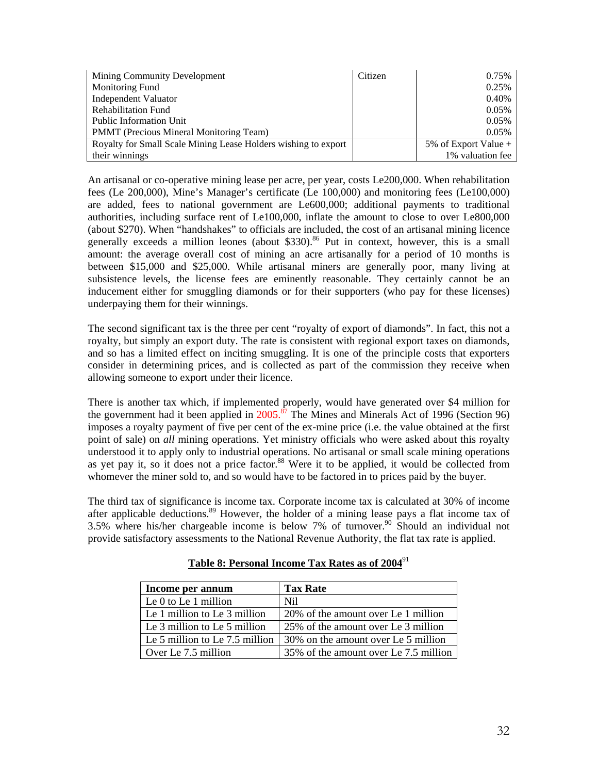| Mining Community Development                                   | Citizen | 0.75%                |
|----------------------------------------------------------------|---------|----------------------|
| Monitoring Fund                                                |         | 0.25%                |
| <b>Independent Valuator</b>                                    |         | 0.40%                |
| <b>Rehabilitation Fund</b>                                     |         | 0.05%                |
| <b>Public Information Unit</b>                                 |         | 0.05%                |
| <b>PMMT</b> (Precious Mineral Monitoring Team)                 |         | 0.05%                |
| Royalty for Small Scale Mining Lease Holders wishing to export |         | 5% of Export Value + |
| their winnings                                                 |         | 1% valuation fee     |

An artisanal or co-operative mining lease per acre, per year, costs Le200,000. When rehabilitation fees (Le 200,000), Mine's Manager's certificate (Le 100,000) and monitoring fees (Le100,000) are added, fees to national government are Le600,000; additional payments to traditional authorities, including surface rent of Le100,000, inflate the amount to close to over Le800,000 (about \$270). When "handshakes" to officials are included, the cost of an artisanal mining licence generally exceeds a million leones (about \$330).<sup>86</sup> Put in context, however, this is a small amount: the average overall cost of mining an acre artisanally for a period of 10 months is between \$15,000 and \$25,000. While artisanal miners are generally poor, many living at subsistence levels, the license fees are eminently reasonable. They certainly cannot be an inducement either for smuggling diamonds or for their supporters (who pay for these licenses) underpaying them for their winnings.

The second significant tax is the three per cent "royalty of export of diamonds". In fact, this not a royalty, but simply an export duty. The rate is consistent with regional export taxes on diamonds, and so has a limited effect on inciting smuggling. It is one of the principle costs that exporters consider in determining prices, and is collected as part of the commission they receive when allowing someone to export under their licence.

There is another tax which, if implemented properly, would have generated over \$4 million for the government had it been applied in  $2005$ .<sup>87</sup> The Mines and Minerals Act of 1996 (Section 96) imposes a royalty payment of five per cent of the ex-mine price (i.e. the value obtained at the first point of sale) on *all* mining operations. Yet ministry officials who were asked about this royalty understood it to apply only to industrial operations. No artisanal or small scale mining operations as yet pay it, so it does not a price factor.<sup>88</sup> Were it to be applied, it would be collected from whomever the miner sold to, and so would have to be factored in to prices paid by the buyer.

The third tax of significance is income tax. Corporate income tax is calculated at 30% of income after applicable deductions.<sup>89</sup> However, the holder of a mining lease pays a flat income tax of 3.5% where his/her chargeable income is below 7% of turnover.<sup>90</sup> Should an individual not provide satisfactory assessments to the National Revenue Authority, the flat tax rate is applied.

| Income per annum               | <b>Tax Rate</b>                       |
|--------------------------------|---------------------------------------|
| Le $0$ to Le 1 million         | Nil.                                  |
| Le 1 million to Le 3 million   | 20% of the amount over Le 1 million   |
| Le 3 million to Le 5 million   | 25% of the amount over Le 3 million   |
| Le 5 million to Le 7.5 million | 30% on the amount over Le 5 million   |
| Over Le 7.5 million            | 35% of the amount over Le 7.5 million |

**Table 8: Personal Income Tax Rates as of 2004**<sup>91</sup>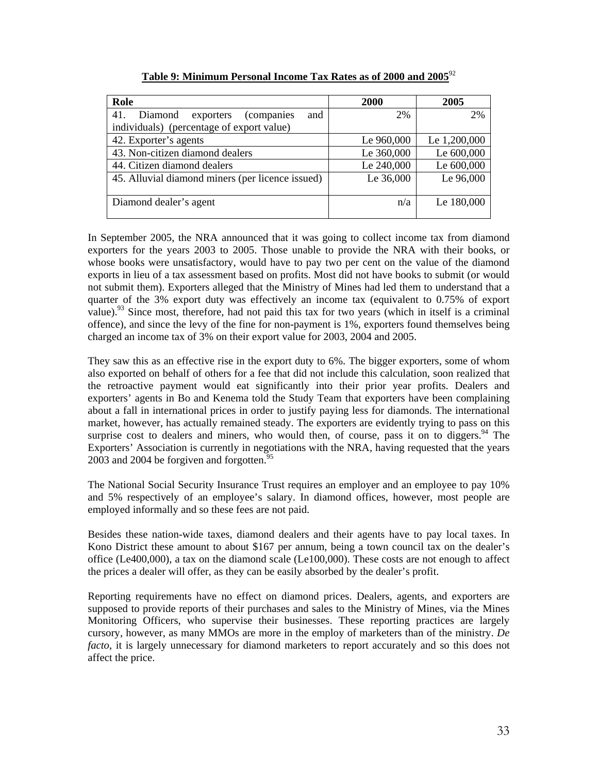| Role                                              | <b>2000</b> | 2005         |
|---------------------------------------------------|-------------|--------------|
| 41.<br>and<br>Diamond<br>exporters<br>(companies) | 2%          | 2%           |
| individuals) (percentage of export value)         |             |              |
| 42. Exporter's agents                             | Le 960,000  | Le 1,200,000 |
| 43. Non-citizen diamond dealers                   | Le 360,000  | Le 600,000   |
| 44. Citizen diamond dealers                       | Le 240,000  | Le 600,000   |
| 45. Alluvial diamond miners (per licence issued)  | Le 36,000   | Le 96,000    |
|                                                   |             |              |
| Diamond dealer's agent                            | n/a         | Le 180,000   |
|                                                   |             |              |

| Table 9: Minimum Personal Income Tax Rates as of 2000 and 2005 <sup>92</sup> |
|------------------------------------------------------------------------------|
|------------------------------------------------------------------------------|

In September 2005, the NRA announced that it was going to collect income tax from diamond exporters for the years 2003 to 2005. Those unable to provide the NRA with their books, or whose books were unsatisfactory, would have to pay two per cent on the value of the diamond exports in lieu of a tax assessment based on profits. Most did not have books to submit (or would not submit them). Exporters alleged that the Ministry of Mines had led them to understand that a quarter of the 3% export duty was effectively an income tax (equivalent to 0.75% of export value).<sup>93</sup> Since most, therefore, had not paid this tax for two years (which in itself is a criminal offence), and since the levy of the fine for non-payment is 1%, exporters found themselves being charged an income tax of 3% on their export value for 2003, 2004 and 2005.

They saw this as an effective rise in the export duty to 6%. The bigger exporters, some of whom also exported on behalf of others for a fee that did not include this calculation, soon realized that the retroactive payment would eat significantly into their prior year profits. Dealers and exporters' agents in Bo and Kenema told the Study Team that exporters have been complaining about a fall in international prices in order to justify paying less for diamonds. The international market, however, has actually remained steady. The exporters are evidently trying to pass on this surprise cost to dealers and miners, who would then, of course, pass it on to diggers. <sup>94</sup> The Exporters' Association is currently in negotiations with the NRA, having requested that the years 2003 and 2004 be forgiven and forgotten. $95$ 

The National Social Security Insurance Trust requires an employer and an employee to pay 10% and 5% respectively of an employee's salary. In diamond offices, however, most people are employed informally and so these fees are not paid.

Besides these nation-wide taxes, diamond dealers and their agents have to pay local taxes. In Kono District these amount to about \$167 per annum, being a town council tax on the dealer's office (Le400,000), a tax on the diamond scale (Le100,000). These costs are not enough to affect the prices a dealer will offer, as they can be easily absorbed by the dealer's profit.

Reporting requirements have no effect on diamond prices. Dealers, agents, and exporters are supposed to provide reports of their purchases and sales to the Ministry of Mines, via the Mines Monitoring Officers, who supervise their businesses. These reporting practices are largely cursory, however, as many MMOs are more in the employ of marketers than of the ministry. *De facto*, it is largely unnecessary for diamond marketers to report accurately and so this does not affect the price.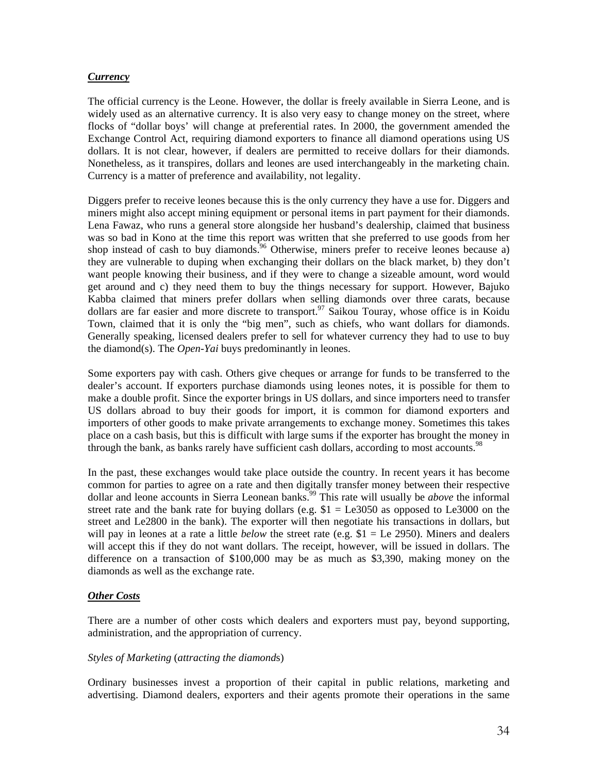#### *Currency*

The official currency is the Leone. However, the dollar is freely available in Sierra Leone, and is widely used as an alternative currency. It is also very easy to change money on the street, where flocks of "dollar boys' will change at preferential rates. In 2000, the government amended the Exchange Control Act, requiring diamond exporters to finance all diamond operations using US dollars. It is not clear, however, if dealers are permitted to receive dollars for their diamonds. Nonetheless, as it transpires, dollars and leones are used interchangeably in the marketing chain. Currency is a matter of preference and availability, not legality.

Diggers prefer to receive leones because this is the only currency they have a use for. Diggers and miners might also accept mining equipment or personal items in part payment for their diamonds. Lena Fawaz, who runs a general store alongside her husband's dealership, claimed that business was so bad in Kono at the time this report was written that she preferred to use goods from her shop instead of cash to buy diamonds.<sup>96</sup> Otherwise, miners prefer to receive leones because a) they are vulnerable to duping when exchanging their dollars on the black market, b) they don't want people knowing their business, and if they were to change a sizeable amount, word would get around and c) they need them to buy the things necessary for support. However, Bajuko Kabba claimed that miners prefer dollars when selling diamonds over three carats, because dollars are far easier and more discrete to transport.<sup>97</sup> Saikou Touray, whose office is in Koidu Town, claimed that it is only the "big men", such as chiefs, who want dollars for diamonds. Generally speaking, licensed dealers prefer to sell for whatever currency they had to use to buy the diamond(s). The *Open-Yai* buys predominantly in leones.

Some exporters pay with cash. Others give cheques or arrange for funds to be transferred to the dealer's account. If exporters purchase diamonds using leones notes, it is possible for them to make a double profit. Since the exporter brings in US dollars, and since importers need to transfer US dollars abroad to buy their goods for import, it is common for diamond exporters and importers of other goods to make private arrangements to exchange money. Sometimes this takes place on a cash basis, but this is difficult with large sums if the exporter has brought the money in through the bank, as banks rarely have sufficient cash dollars, according to most accounts.<sup>98</sup>

In the past, these exchanges would take place outside the country. In recent years it has become common for parties to agree on a rate and then digitally transfer money between their respective dollar and leone accounts in Sierra Leonean banks.<sup>99</sup> This rate will usually be *above* the informal street rate and the bank rate for buying dollars (e.g.  $$1 = Le3050$  as opposed to Le3000 on the street and Le2800 in the bank). The exporter will then negotiate his transactions in dollars, but will pay in leones at a rate a little *below* the street rate (e.g. \$1 = Le 2950). Miners and dealers will accept this if they do not want dollars. The receipt, however, will be issued in dollars. The difference on a transaction of \$100,000 may be as much as \$3,390, making money on the diamonds as well as the exchange rate.

#### *Other Costs*

There are a number of other costs which dealers and exporters must pay, beyond supporting, administration, and the appropriation of currency.

#### *Styles of Marketing* (*attracting the diamond*s)

Ordinary businesses invest a proportion of their capital in public relations, marketing and advertising. Diamond dealers, exporters and their agents promote their operations in the same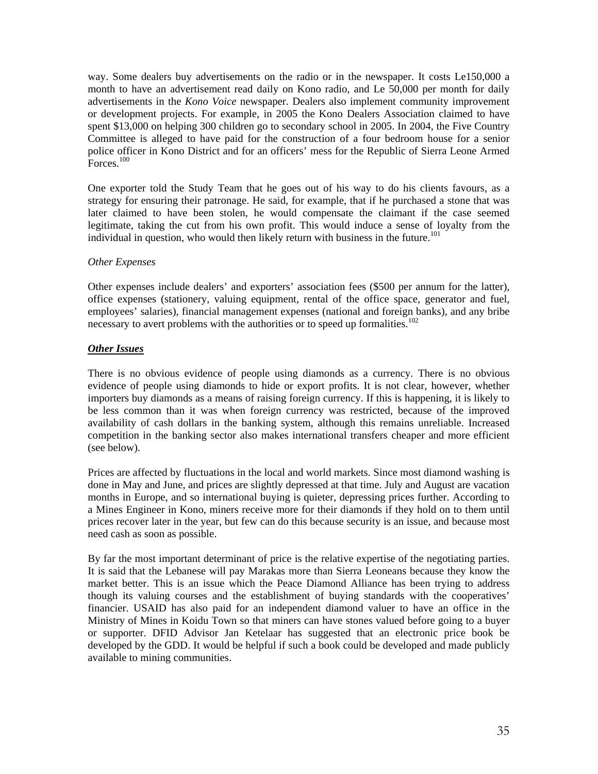way. Some dealers buy advertisements on the radio or in the newspaper. It costs Le150,000 a month to have an advertisement read daily on Kono radio, and Le 50,000 per month for daily advertisements in the *Kono Voice* newspaper. Dealers also implement community improvement or development projects. For example, in 2005 the Kono Dealers Association claimed to have spent \$13,000 on helping 300 children go to secondary school in 2005. In 2004, the Five Country Committee is alleged to have paid for the construction of a four bedroom house for a senior police officer in Kono District and for an officers' mess for the Republic of Sierra Leone Armed  $\text{Forces.}^{100}$ 

One exporter told the Study Team that he goes out of his way to do his clients favours, as a strategy for ensuring their patronage. He said, for example, that if he purchased a stone that was later claimed to have been stolen, he would compensate the claimant if the case seemed legitimate, taking the cut from his own profit. This would induce a sense of loyalty from the individual in question, who would then likely return with business in the future.<sup>101</sup>

#### *Other Expenses*

Other expenses include dealers' and exporters' association fees (\$500 per annum for the latter), office expenses (stationery, valuing equipment, rental of the office space, generator and fuel, employees' salaries), financial management expenses (national and foreign banks), and any bribe necessary to avert problems with the authorities or to speed up formalities.<sup>102</sup>

#### *Other Issues*

There is no obvious evidence of people using diamonds as a currency. There is no obvious evidence of people using diamonds to hide or export profits. It is not clear, however, whether importers buy diamonds as a means of raising foreign currency. If this is happening, it is likely to be less common than it was when foreign currency was restricted, because of the improved availability of cash dollars in the banking system, although this remains unreliable. Increased competition in the banking sector also makes international transfers cheaper and more efficient (see below).

Prices are affected by fluctuations in the local and world markets. Since most diamond washing is done in May and June, and prices are slightly depressed at that time. July and August are vacation months in Europe, and so international buying is quieter, depressing prices further. According to a Mines Engineer in Kono, miners receive more for their diamonds if they hold on to them until prices recover later in the year, but few can do this because security is an issue, and because most need cash as soon as possible.

By far the most important determinant of price is the relative expertise of the negotiating parties. It is said that the Lebanese will pay Marakas more than Sierra Leoneans because they know the market better. This is an issue which the Peace Diamond Alliance has been trying to address though its valuing courses and the establishment of buying standards with the cooperatives' financier. USAID has also paid for an independent diamond valuer to have an office in the Ministry of Mines in Koidu Town so that miners can have stones valued before going to a buyer or supporter. DFID Advisor Jan Ketelaar has suggested that an electronic price book be developed by the GDD. It would be helpful if such a book could be developed and made publicly available to mining communities.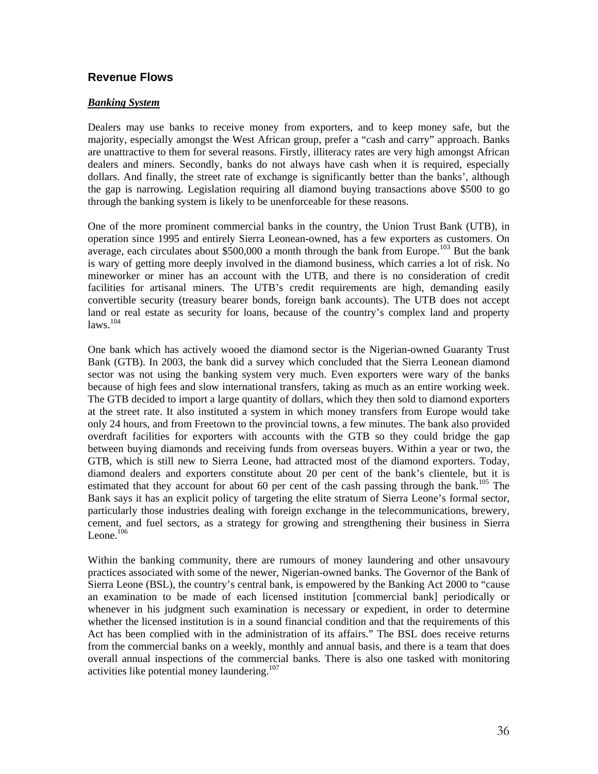#### **Revenue Flows**

#### *Banking System*

Dealers may use banks to receive money from exporters, and to keep money safe, but the majority, especially amongst the West African group, prefer a "cash and carry" approach. Banks are unattractive to them for several reasons. Firstly, illiteracy rates are very high amongst African dealers and miners. Secondly, banks do not always have cash when it is required, especially dollars. And finally, the street rate of exchange is significantly better than the banks', although the gap is narrowing. Legislation requiring all diamond buying transactions above \$500 to go through the banking system is likely to be unenforceable for these reasons.

One of the more prominent commercial banks in the country, the Union Trust Bank (UTB), in operation since 1995 and entirely Sierra Leonean-owned, has a few exporters as customers. On average, each circulates about \$500,000 a month through the bank from Europe.<sup>103</sup> But the bank is wary of getting more deeply involved in the diamond business, which carries a lot of risk. No mineworker or miner has an account with the UTB, and there is no consideration of credit facilities for artisanal miners. The UTB's credit requirements are high, demanding easily convertible security (treasury bearer bonds, foreign bank accounts). The UTB does not accept land or real estate as security for loans, because of the country's complex land and property  $l$ aws<sup>104</sup>

One bank which has actively wooed the diamond sector is the Nigerian-owned Guaranty Trust Bank (GTB). In 2003, the bank did a survey which concluded that the Sierra Leonean diamond sector was not using the banking system very much. Even exporters were wary of the banks because of high fees and slow international transfers, taking as much as an entire working week. The GTB decided to import a large quantity of dollars, which they then sold to diamond exporters at the street rate. It also instituted a system in which money transfers from Europe would take only 24 hours, and from Freetown to the provincial towns, a few minutes. The bank also provided overdraft facilities for exporters with accounts with the GTB so they could bridge the gap between buying diamonds and receiving funds from overseas buyers. Within a year or two, the GTB, which is still new to Sierra Leone, had attracted most of the diamond exporters. Today, diamond dealers and exporters constitute about 20 per cent of the bank's clientele, but it is estimated that they account for about 60 per cent of the cash passing through the bank.<sup>105</sup> The Bank says it has an explicit policy of targeting the elite stratum of Sierra Leone's formal sector, particularly those industries dealing with foreign exchange in the telecommunications, brewery, cement, and fuel sectors, as a strategy for growing and strengthening their business in Sierra Leone. $106$ 

Within the banking community, there are rumours of money laundering and other unsavoury practices associated with some of the newer, Nigerian-owned banks. The Governor of the Bank of Sierra Leone (BSL), the country's central bank, is empowered by the Banking Act 2000 to "cause an examination to be made of each licensed institution [commercial bank] periodically or whenever in his judgment such examination is necessary or expedient, in order to determine whether the licensed institution is in a sound financial condition and that the requirements of this Act has been complied with in the administration of its affairs." The BSL does receive returns from the commercial banks on a weekly, monthly and annual basis, and there is a team that does overall annual inspections of the commercial banks. There is also one tasked with monitoring activities like potential money laundering. 107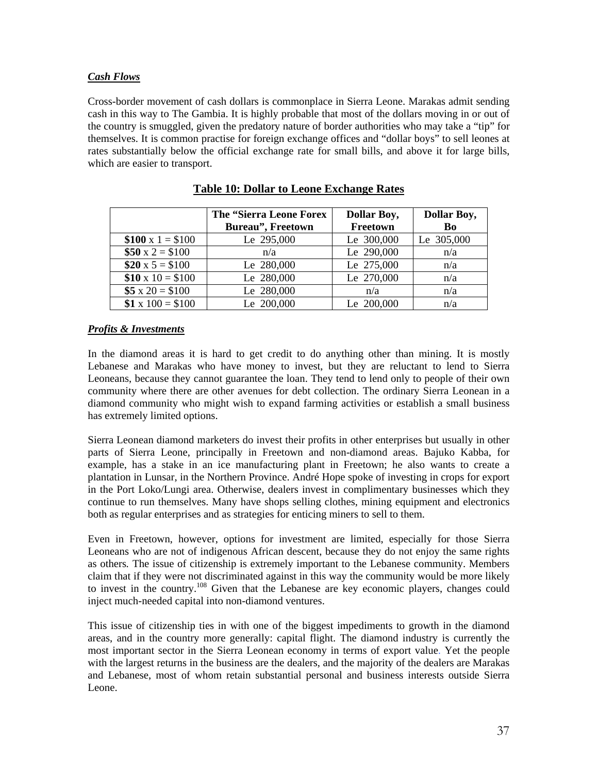#### *Cash Flows*

Cross-border movement of cash dollars is commonplace in Sierra Leone. Marakas admit sending cash in this way to The Gambia. It is highly probable that most of the dollars moving in or out of the country is smuggled, given the predatory nature of border authorities who may take a "tip" for themselves. It is common practise for foreign exchange offices and "dollar boys" to sell leones at rates substantially below the official exchange rate for small bills, and above it for large bills, which are easier to transport.

|                        | The "Sierra Leone Forex<br><b>Bureau"</b> , Freetown | <b>Dollar Boy,</b><br>Freetown | <b>Dollar Boy,</b><br>Bo |
|------------------------|------------------------------------------------------|--------------------------------|--------------------------|
| \$100 x 1 = \$100      | Le 295,000                                           | Le 300,000                     | Le 305,000               |
| $$50 \times 2 = $100$  | n/a                                                  | Le 290,000                     | n/a                      |
| $$20 \times 5 = $100$  | Le 280,000                                           | Le 275,000                     | n/a                      |
| $$10 \times 10 = $100$ | Le 280,000                                           | Le 270,000                     | n/a                      |
| $$5 x 20 = $100$       | Le 280,000                                           | n/a                            | n/a                      |
| $$1 \times 100 = $100$ | Le 200,000                                           | Le 200,000                     | n/a                      |

| <b>Table 10: Dollar to Leone Exchange Rates</b> |  |  |
|-------------------------------------------------|--|--|
|                                                 |  |  |

#### *Profits & Investments*

In the diamond areas it is hard to get credit to do anything other than mining. It is mostly Lebanese and Marakas who have money to invest, but they are reluctant to lend to Sierra Leoneans, because they cannot guarantee the loan. They tend to lend only to people of their own community where there are other avenues for debt collection. The ordinary Sierra Leonean in a diamond community who might wish to expand farming activities or establish a small business has extremely limited options.

Sierra Leonean diamond marketers do invest their profits in other enterprises but usually in other parts of Sierra Leone, principally in Freetown and non-diamond areas. Bajuko Kabba, for example, has a stake in an ice manufacturing plant in Freetown; he also wants to create a plantation in Lunsar, in the Northern Province. André Hope spoke of investing in crops for export in the Port Loko/Lungi area. Otherwise, dealers invest in complimentary businesses which they continue to run themselves. Many have shops selling clothes, mining equipment and electronics both as regular enterprises and as strategies for enticing miners to sell to them.

Even in Freetown, however, options for investment are limited, especially for those Sierra Leoneans who are not of indigenous African descent, because they do not enjoy the same rights as others*.* The issue of citizenship is extremely important to the Lebanese community. Members claim that if they were not discriminated against in this way the community would be more likely to invest in the country. 108 Given that the Lebanese are key economic players, changes could inject much-needed capital into non-diamond ventures.

This issue of citizenship ties in with one of the biggest impediments to growth in the diamond areas, and in the country more generally: capital flight. The diamond industry is currently the most important sector in the Sierra Leonean economy in terms of export value. Yet the people with the largest returns in the business are the dealers, and the majority of the dealers are Marakas and Lebanese, most of whom retain substantial personal and business interests outside Sierra Leone.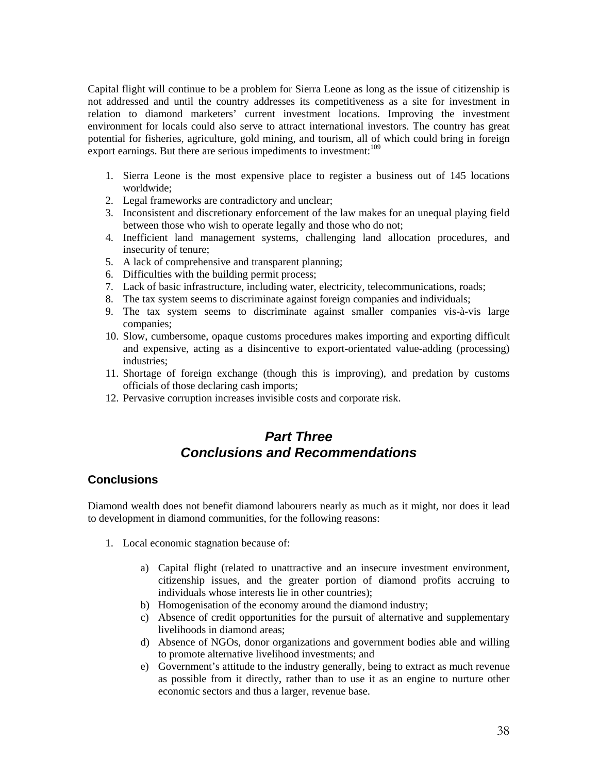Capital flight will continue to be a problem for Sierra Leone as long as the issue of citizenship is not addressed and until the country addresses its competitiveness as a site for investment in relation to diamond marketers' current investment locations. Improving the investment environment for locals could also serve to attract international investors. The country has great potential for fisheries, agriculture, gold mining, and tourism, all of which could bring in foreign export earnings. But there are serious impediments to investment:<sup>109</sup>

- 1. Sierra Leone is the most expensive place to register a business out of 145 locations worldwide;
- 2. Legal frameworks are contradictory and unclear;
- 3. Inconsistent and discretionary enforcement of the law makes for an unequal playing field between those who wish to operate legally and those who do not;
- 4. Inefficient land management systems, challenging land allocation procedures, and insecurity of tenure;
- 5. A lack of comprehensive and transparent planning;
- 6. Difficulties with the building permit process;
- 7. Lack of basic infrastructure, including water, electricity, telecommunications, roads;
- 8. The tax system seems to discriminate against foreign companies and individuals;
- 9. The tax system seems to discriminate against smaller companies vis-à-vis large companies;
- 10. Slow, cumbersome, opaque customs procedures makes importing and exporting difficult and expensive, acting as a disincentive to export-orientated value-adding (processing) industries;
- 11. Shortage of foreign exchange (though this is improving), and predation by customs officials of those declaring cash imports;
- 12. Pervasive corruption increases invisible costs and corporate risk.

## *Part Three Conclusions and Recommendations*

## **Conclusions**

Diamond wealth does not benefit diamond labourers nearly as much as it might, nor does it lead to development in diamond communities, for the following reasons:

- 1. Local economic stagnation because of:
	- a) Capital flight (related to unattractive and an insecure investment environment, citizenship issues, and the greater portion of diamond profits accruing to individuals whose interests lie in other countries);
	- b) Homogenisation of the economy around the diamond industry;
	- c) Absence of credit opportunities for the pursuit of alternative and supplementary livelihoods in diamond areas;
	- d) Absence of NGOs, donor organizations and government bodies able and willing to promote alternative livelihood investments; and
	- e) Government's attitude to the industry generally, being to extract as much revenue as possible from it directly, rather than to use it as an engine to nurture other economic sectors and thus a larger, revenue base.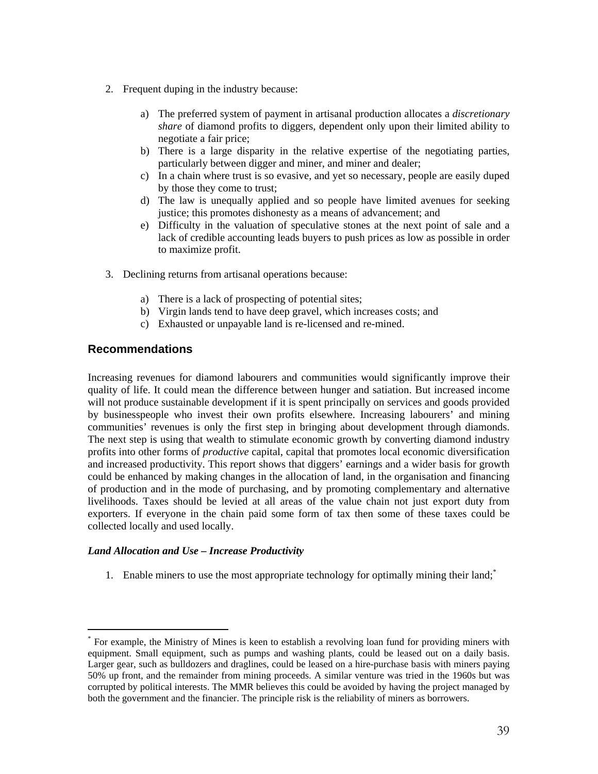- 2. Frequent duping in the industry because:
	- a) The preferred system of payment in artisanal production allocates a *discretionary share* of diamond profits to diggers, dependent only upon their limited ability to negotiate a fair price;
	- b) There is a large disparity in the relative expertise of the negotiating parties, particularly between digger and miner, and miner and dealer;
	- c) In a chain where trust is so evasive, and yet so necessary, people are easily duped by those they come to trust;
	- d) The law is unequally applied and so people have limited avenues for seeking justice; this promotes dishonesty as a means of advancement; and
	- e) Difficulty in the valuation of speculative stones at the next point of sale and a lack of credible accounting leads buyers to push prices as low as possible in order to maximize profit.
- 3. Declining returns from artisanal operations because:
	- a) There is a lack of prospecting of potential sites;
	- b) Virgin lands tend to have deep gravel, which increases costs; and
	- c) Exhausted or unpayable land is re-licensed and re-mined.

#### **Recommendations**

Increasing revenues for diamond labourers and communities would significantly improve their quality of life. It could mean the difference between hunger and satiation. But increased income will not produce sustainable development if it is spent principally on services and goods provided by businesspeople who invest their own profits elsewhere. Increasing labourers' and mining communities' revenues is only the first step in bringing about development through diamonds. The next step is using that wealth to stimulate economic growth by converting diamond industry profits into other forms of *productive* capital, capital that promotes local economic diversification and increased productivity. This report shows that diggers' earnings and a wider basis for growth could be enhanced by making changes in the allocation of land, in the organisation and financing of production and in the mode of purchasing, and by promoting complementary and alternative livelihoods. Taxes should be levied at all areas of the value chain not just export duty from exporters. If everyone in the chain paid some form of tax then some of these taxes could be collected locally and used locally.

#### *Land Allocation and Use – Increase Productivity*

1. Enable miners to use the most appropriate technology for optimally mining their land;\*

\* For example, the Ministry of Mines is keen to establish a revolving loan fund for providing miners with equipment. Small equipment, such as pumps and washing plants, could be leased out on a daily basis. Larger gear, such as bulldozers and draglines, could be leased on a hire-purchase basis with miners paying 50% up front, and the remainder from mining proceeds. A similar venture was tried in the 1960s but was corrupted by political interests. The MMR believes this could be avoided by having the project managed by both the government and the financier. The principle risk is the reliability of miners as borrowers.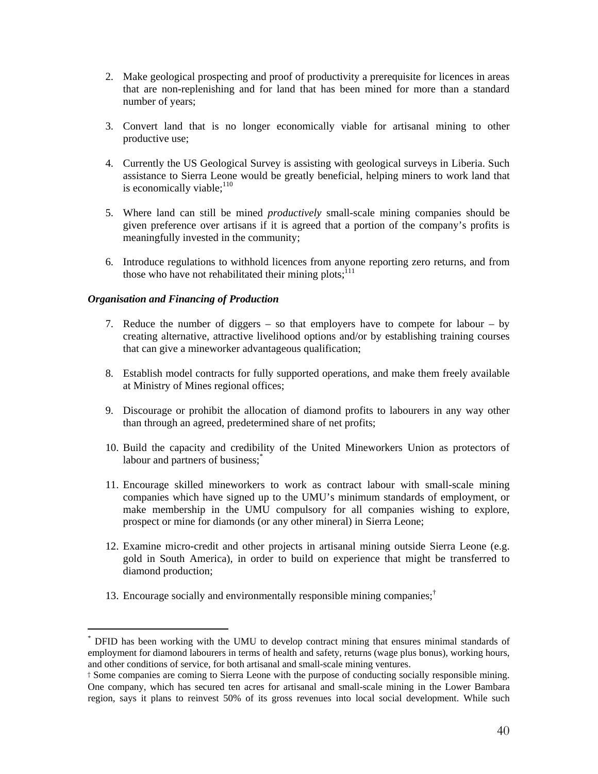- 2. Make geological prospecting and proof of productivity a prerequisite for licences in areas that are non-replenishing and for land that has been mined for more than a standard number of years;
- 3. Convert land that is no longer economically viable for artisanal mining to other productive use;
- 4. Currently the US Geological Survey is assisting with geological surveys in Liberia. Such assistance to Sierra Leone would be greatly beneficial, helping miners to work land that is economically viable; $^{110}$
- 5. Where land can still be mined *productively* small-scale mining companies should be given preference over artisans if it is agreed that a portion of the company's profits is meaningfully invested in the community;
- 6. Introduce regulations to withhold licences from anyone reporting zero returns, and from those who have not rehabilitated their mining plots;  $^{111}$

#### *Organisation and Financing of Production*

- 7. Reduce the number of diggers so that employers have to compete for labour by creating alternative, attractive livelihood options and/or by establishing training courses that can give a mineworker advantageous qualification;
- 8. Establish model contracts for fully supported operations, and make them freely available at Ministry of Mines regional offices;
- 9. Discourage or prohibit the allocation of diamond profits to labourers in any way other than through an agreed, predetermined share of net profits;
- 10. Build the capacity and credibility of the United Mineworkers Union as protectors of labour and partners of business;<sup>\*</sup>
- 11. Encourage skilled mineworkers to work as contract labour with small-scale mining companies which have signed up to the UMU's minimum standards of employment, or make membership in the UMU compulsory for all companies wishing to explore, prospect or mine for diamonds (or any other mineral) in Sierra Leone;
- 12. Examine micro-credit and other projects in artisanal mining outside Sierra Leone (e.g. gold in South America), in order to build on experience that might be transferred to diamond production;
- 13. Encourage socially and environmentally responsible mining companies;†

\* DFID has been working with the UMU to develop contract mining that ensures minimal standards of employment for diamond labourers in terms of health and safety, returns (wage plus bonus), working hours, and other conditions of service, for both artisanal and small-scale mining ventures.

<sup>†</sup> Some companies are coming to Sierra Leone with the purpose of conducting socially responsible mining. One company, which has secured ten acres for artisanal and small-scale mining in the Lower Bambara region, says it plans to reinvest 50% of its gross revenues into local social development. While such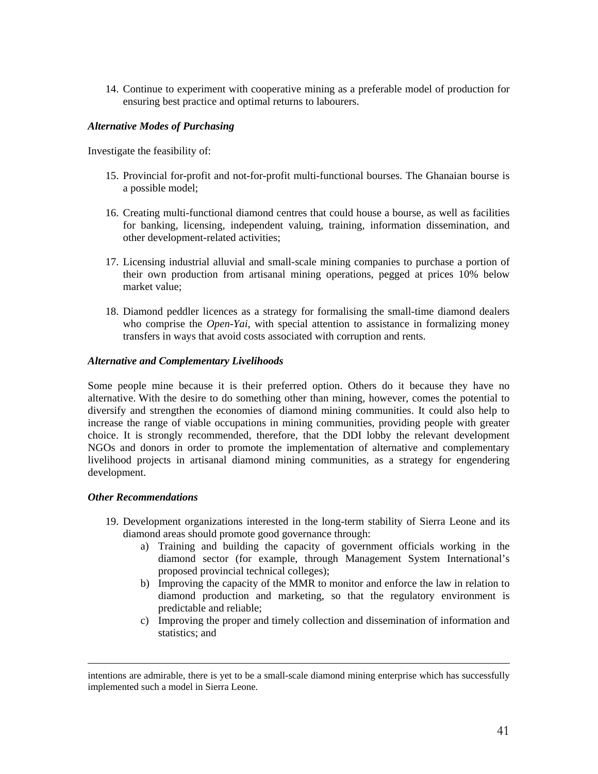14. Continue to experiment with cooperative mining as a preferable model of production for ensuring best practice and optimal returns to labourers.

#### *Alternative Modes of Purchasing*

Investigate the feasibility of:

- 15. Provincial for-profit and not-for-profit multi-functional bourses. The Ghanaian bourse is a possible model;
- 16. Creating multi-functional diamond centres that could house a bourse, as well as facilities for banking, licensing, independent valuing, training, information dissemination, and other development-related activities;
- 17. Licensing industrial alluvial and small-scale mining companies to purchase a portion of their own production from artisanal mining operations, pegged at prices 10% below market value;
- 18. Diamond peddler licences as a strategy for formalising the small-time diamond dealers who comprise the *Open-Yai*, with special attention to assistance in formalizing money transfers in ways that avoid costs associated with corruption and rents.

#### *Alternative and Complementary Livelihoods*

Some people mine because it is their preferred option. Others do it because they have no alternative. With the desire to do something other than mining, however, comes the potential to diversify and strengthen the economies of diamond mining communities. It could also help to increase the range of viable occupations in mining communities, providing people with greater choice. It is strongly recommended, therefore, that the DDI lobby the relevant development NGOs and donors in order to promote the implementation of alternative and complementary livelihood projects in artisanal diamond mining communities, as a strategy for engendering development.

#### *Other Recommendations*

 $\overline{a}$ 

- 19. Development organizations interested in the long-term stability of Sierra Leone and its diamond areas should promote good governance through:
	- a) Training and building the capacity of government officials working in the diamond sector (for example, through Management System International's proposed provincial technical colleges);
	- b) Improving the capacity of the MMR to monitor and enforce the law in relation to diamond production and marketing, so that the regulatory environment is predictable and reliable;
	- c) Improving the proper and timely collection and dissemination of information and statistics; and

intentions are admirable, there is yet to be a small-scale diamond mining enterprise which has successfully implemented such a model in Sierra Leone.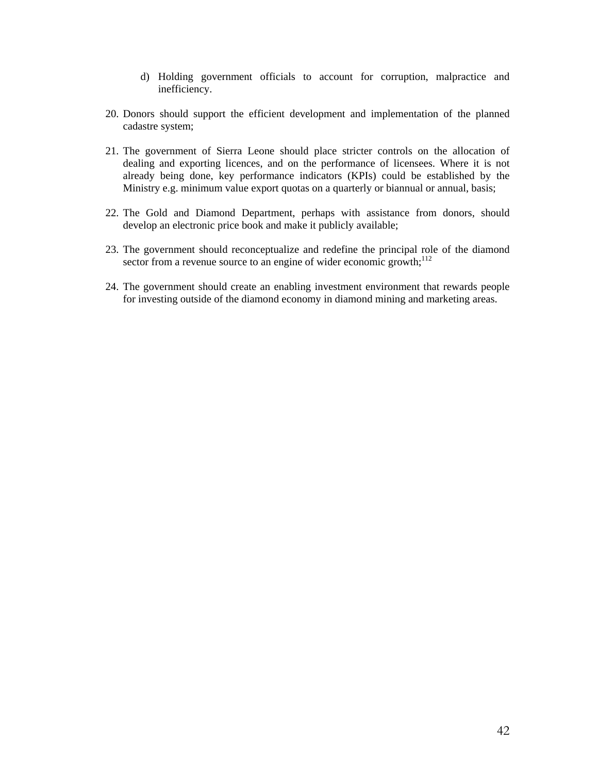- d) Holding government officials to account for corruption, malpractice and inefficiency.
- 20. Donors should support the efficient development and implementation of the planned cadastre system;
- 21. The government of Sierra Leone should place stricter controls on the allocation of dealing and exporting licences, and on the performance of licensees. Where it is not already being done, key performance indicators (KPIs) could be established by the Ministry e.g. minimum value export quotas on a quarterly or biannual or annual, basis;
- 22. The Gold and Diamond Department, perhaps with assistance from donors, should develop an electronic price book and make it publicly available;
- 23. The government should reconceptualize and redefine the principal role of the diamond sector from a revenue source to an engine of wider economic growth; $^{112}$
- 24. The government should create an enabling investment environment that rewards people for investing outside of the diamond economy in diamond mining and marketing areas.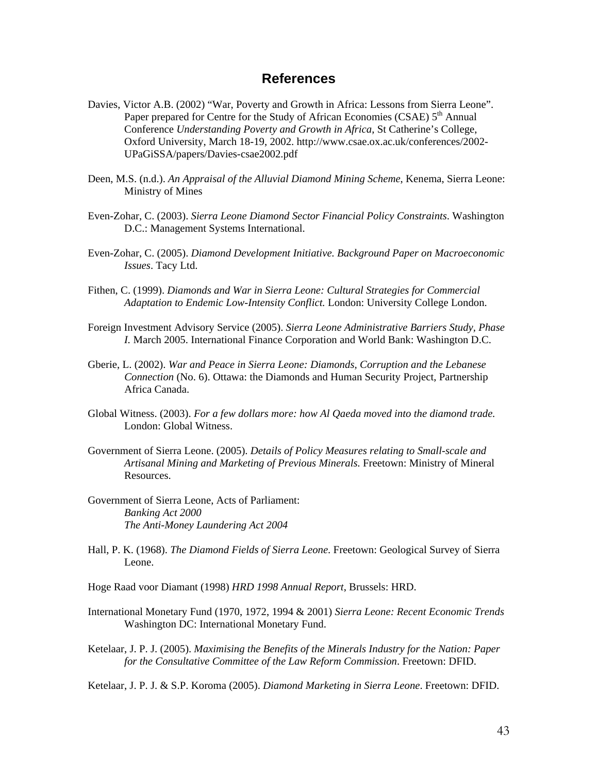## **References**

- Davies, Victor A.B. (2002) "War, Poverty and Growth in Africa: Lessons from Sierra Leone". Paper prepared for Centre for the Study of African Economies (CSAE)  $5<sup>th</sup>$  Annual Conference *Understanding Poverty and Growth in Africa*, St Catherine's College, Oxford University, March 18-19, 2002. http://www.csae.ox.ac.uk/conferences/2002- UPaGiSSA/papers/Davies-csae2002.pdf
- Deen, M.S. (n.d.). *An Appraisal of the Alluvial Diamond Mining Scheme*, Kenema, Sierra Leone: Ministry of Mines
- Even-Zohar, C. (2003). *Sierra Leone Diamond Sector Financial Policy Constraints*. Washington D.C.: Management Systems International.
- Even-Zohar, C. (2005). *Diamond Development Initiative. Background Paper on Macroeconomic Issues*. Tacy Ltd.
- Fithen, C. (1999). *Diamonds and War in Sierra Leone: Cultural Strategies for Commercial Adaptation to Endemic Low-Intensity Conflict.* London: University College London.
- Foreign Investment Advisory Service (2005). *Sierra Leone Administrative Barriers Study, Phase I.* March 2005. International Finance Corporation and World Bank: Washington D.C.
- Gberie, L. (2002). *War and Peace in Sierra Leone: Diamonds, Corruption and the Lebanese Connection* (No. 6). Ottawa: the Diamonds and Human Security Project, Partnership Africa Canada.
- Global Witness. (2003). *For a few dollars more: how Al Qaeda moved into the diamond trade.* London: Global Witness.
- Government of Sierra Leone. (2005). *Details of Policy Measures relating to Small-scale and Artisanal Mining and Marketing of Previous Minerals.* Freetown: Ministry of Mineral Resources.
- Government of Sierra Leone, Acts of Parliament: *Banking Act 2000 The Anti-Money Laundering Act 2004*
- Hall, P. K. (1968). *The Diamond Fields of Sierra Leone*. Freetown: Geological Survey of Sierra Leone.
- Hoge Raad voor Diamant (1998) *HRD 1998 Annual Report*, Brussels: HRD.
- International Monetary Fund (1970, 1972, 1994 & 2001) *Sierra Leone: Recent Economic Trends*  Washington DC: International Monetary Fund.
- Ketelaar, J. P. J. (2005). *Maximising the Benefits of the Minerals Industry for the Nation: Paper for the Consultative Committee of the Law Reform Commission*. Freetown: DFID.
- Ketelaar, J. P. J. & S.P. Koroma (2005). *Diamond Marketing in Sierra Leone*. Freetown: DFID.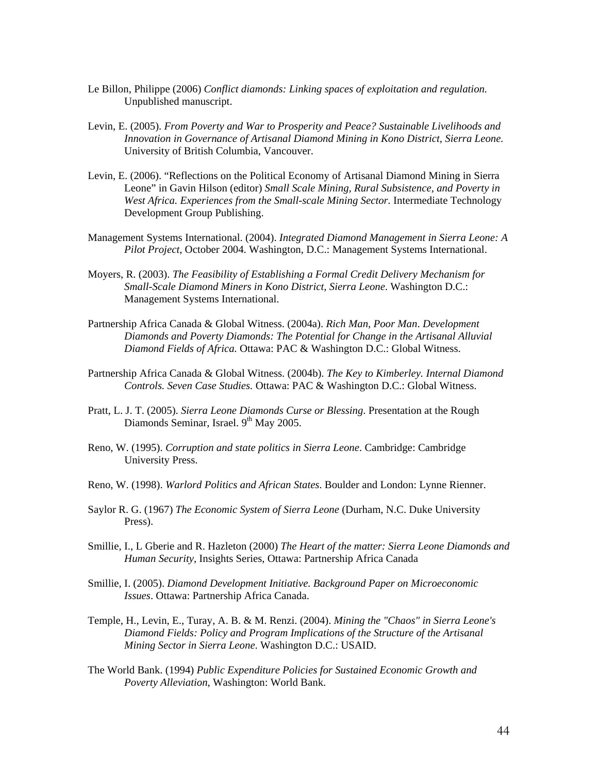- Le Billon, Philippe (2006) *Conflict diamonds: Linking spaces of exploitation and regulation.*  Unpublished manuscript.
- Levin, E. (2005). *From Poverty and War to Prosperity and Peace? Sustainable Livelihoods and Innovation in Governance of Artisanal Diamond Mining in Kono District, Sierra Leone.* University of British Columbia, Vancouver.
- Levin, E. (2006). "Reflections on the Political Economy of Artisanal Diamond Mining in Sierra Leone" in Gavin Hilson (editor) *Small Scale Mining, Rural Subsistence, and Poverty in West Africa. Experiences from the Small-scale Mining Sector.* Intermediate Technology Development Group Publishing.
- Management Systems International. (2004). *Integrated Diamond Management in Sierra Leone: A Pilot Project*, October 2004. Washington, D.C.: Management Systems International.
- Moyers, R. (2003). *The Feasibility of Establishing a Formal Credit Delivery Mechanism for Small-Scale Diamond Miners in Kono District, Sierra Leone*. Washington D.C.: Management Systems International.
- Partnership Africa Canada & Global Witness. (2004a). *Rich Man, Poor Man*. *Development Diamonds and Poverty Diamonds: The Potential for Change in the Artisanal Alluvial Diamond Fields of Africa.* Ottawa: PAC & Washington D.C.: Global Witness.
- Partnership Africa Canada & Global Witness. (2004b). *The Key to Kimberley. Internal Diamond Controls. Seven Case Studies.* Ottawa: PAC & Washington D.C.: Global Witness.
- Pratt, L. J. T. (2005). *Sierra Leone Diamonds Curse or Blessing*. Presentation at the Rough Diamonds Seminar, Israel. 9<sup>th</sup> May 2005.
- Reno, W. (1995). *Corruption and state politics in Sierra Leone*. Cambridge: Cambridge University Press.
- Reno, W. (1998). *Warlord Politics and African States*. Boulder and London: Lynne Rienner.
- Saylor R. G. (1967) *The Economic System of Sierra Leone* (Durham, N.C. Duke University Press).
- Smillie, I., L Gberie and R. Hazleton (2000) *The Heart of the matter: Sierra Leone Diamonds and Human Security*, Insights Series, Ottawa: Partnership Africa Canada
- Smillie, I. (2005). *Diamond Development Initiative. Background Paper on Microeconomic Issues*. Ottawa: Partnership Africa Canada.
- Temple, H., Levin, E., Turay, A. B. & M. Renzi. (2004). *Mining the "Chaos" in Sierra Leone's Diamond Fields: Policy and Program Implications of the Structure of the Artisanal Mining Sector in Sierra Leone*. Washington D.C.: USAID.
- The World Bank. (1994) *Public Expenditure Policies for Sustained Economic Growth and Poverty Alleviation*, Washington: World Bank.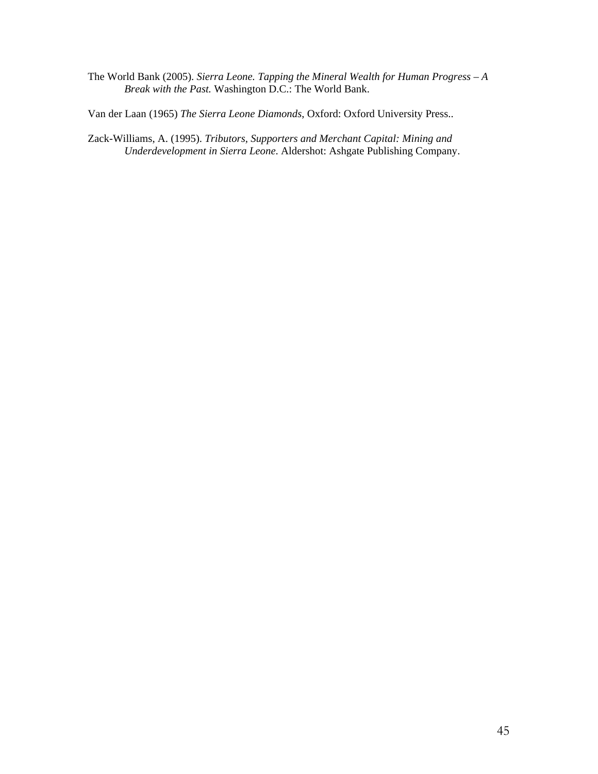The World Bank (2005). *Sierra Leone. Tapping the Mineral Wealth for Human Progress – A Break with the Past.* Washington D.C.: The World Bank.

Van der Laan (1965) *The Sierra Leone Diamonds*, Oxford: Oxford University Press..

Zack-Williams, A. (1995). *Tributors, Supporters and Merchant Capital: Mining and Underdevelopment in Sierra Leone*. Aldershot: Ashgate Publishing Company.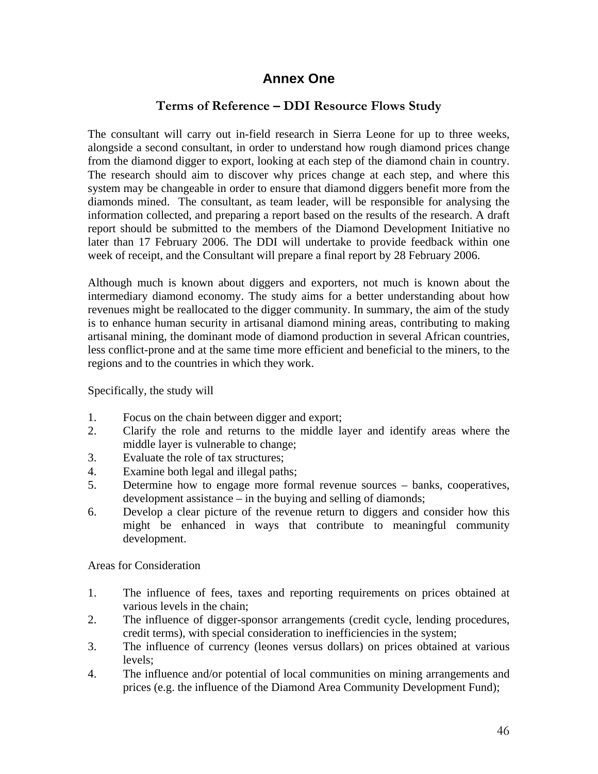## **Annex One**

## **Terms of Reference – DDI Resource Flows Study**

The consultant will carry out in-field research in Sierra Leone for up to three weeks, alongside a second consultant, in order to understand how rough diamond prices change from the diamond digger to export, looking at each step of the diamond chain in country. The research should aim to discover why prices change at each step, and where this system may be changeable in order to ensure that diamond diggers benefit more from the diamonds mined. The consultant, as team leader, will be responsible for analysing the information collected, and preparing a report based on the results of the research. A draft report should be submitted to the members of the Diamond Development Initiative no later than 17 February 2006. The DDI will undertake to provide feedback within one week of receipt, and the Consultant will prepare a final report by 28 February 2006.

Although much is known about diggers and exporters, not much is known about the intermediary diamond economy. The study aims for a better understanding about how revenues might be reallocated to the digger community. In summary, the aim of the study is to enhance human security in artisanal diamond mining areas, contributing to making artisanal mining, the dominant mode of diamond production in several African countries, less conflict-prone and at the same time more efficient and beneficial to the miners, to the regions and to the countries in which they work.

Specifically, the study will

- 1. Focus on the chain between digger and export;
- 2. Clarify the role and returns to the middle layer and identify areas where the middle layer is vulnerable to change;
- 3. Evaluate the role of tax structures;
- 4. Examine both legal and illegal paths;
- 5. Determine how to engage more formal revenue sources banks, cooperatives, development assistance – in the buying and selling of diamonds;
- 6. Develop a clear picture of the revenue return to diggers and consider how this might be enhanced in ways that contribute to meaningful community development.

Areas for Consideration

- 1. The influence of fees, taxes and reporting requirements on prices obtained at various levels in the chain;
- 2. The influence of digger-sponsor arrangements (credit cycle, lending procedures, credit terms), with special consideration to inefficiencies in the system;
- 3. The influence of currency (leones versus dollars) on prices obtained at various levels;
- 4. The influence and/or potential of local communities on mining arrangements and prices (e.g. the influence of the Diamond Area Community Development Fund);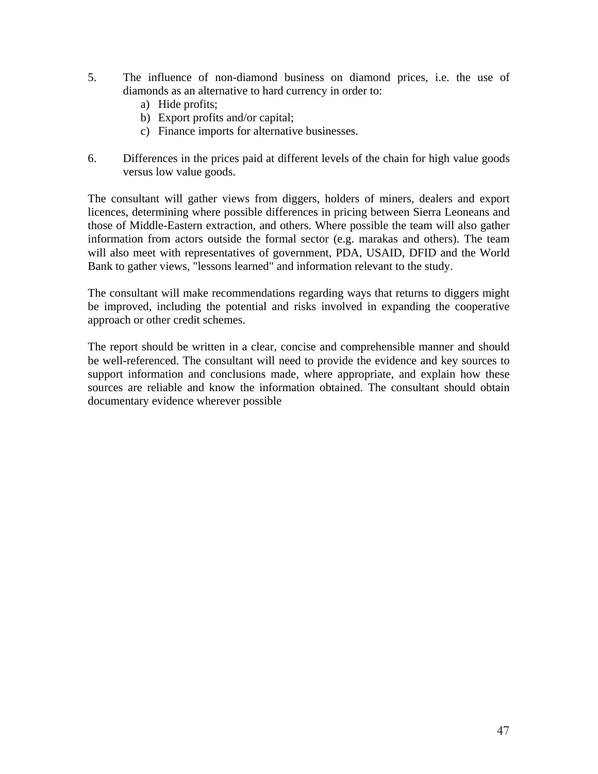- 5. The influence of non-diamond business on diamond prices, i.e. the use of diamonds as an alternative to hard currency in order to:
	- a) Hide profits;
	- b) Export profits and/or capital;
	- c) Finance imports for alternative businesses.
- 6. Differences in the prices paid at different levels of the chain for high value goods versus low value goods.

The consultant will gather views from diggers, holders of miners, dealers and export licences, determining where possible differences in pricing between Sierra Leoneans and those of Middle-Eastern extraction, and others. Where possible the team will also gather information from actors outside the formal sector (e.g. marakas and others). The team will also meet with representatives of government, PDA, USAID, DFID and the World Bank to gather views, "lessons learned" and information relevant to the study.

The consultant will make recommendations regarding ways that returns to diggers might be improved, including the potential and risks involved in expanding the cooperative approach or other credit schemes.

The report should be written in a clear, concise and comprehensible manner and should be well-referenced. The consultant will need to provide the evidence and key sources to support information and conclusions made, where appropriate, and explain how these sources are reliable and know the information obtained. The consultant should obtain documentary evidence wherever possible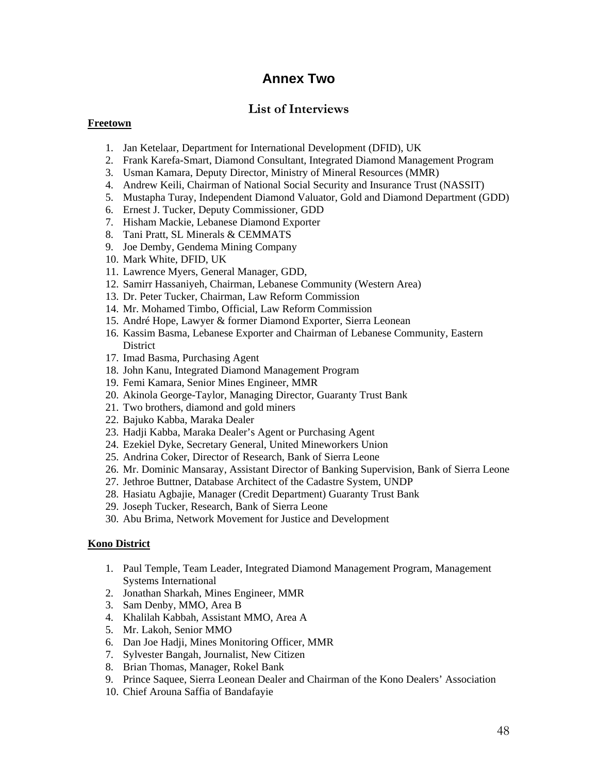## **Annex Two**

## **List of Interviews**

#### **Freetown**

- 1. Jan Ketelaar, Department for International Development (DFID), UK
- 2. Frank Karefa-Smart, Diamond Consultant, Integrated Diamond Management Program
- 3. Usman Kamara, Deputy Director, Ministry of Mineral Resources (MMR)
- 4. Andrew Keili, Chairman of National Social Security and Insurance Trust (NASSIT)
- 5. Mustapha Turay, Independent Diamond Valuator, Gold and Diamond Department (GDD)
- 6. Ernest J. Tucker, Deputy Commissioner, GDD
- 7. Hisham Mackie, Lebanese Diamond Exporter
- 8. Tani Pratt, SL Minerals & CEMMATS
- 9. Joe Demby, Gendema Mining Company
- 10. Mark White, DFID, UK
- 11. Lawrence Myers, General Manager, GDD,
- 12. Samirr Hassaniyeh, Chairman, Lebanese Community (Western Area)
- 13. Dr. Peter Tucker, Chairman, Law Reform Commission
- 14. Mr. Mohamed Timbo, Official, Law Reform Commission
- 15. André Hope, Lawyer & former Diamond Exporter, Sierra Leonean
- 16. Kassim Basma, Lebanese Exporter and Chairman of Lebanese Community, Eastern **District**
- 17. Imad Basma, Purchasing Agent
- 18. John Kanu, Integrated Diamond Management Program
- 19. Femi Kamara, Senior Mines Engineer, MMR
- 20. Akinola George-Taylor, Managing Director, Guaranty Trust Bank
- 21. Two brothers, diamond and gold miners
- 22. Bajuko Kabba, Maraka Dealer
- 23. Hadji Kabba, Maraka Dealer's Agent or Purchasing Agent
- 24. Ezekiel Dyke, Secretary General, United Mineworkers Union
- 25. Andrina Coker, Director of Research, Bank of Sierra Leone
- 26. Mr. Dominic Mansaray, Assistant Director of Banking Supervision, Bank of Sierra Leone
- 27. Jethroe Buttner, Database Architect of the Cadastre System, UNDP
- 28. Hasiatu Agbajie, Manager (Credit Department) Guaranty Trust Bank
- 29. Joseph Tucker, Research, Bank of Sierra Leone
- 30. Abu Brima, Network Movement for Justice and Development

#### **Kono District**

- 1. Paul Temple, Team Leader, Integrated Diamond Management Program, Management Systems International
- 2. Jonathan Sharkah, Mines Engineer, MMR
- 3. Sam Denby, MMO, Area B
- 4. Khalilah Kabbah, Assistant MMO, Area A
- 5. Mr. Lakoh, Senior MMO
- 6. Dan Joe Hadji, Mines Monitoring Officer, MMR
- 7. Sylvester Bangah, Journalist, New Citizen
- 8. Brian Thomas, Manager, Rokel Bank
- 9. Prince Saquee, Sierra Leonean Dealer and Chairman of the Kono Dealers' Association
- 10. Chief Arouna Saffia of Bandafayie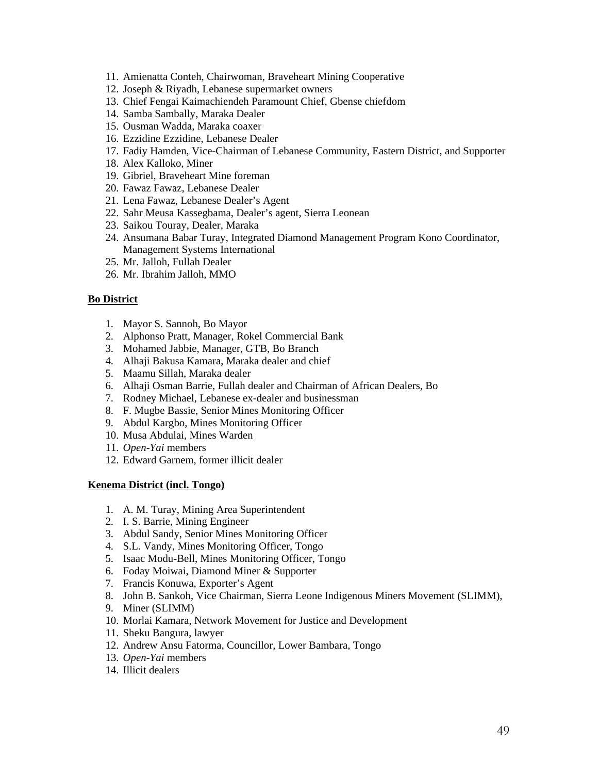- 11. Amienatta Conteh, Chairwoman, Braveheart Mining Cooperative
- 12. Joseph & Riyadh, Lebanese supermarket owners
- 13. Chief Fengai Kaimachiendeh Paramount Chief, Gbense chiefdom
- 14. Samba Sambally, Maraka Dealer
- 15. Ousman Wadda, Maraka coaxer
- 16. Ezzidine Ezzidine, Lebanese Dealer
- 17. Fadiy Hamden, Vice-Chairman of Lebanese Community, Eastern District, and Supporter
- 18. Alex Kalloko, Miner
- 19. Gibriel, Braveheart Mine foreman
- 20. Fawaz Fawaz, Lebanese Dealer
- 21. Lena Fawaz, Lebanese Dealer's Agent
- 22. Sahr Meusa Kassegbama, Dealer's agent, Sierra Leonean
- 23. Saikou Touray, Dealer, Maraka
- 24. Ansumana Babar Turay, Integrated Diamond Management Program Kono Coordinator, Management Systems International
- 25. Mr. Jalloh, Fullah Dealer
- 26. Mr. Ibrahim Jalloh, MMO

#### **Bo District**

- 1. Mayor S. Sannoh, Bo Mayor
- 2. Alphonso Pratt, Manager, Rokel Commercial Bank
- 3. Mohamed Jabbie, Manager, GTB, Bo Branch
- 4. Alhaji Bakusa Kamara, Maraka dealer and chief
- 5. Maamu Sillah, Maraka dealer
- 6. Alhaji Osman Barrie, Fullah dealer and Chairman of African Dealers, Bo
- 7. Rodney Michael, Lebanese ex-dealer and businessman
- 8. F. Mugbe Bassie, Senior Mines Monitoring Officer
- 9. Abdul Kargbo, Mines Monitoring Officer
- 10. Musa Abdulai, Mines Warden
- 11. *Open-Yai* members
- 12. Edward Garnem, former illicit dealer

#### **Kenema District (incl. Tongo)**

- 1. A. M. Turay, Mining Area Superintendent
- 2. I. S. Barrie, Mining Engineer
- 3. Abdul Sandy, Senior Mines Monitoring Officer
- 4. S.L. Vandy, Mines Monitoring Officer, Tongo
- 5. Isaac Modu-Bell, Mines Monitoring Officer, Tongo
- 6. Foday Moiwai, Diamond Miner & Supporter
- 7. Francis Konuwa, Exporter's Agent
- 8. John B. Sankoh, Vice Chairman, Sierra Leone Indigenous Miners Movement (SLIMM),
- 9. Miner (SLIMM)
- 10. Morlai Kamara, Network Movement for Justice and Development
- 11. Sheku Bangura, lawyer
- 12. Andrew Ansu Fatorma, Councillor, Lower Bambara, Tongo
- 13. *Open-Yai* members
- 14. Illicit dealers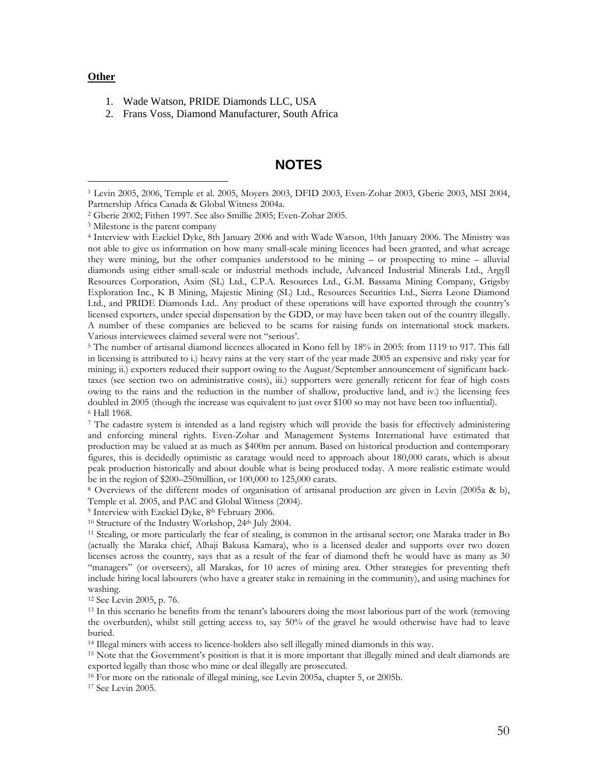#### **Other**

- 1. Wade Watson, PRIDE Diamonds LLC, USA
- 2. Frans Voss, Diamond Manufacturer, South Africa

## **NOTES**

in licensing is attributed to i.) heavy rains at the very start of the year made 2005 an expensive and risky year for mining; ii.) exporters reduced their support owing to the August/September announcement of significant backtaxes (see section two on administrative costs), iii.) supporters were generally reticent for fear of high costs owing to the rains and the reduction in the number of shallow, productive land, and iv.) the licensing fees doubled in 2005 (though the increase was equivalent to just over \$100 so may not have been too influential). <sup>6</sup> Hall 1968.

7 The cadastre system is intended as a land registry which will provide the basis for effectively administering and enforcing mineral rights. Even-Zohar and Management Systems International have estimated that production may be valued at as much as \$400m per annum. Based on historical production and contemporary figures, this is decidedly optimistic as caratage would need to approach about 180,000 carats, which is about peak production historically and about double what is being produced today. A more realistic estimate would be in the region of \$200–250million, or 100,000 to 125,000 carats.<br><sup>8</sup> Overviews of the different modes of organisation of artisanal production are given in Levin (2005a & b),

Temple et al. 2005, and PAC and Global Witness (2004).<br><sup>9</sup> Interview with Ezekiel Dyke, 8<sup>th</sup> February 2006.<br><sup>10</sup> Structure of the Industry Workshop, 24<sup>th</sup> July 2004.<br><sup>11</sup> Stealing, or more particularly the fear of steali

(actually the Maraka chief, Alhaji Bakusa Kamara), who is a licensed dealer and supports over two dozen licenses across the country, says that as a result of the fear of diamond theft he would have as many as 30 "managers" (or overseers), all Marakas, for 10 acres of mining area. Other strategies for preventing theft include hiring local labourers (who have a greater stake in remaining in the community), and using machines for washing.

<sup>12</sup> See Levin 2005, p. 76.<br><sup>13</sup> In this scenario he benefits from the tenant's labourers doing the most laborious part of the work (removing the overburden), whilst still getting access to, say 50% of the gravel he would otherwise have had to leave buried.

<sup>14</sup> Illegal miners with access to licence-holders also sell illegally mined diamonds in this way.<br><sup>15</sup> Note that the Government's position is that it is more important that illegally mined and dealt diamonds are<br>exported

<sup>16</sup> For more on the rationale of illegal mining, see Levin 2005a, chapter 5, or 2005b. <sup>17</sup> See Levin 2005.

 <sup>1</sup> Levin 2005, 2006, Temple et al. 2005, Moyers 2003, DFID 2003, Even-Zohar 2003, Gberie 2003, MSI 2004,

<sup>&</sup>lt;sup>2</sup> Gberie 2002; Fithen 1997. See also Smillie 2005; Even-Zohar 2005.<br><sup>3</sup> Milestone is the parent company<br><sup>4</sup> Interview with Ezekiel Dyke, 8th January 2006 and with Wade Watson, 10th January 2006. The Ministry was not able to give us information on how many small-scale mining licences had been granted, and what acreage they were mining, but the other companies understood to be mining – or prospecting to mine – alluvial diamonds using either small-scale or industrial methods include, Advanced Industrial Minerals Ltd., Argyll Resources Corporation, Axim (SL) Ltd., C.P.A. Resources Ltd., G.M. Bassama Mining Company, Grigsby Exploration Inc., K B Mining, Majestic Mining (SL) Ltd., Resources Securities Ltd., Sierra Leone Diamond Ltd., and PRIDE Diamonds Ltd.. Any product of these operations will have exported through the country's licensed exporters, under special dispensation by the GDD, or may have been taken out of the country illegally. A number of these companies are believed to be scams for raising funds on international stock markets. Various interviewees claimed several were not "serious'. 5 The number of artisanal diamond licences allocated in Kono fell by 18% in 2005: from 1119 to 917. This fall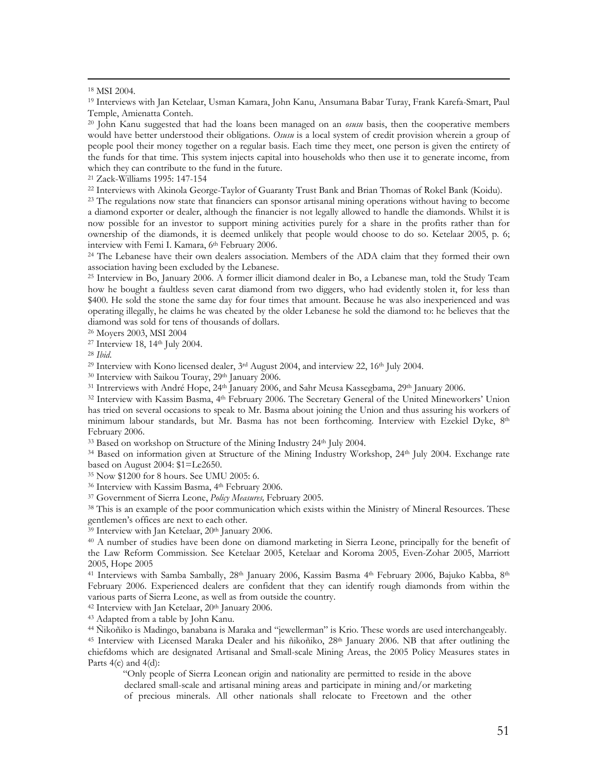19 Interviews with Jan Ketelaar, Usman Kamara, John Kanu, Ansumana Babar Turay, Frank Karefa-Smart, Paul Temple, Amienatta Conteh.<br><sup>20</sup> John Kanu suggested that had the loans been managed on an *osusu* basis, then the cooperative members

would have better understood their obligations. *Osusu* is a local system of credit provision wherein a group of people pool their money together on a regular basis. Each time they meet, one person is given the entirety of the funds for that time. This system injects capital into households who then use it to generate income, from which they can contribute to the fund in the future.<br><sup>21</sup> Zack-Williams 1995: 147-154<br><sup>22</sup> Interviews with Akinola George-Taylor of Guaranty Trust Bank and Brian Thomas of Rokel Bank (Koidu).<br><sup>23</sup> The regulations now state

a diamond exporter or dealer, although the financier is not legally allowed to handle the diamonds. Whilst it is now possible for an investor to support mining activities purely for a share in the profits rather than for ownership of the diamonds, it is deemed unlikely that people would choose to do so. Ketelaar 2005, p. 6;

interview with Femi I. Kamara, 6<sup>th</sup> February 2006.<br><sup>24</sup> The Lebanese have their own dealers association. Members of the ADA claim that they formed their own association having been excluded by the Lebanese.

 $^{25}$  Interview in Bo, January 2006. A former illicit diamond dealer in Bo, a Lebanese man, told the Study Team how he bought a faultless seven carat diamond from two diggers, who had evidently stolen it, for less than \$400. He sold the stone the same day for four times that amount. Because he was also inexperienced and was operating illegally, he claims he was cheated by the older Lebanese he sold the diamond to: he believes that the

<sup>26</sup> Moyers 2003, MSI 2004<br><sup>27</sup> Interview 18, 14<sup>th</sup> July 2004.<br><sup>28</sup> *Ibid.*<br><sup>29</sup> Interview with Kono licensed dealer, 3<sup>rd</sup> August 2004, and interview 22, 16<sup>th</sup> July 2004.<br><sup>30</sup> Interview with Saikou Touray, 29<sup>th</sup> Januar has tried on several occasions to speak to Mr. Basma about joining the Union and thus assuring his workers of minimum labour standards, but Mr. Basma has not been forthcoming. Interview with Ezekiel Dyke, 8th February 2006.<br><sup>33</sup> Based on workshop on Structure of the Mining Industry 24<sup>th</sup> July 2004.

<sup>34</sup> Based on information given at Structure of the Mining Industry Workshop, 24<sup>th</sup> July 2004. Exchange rate based on August 2004: \$1=Le2650.<br><sup>35</sup> Now \$1200 for 8 hours. See UMU 2005: 6.<br><sup>36</sup> Interview with Kassim Basma, 4<sup>th</sup> February 2006.<br><sup>37</sup> Government of Sierra Leone, *Policy Measures*, February 2005.<br><sup>38</sup> This is an exampl

gentlemen's offices are next to each other.<br><sup>39</sup> Interview with Jan Ketelaar, 20<sup>th</sup> January 2006.

<sup>40</sup> A number of studies have been done on diamond marketing in Sierra Leone, principally for the benefit of the Law Reform Commission. See Ketelaar 2005, Ketelaar and Koroma 2005, Even-Zohar 2005, Marriott 2005, Hope 2005

<sup>41</sup> Interviews with Samba Sambally, 28<sup>th</sup> January 2006, Kassim Basma <sup>4th</sup> February 2006, Bajuko Kabba, 8<sup>th</sup> February 2006. Experienced dealers are confident that they can identify rough diamonds from within the various parts of Sierra Leone, as well as from outside the country.<br><sup>42</sup> Interview with Jan Ketelaar, 20<sup>th</sup> January 2006.

<sup>43</sup> Adapted from a table by John Kanu.<br><sup>44</sup> Ñikoñiko is Madingo, banabana is Maraka and "jewellerman" is Krio. These words are used interchangeably.<br><sup>45</sup> Interview with Licensed Maraka Dealer and his ñikoñiko, 28<sup>th</sup> Janu chiefdoms which are designated Artisanal and Small-scale Mining Areas, the 2005 Policy Measures states in Parts 4(c) and 4(d):

"Only people of Sierra Leonean origin and nationality are permitted to reside in the above declared small-scale and artisanal mining areas and participate in mining and/or marketing of precious minerals. All other nationals shall relocate to Freetown and the other

 <sup>18</sup> MSI 2004.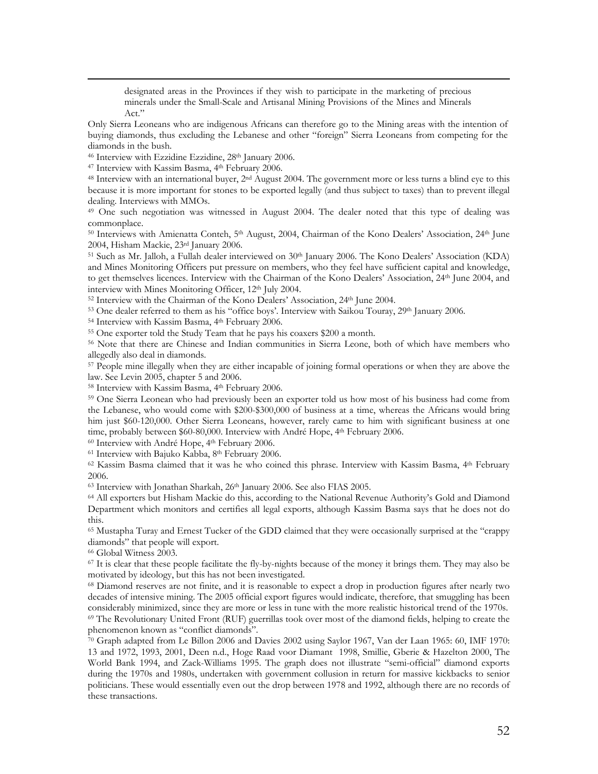designated areas in the Provinces if they wish to participate in the marketing of precious minerals under the Small-Scale and Artisanal Mining Provisions of the Mines and Minerals Act."

Only Sierra Leoneans who are indigenous Africans can therefore go to the Mining areas with the intention of buying diamonds, thus excluding the Lebanese and other "foreign" Sierra Leoneans from competing for the diamonds in the bush.<br><sup>46</sup> Interview with Ezzidine Ezzidine, 28<sup>th</sup> January 2006.<br><sup>47</sup> Interview with Kassim Basma, 4<sup>th</sup> February 2006.<br><sup>48</sup> Interview with an international buyer, 2<sup>nd</sup> August 2004. The government more or

because it is more important for stones to be exported legally (and thus subject to taxes) than to prevent illegal dealing. Interviews with MMOs.<br><sup>49</sup> One such negotiation was witnessed in August 2004. The dealer noted that this type of dealing was

commonplace.

<sup>50</sup> Interviews with Amienatta Conteh, 5<sup>th</sup> August, 2004, Chairman of the Kono Dealers' Association, 24<sup>th</sup> June 2004, Hisham Mackie, 23<sup>rd</sup> January 2006.<br><sup>51</sup> Such as Mr. Jalloh, a Fullah dealer interviewed on 30<sup>th</sup> January 2006. The Kono Dealers' Association (KDA)

and Mines Monitoring Officers put pressure on members, who they feel have sufficient capital and knowledge, to get themselves licences. Interview with the Chairman of the Kono Dealers' Association, 24th June 2004, and

interview with Mines Monitoring Officer, 12<sup>th</sup> July 2004.<br><sup>52</sup> Interview with the Chairman of the Kono Dealers' Association, 24<sup>th</sup> June 2004.<br><sup>53</sup> One dealer referred to them as his "office boys'. Interview with Saikou T

<sup>57</sup> People mine illegally when they are either incapable of joining formal operations or when they are above the law. See Levin 2005, chapter 5 and 2006.

<sup>58</sup> Interview with Kassim Basma, 4<sup>th</sup> February 2006.<br><sup>59</sup> One Sierra Leonean who had previously been an exporter told us how most of his business had come from the Lebanese, who would come with \$200-\$300,000 of business at a time, whereas the Africans would bring him just \$60-120,000. Other Sierra Leoneans, however, rarely came to him with significant business at one time, probably between \$60-80,000. Interview with André Hope, 4<sup>th</sup> February 2006.<br><sup>60</sup> Interview with André Hope, 4<sup>th</sup> February 2006.<br><sup>61</sup> Interview with Bajuko Kabba, 8<sup>th</sup> February 2006.<br><sup>62</sup> Kassim Basma claimed that

2006.

<sup>63</sup> Interview with Jonathan Sharkah, 26<sup>th</sup> January 2006. See also FIAS 2005.<br><sup>64</sup> All exporters but Hisham Mackie do this, according to the National Revenue Authority's Gold and Diamond Department which monitors and certifies all legal exports, although Kassim Basma says that he does not do this.

<sup>65</sup> Mustapha Turay and Ernest Tucker of the GDD claimed that they were occasionally surprised at the "crappy diamonds" that people will export.<br>
66 Global Witness 2003.<br>
67 It is clear that these people facilitate the fly-by-nights because of the money it brings them. They may also be

motivated by ideology, but this has not been investigated.<br><sup>68</sup> Diamond reserves are not finite, and it is reasonable to expect a drop in production figures after nearly two

decades of intensive mining. The 2005 official export figures would indicate, therefore, that smuggling has been considerably minimized, since they are more or less in tune with the more realistic historical trend of the 1 <sup>69</sup> The Revolutionary United Front (RUF) guerrillas took over most of the diamond fields, helping to create the

phenomenon known as "conflict diamonds".<br><sup>70</sup> Graph adapted from Le Billon 2006 and Davies 2002 using Saylor 1967, Van der Laan 1965: 60, IMF 1970: 13 and 1972, 1993, 2001, Deen n.d., Hoge Raad voor Diamant 1998, Smillie, Gberie & Hazelton 2000, The World Bank 1994, and Zack-Williams 1995. The graph does not illustrate "semi-official" diamond exports during the 1970s and 1980s, undertaken with government collusion in return for massive kickbacks to senior politicians. These would essentially even out the drop between 1978 and 1992, although there are no records of these transactions.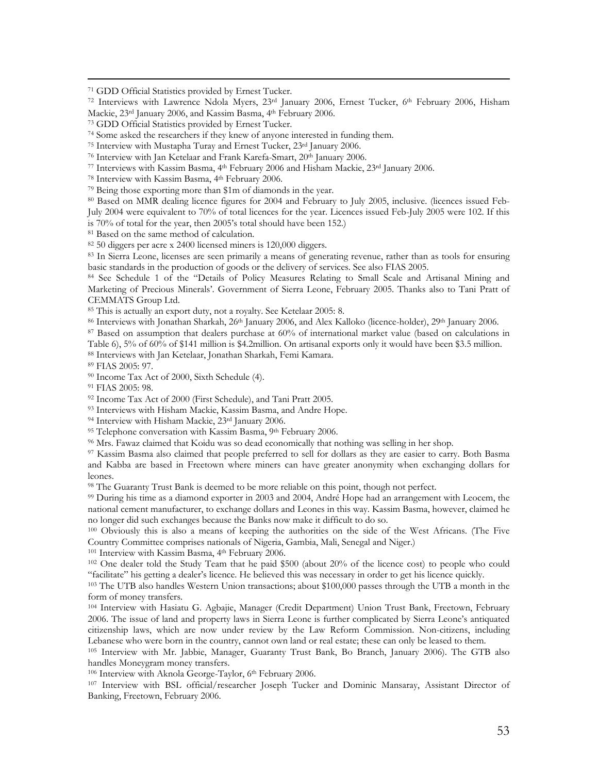<sup>71</sup> GDD Official Statistics provided by Ernest Tucker.<br><sup>72</sup> Interviews with Lawrence Ndola Myers, 23<sup>rd</sup> January 2006, Ernest Tucker, 6<sup>th</sup> February 2006, Hisham<br>Mackie, 23<sup>rd</sup> January 2006, and Kassim Basma, 4<sup>th</sup> Februa

Mackie, 23<sup>rd</sup> January 2006, and Kassim Basma, 4<sup>th</sup> February 2006.<br><sup>73</sup> GDD Official Statistics provided by Ernest Tucker.<br><sup>74</sup> Some asked the researchers if they knew of anyone interested in funding them.<br><sup>75</sup> Interview July 2004 were equivalent to 70% of total licences for the year. Licences issued Feb-July 2005 were 102. If this is 70% of total for the year, then 2005's total should have been 152.)<br><sup>81</sup> Based on the same method of calculation.<br><sup>82</sup> 50 diggers per acre x 2400 licensed miners is 120,000 diggers.<br><sup>83</sup> In Sierra Leone, licenses are se

basic standards in the production of goods or the delivery of services. See also FIAS 2005.<br><sup>84</sup> See Schedule 1 of the "Details of Policy Measures Relating to Small Scale and Artisanal Mining and

Marketing of Precious Minerals'. Government of Sierra Leone, February 2005. Thanks also to Tani Pratt of CEMMATS Group Ltd.<br><sup>85</sup> This is actually an export duty, not a royalty. See Ketelaar 2005: 8.<br><sup>86</sup> Interviews with Jonathan Sharkah, 26<sup>th</sup> January 2006, and Alex Kalloko (licence-holder), 29<sup>th</sup> January 2006.<br><sup>87</sup> Based o

Table 6), 5% of 60% of \$141 million is \$4.2million. On artisanal exports only it would have been \$3.5 million. 88 Interviews with Jan Ketelaar, Jonathan Sharkah, Femi Kamara. 89 FIAS 2005: 97.

% Income Tax Act of 2000, Sixth Schedule (4).<br><sup>91</sup> FIAS 2005: 98.<br><sup>92</sup> Income Tax Act of 2000 (First Schedule), and Tani Pratt 2005.

<sup>93</sup> Interviews with Hisham Mackie, Kassim Basma, and Andre Hope.<br><sup>94</sup> Interview with Hisham Mackie, 23<sup>rd</sup> January 2006.<br><sup>95</sup> Telephone conversation with Kassim Basma, 9<sup>th</sup> February 2006.<br><sup>96</sup> Mrs. Fawaz claimed that Koi

and Kabba are based in Freetown where miners can have greater anonymity when exchanging dollars for leones.

<sup>98</sup> The Guaranty Trust Bank is deemed to be more reliable on this point, though not perfect.<br><sup>99</sup> During his time as a diamond exporter in 2003 and 2004, André Hope had an arrangement with Leocem, the national cement manufacturer, to exchange dollars and Leones in this way. Kassim Basma, however, claimed he no longer did such exchanges because the Banks now make it difficult to do so.<br><sup>100</sup> Obviously this is also a means of keeping the authorities on the side of the West Africans. (The Five

Country Committee comprises nationals of Nigeria, Gambia, Mali, Senegal and Niger.)<br><sup>101</sup> Interview with Kassim Basma, 4<sup>th</sup> February 2006.<br><sup>102</sup> One dealer told the Study Team that he paid \$500 (about 20% of the licence c

<sup>103</sup> The UTB also handles Western Union transactions; about \$100,000 passes through the UTB a month in the form of money transfers.

104 Interview with Hasiatu G. Agbajie, Manager (Credit Department) Union Trust Bank, Freetown, February 2006. The issue of land and property laws in Sierra Leone is further complicated by Sierra Leone's antiquated citizenship laws, which are now under review by the Law Reform Commission. Non-citizens, including<br>Lebanese who were born in the country, cannot own land or real estate; these can only be leased to them.

<sup>105</sup> Interview with Mr. Jabbie, Manager, Guaranty Trust Bank, Bo Branch, January 2006). The GTB also handles Moneygram money transfers.<br><sup>106</sup> Interview with Aknola George-Taylor, 6<sup>th</sup> February 2006.<br><sup>107</sup> Interview with BSL official/researcher Joseph Tucker and Dominic Mansaray, Assistant Director of

Banking, Freetown, February 2006.